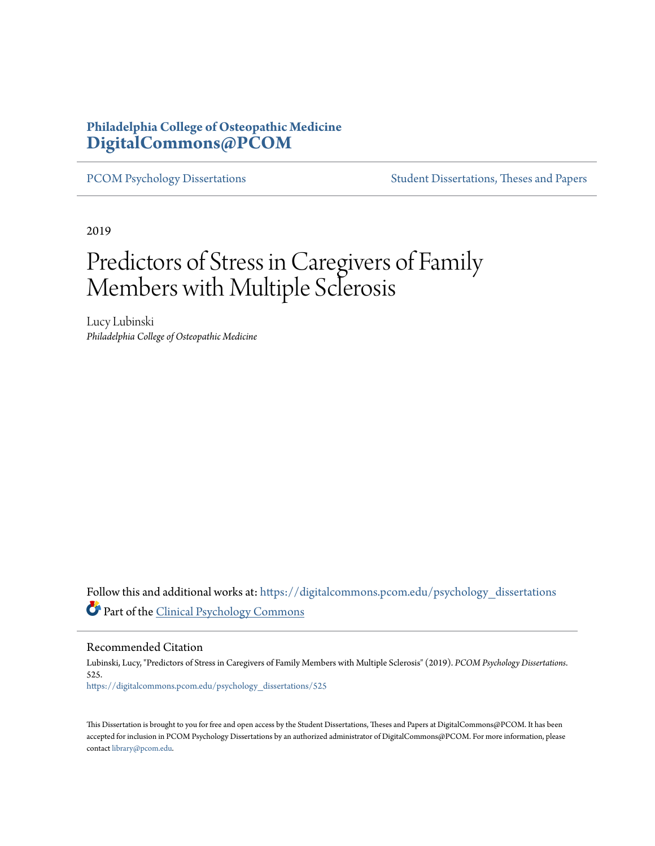## **Philadelphia College of Osteopathic Medicine [DigitalCommons@PCOM](https://digitalcommons.pcom.edu/?utm_source=digitalcommons.pcom.edu%2Fpsychology_dissertations%2F525&utm_medium=PDF&utm_campaign=PDFCoverPages)**

[PCOM Psychology Dissertations](https://digitalcommons.pcom.edu/psychology_dissertations?utm_source=digitalcommons.pcom.edu%2Fpsychology_dissertations%2F525&utm_medium=PDF&utm_campaign=PDFCoverPages) [Student Dissertations, Theses and Papers](https://digitalcommons.pcom.edu/etds?utm_source=digitalcommons.pcom.edu%2Fpsychology_dissertations%2F525&utm_medium=PDF&utm_campaign=PDFCoverPages)

2019

# Predictors of Stress in Caregivers of Family Members with Multiple Sclerosis

Lucy Lubinski *Philadelphia College of Osteopathic Medicine*

Follow this and additional works at: [https://digitalcommons.pcom.edu/psychology\\_dissertations](https://digitalcommons.pcom.edu/psychology_dissertations?utm_source=digitalcommons.pcom.edu%2Fpsychology_dissertations%2F525&utm_medium=PDF&utm_campaign=PDFCoverPages) Part of the [Clinical Psychology Commons](http://network.bepress.com/hgg/discipline/406?utm_source=digitalcommons.pcom.edu%2Fpsychology_dissertations%2F525&utm_medium=PDF&utm_campaign=PDFCoverPages)

Recommended Citation

Lubinski, Lucy, "Predictors of Stress in Caregivers of Family Members with Multiple Sclerosis" (2019). *PCOM Psychology Dissertations*. 525. [https://digitalcommons.pcom.edu/psychology\\_dissertations/525](https://digitalcommons.pcom.edu/psychology_dissertations/525?utm_source=digitalcommons.pcom.edu%2Fpsychology_dissertations%2F525&utm_medium=PDF&utm_campaign=PDFCoverPages)

This Dissertation is brought to you for free and open access by the Student Dissertations, Theses and Papers at DigitalCommons@PCOM. It has been accepted for inclusion in PCOM Psychology Dissertations by an authorized administrator of DigitalCommons@PCOM. For more information, please contact [library@pcom.edu.](mailto:library@pcom.edu)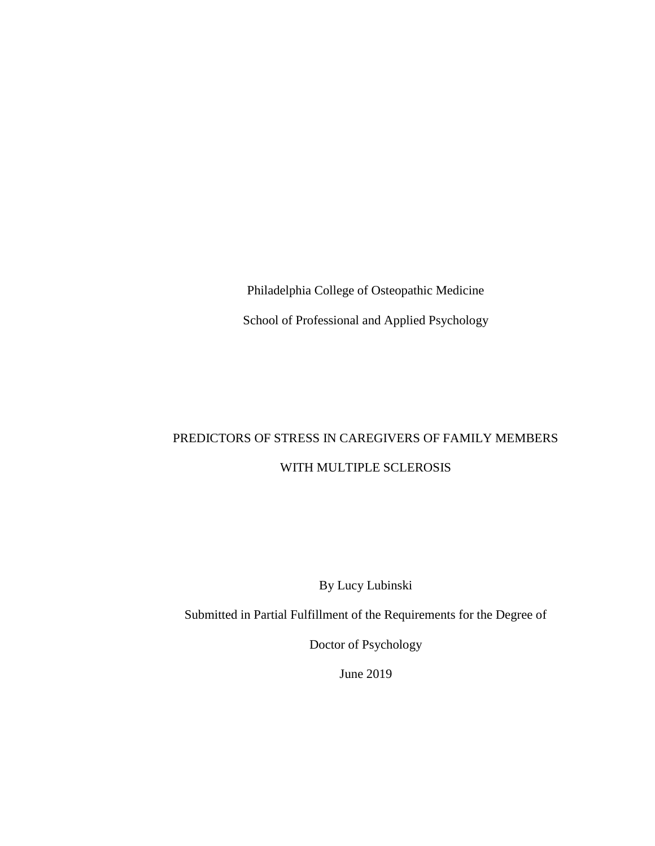Philadelphia College of Osteopathic Medicine School of Professional and Applied Psychology

# PREDICTORS OF STRESS IN CAREGIVERS OF FAMILY MEMBERS WITH MULTIPLE SCLEROSIS

By Lucy Lubinski

Submitted in Partial Fulfillment of the Requirements for the Degree of

Doctor of Psychology

June 2019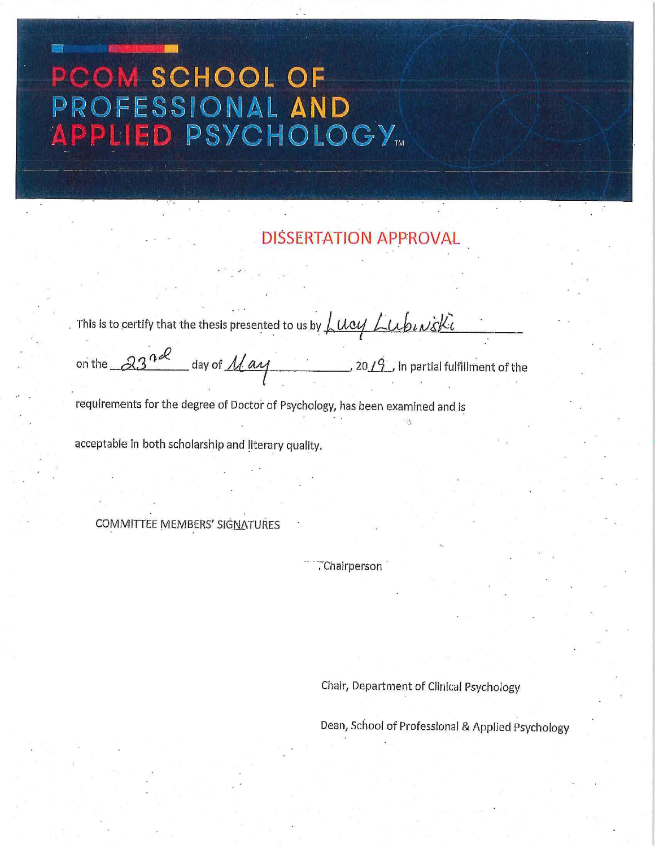# PCOM SCHOOL OF PROFESSIONAL AND<br>APPLIED PSYCHOLOGY...

**DISSERTATION APPROVAL** 

|                                                      | . This is to certify that the thesis presented to us by $\int \mu \alpha y \int \mu b \mu x \zeta k \bar{\iota}$ |  |
|------------------------------------------------------|------------------------------------------------------------------------------------------------------------------|--|
| on the $23^{nd}$ day of $Max$                        | _, 20 $\phase{1}{2}$ in partial fulfillment of the                                                               |  |
|                                                      | requirements for the degree of Doctor of Psychology, has been examined and is                                    |  |
| acceptable in both scholarship and literary quality. |                                                                                                                  |  |

COMMITTEE MEMBERS' SIGNATURES

·- ·-:"Chairperson ·

Chair, Department of Clinical Psychology

Dean, School of Professional & Applied Psychology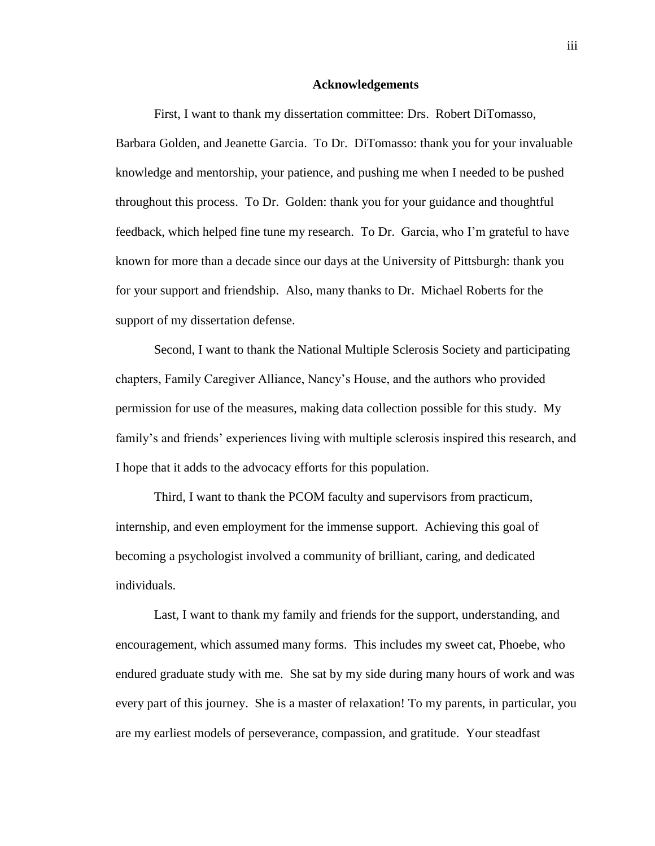#### **Acknowledgements**

<span id="page-3-0"></span>First, I want to thank my dissertation committee: Drs. Robert DiTomasso, Barbara Golden, and Jeanette Garcia. To Dr. DiTomasso: thank you for your invaluable knowledge and mentorship, your patience, and pushing me when I needed to be pushed throughout this process. To Dr. Golden: thank you for your guidance and thoughtful feedback, which helped fine tune my research. To Dr. Garcia, who I'm grateful to have known for more than a decade since our days at the University of Pittsburgh: thank you for your support and friendship. Also, many thanks to Dr. Michael Roberts for the support of my dissertation defense.

Second, I want to thank the National Multiple Sclerosis Society and participating chapters, Family Caregiver Alliance, Nancy's House, and the authors who provided permission for use of the measures, making data collection possible for this study. My family's and friends' experiences living with multiple sclerosis inspired this research, and I hope that it adds to the advocacy efforts for this population.

Third, I want to thank the PCOM faculty and supervisors from practicum, internship, and even employment for the immense support. Achieving this goal of becoming a psychologist involved a community of brilliant, caring, and dedicated individuals.

Last, I want to thank my family and friends for the support, understanding, and encouragement, which assumed many forms. This includes my sweet cat, Phoebe, who endured graduate study with me. She sat by my side during many hours of work and was every part of this journey. She is a master of relaxation! To my parents, in particular, you are my earliest models of perseverance, compassion, and gratitude. Your steadfast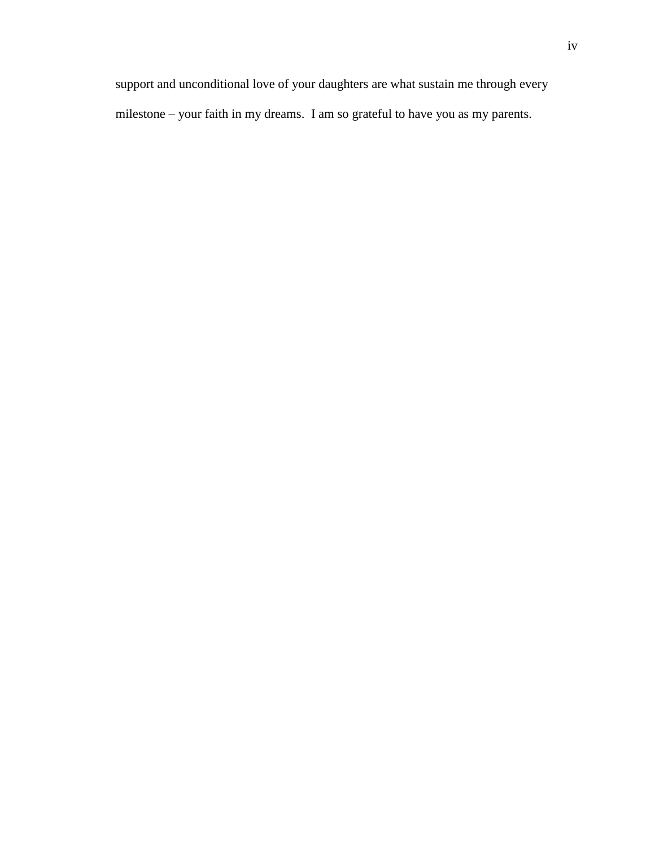support and unconditional love of your daughters are what sustain me through every milestone – your faith in my dreams. I am so grateful to have you as my parents.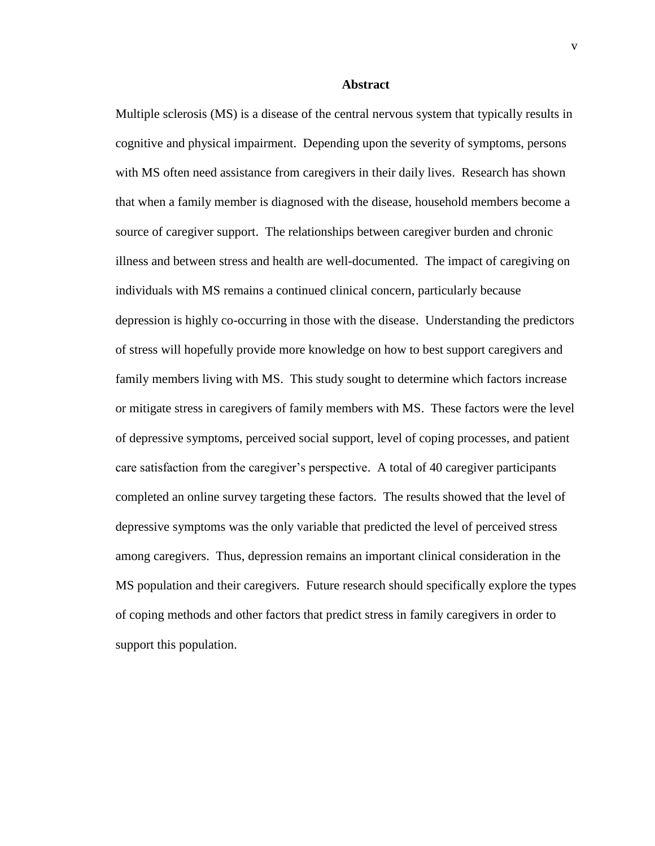#### **Abstract**

<span id="page-5-0"></span>Multiple sclerosis (MS) is a disease of the central nervous system that typically results in cognitive and physical impairment. Depending upon the severity of symptoms, persons with MS often need assistance from caregivers in their daily lives. Research has shown that when a family member is diagnosed with the disease, household members become a source of caregiver support. The relationships between caregiver burden and chronic illness and between stress and health are well-documented. The impact of caregiving on individuals with MS remains a continued clinical concern, particularly because depression is highly co-occurring in those with the disease. Understanding the predictors of stress will hopefully provide more knowledge on how to best support caregivers and family members living with MS. This study sought to determine which factors increase or mitigate stress in caregivers of family members with MS. These factors were the level of depressive symptoms, perceived social support, level of coping processes, and patient care satisfaction from the caregiver's perspective. A total of 40 caregiver participants completed an online survey targeting these factors. The results showed that the level of depressive symptoms was the only variable that predicted the level of perceived stress among caregivers. Thus, depression remains an important clinical consideration in the MS population and their caregivers. Future research should specifically explore the types of coping methods and other factors that predict stress in family caregivers in order to support this population.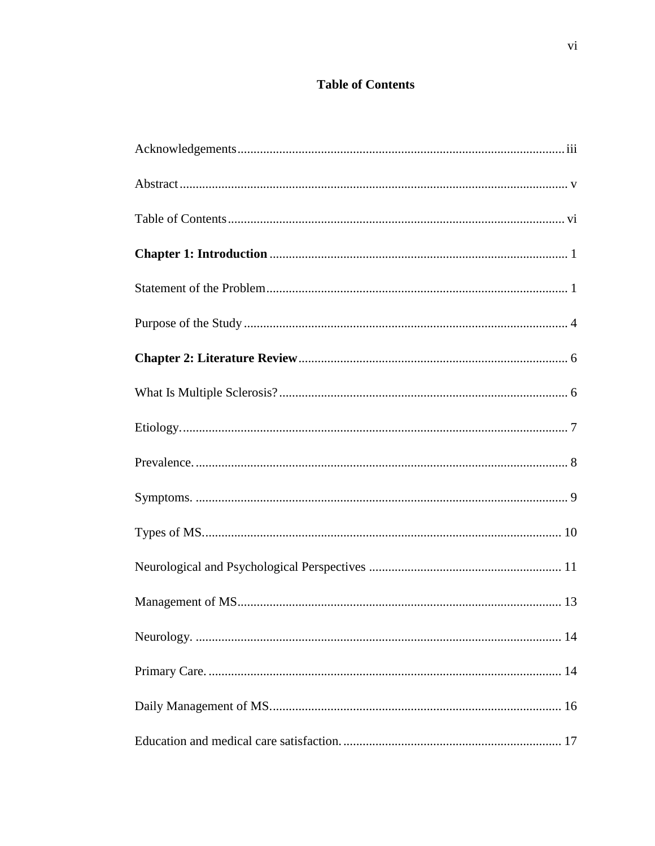# **Table of Contents**

<span id="page-6-0"></span>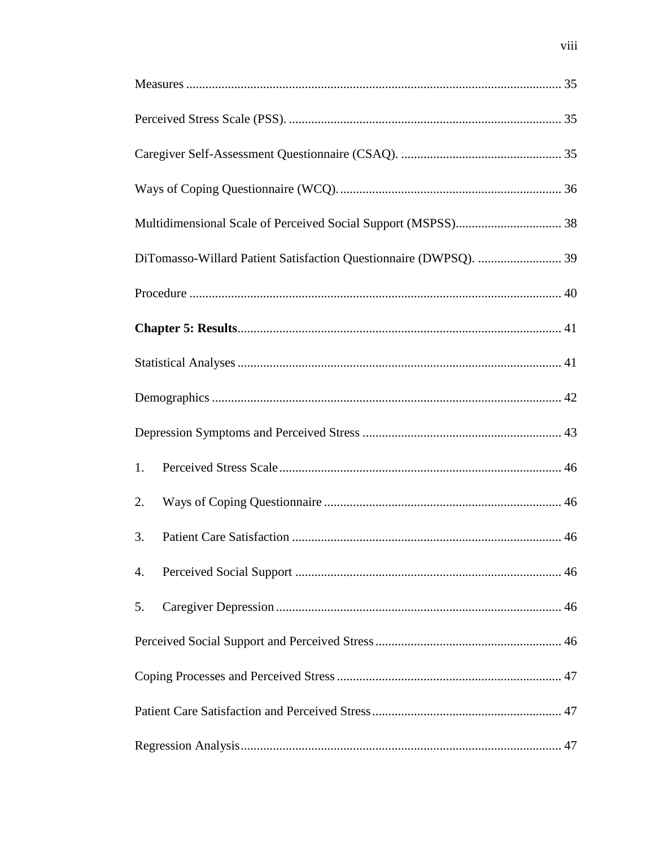| DiTomasso-Willard Patient Satisfaction Questionnaire (DWPSQ).  39 |  |
|-------------------------------------------------------------------|--|
|                                                                   |  |
|                                                                   |  |
|                                                                   |  |
|                                                                   |  |
|                                                                   |  |
| 1.                                                                |  |
| 2.                                                                |  |
| 3.                                                                |  |
| 4.                                                                |  |
| 5.                                                                |  |
|                                                                   |  |
|                                                                   |  |
|                                                                   |  |
|                                                                   |  |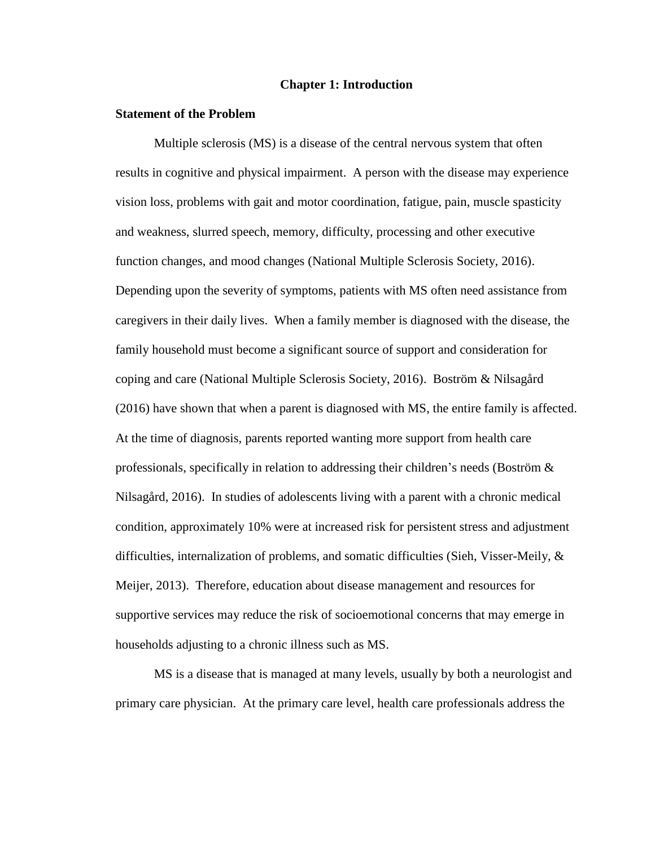#### **Chapter 1: Introduction**

#### <span id="page-10-1"></span><span id="page-10-0"></span>**Statement of the Problem**

Multiple sclerosis (MS) is a disease of the central nervous system that often results in cognitive and physical impairment. A person with the disease may experience vision loss, problems with gait and motor coordination, fatigue, pain, muscle spasticity and weakness, slurred speech, memory, difficulty, processing and other executive function changes, and mood changes (National Multiple Sclerosis Society, 2016). Depending upon the severity of symptoms, patients with MS often need assistance from caregivers in their daily lives. When a family member is diagnosed with the disease, the family household must become a significant source of support and consideration for coping and care (National Multiple Sclerosis Society, 2016). Boström & Nilsagård (2016) have shown that when a parent is diagnosed with MS, the entire family is affected. At the time of diagnosis, parents reported wanting more support from health care professionals, specifically in relation to addressing their children's needs (Boström & Nilsagård, 2016). In studies of adolescents living with a parent with a chronic medical condition, approximately 10% were at increased risk for persistent stress and adjustment difficulties, internalization of problems, and somatic difficulties (Sieh, Visser-Meily, & Meijer, 2013). Therefore, education about disease management and resources for supportive services may reduce the risk of socioemotional concerns that may emerge in households adjusting to a chronic illness such as MS.

MS is a disease that is managed at many levels, usually by both a neurologist and primary care physician. At the primary care level, health care professionals address the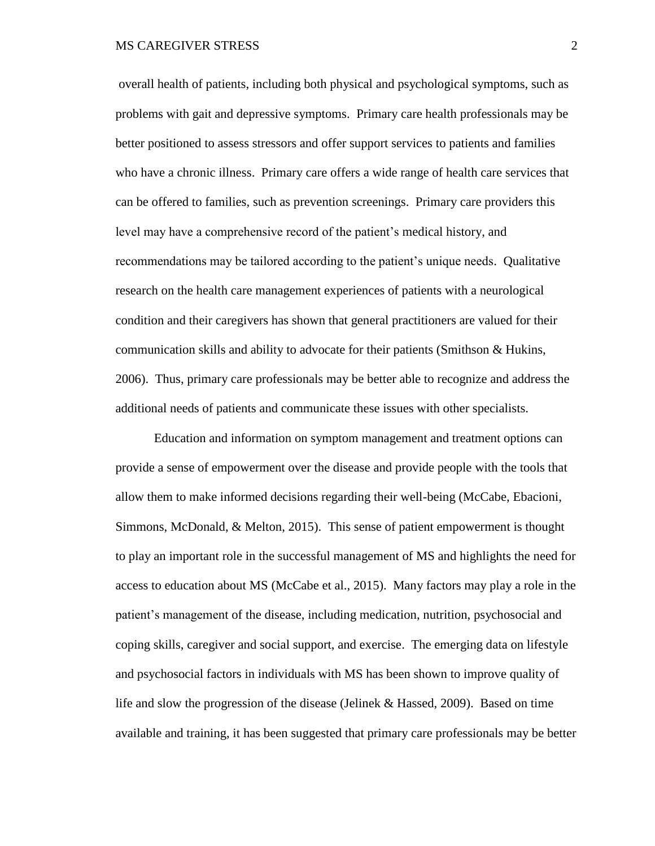overall health of patients, including both physical and psychological symptoms, such as problems with gait and depressive symptoms. Primary care health professionals may be better positioned to assess stressors and offer support services to patients and families who have a chronic illness. Primary care offers a wide range of health care services that can be offered to families, such as prevention screenings. Primary care providers this level may have a comprehensive record of the patient's medical history, and recommendations may be tailored according to the patient's unique needs. Qualitative research on the health care management experiences of patients with a neurological condition and their caregivers has shown that general practitioners are valued for their communication skills and ability to advocate for their patients (Smithson & Hukins, 2006). Thus, primary care professionals may be better able to recognize and address the additional needs of patients and communicate these issues with other specialists.

Education and information on symptom management and treatment options can provide a sense of empowerment over the disease and provide people with the tools that allow them to make informed decisions regarding their well-being (McCabe, Ebacioni, Simmons, McDonald, & Melton, 2015). This sense of patient empowerment is thought to play an important role in the successful management of MS and highlights the need for access to education about MS (McCabe et al., 2015). Many factors may play a role in the patient's management of the disease, including medication, nutrition, psychosocial and coping skills, caregiver and social support, and exercise. The emerging data on lifestyle and psychosocial factors in individuals with MS has been shown to improve quality of life and slow the progression of the disease (Jelinek & Hassed, 2009). Based on time available and training, it has been suggested that primary care professionals may be better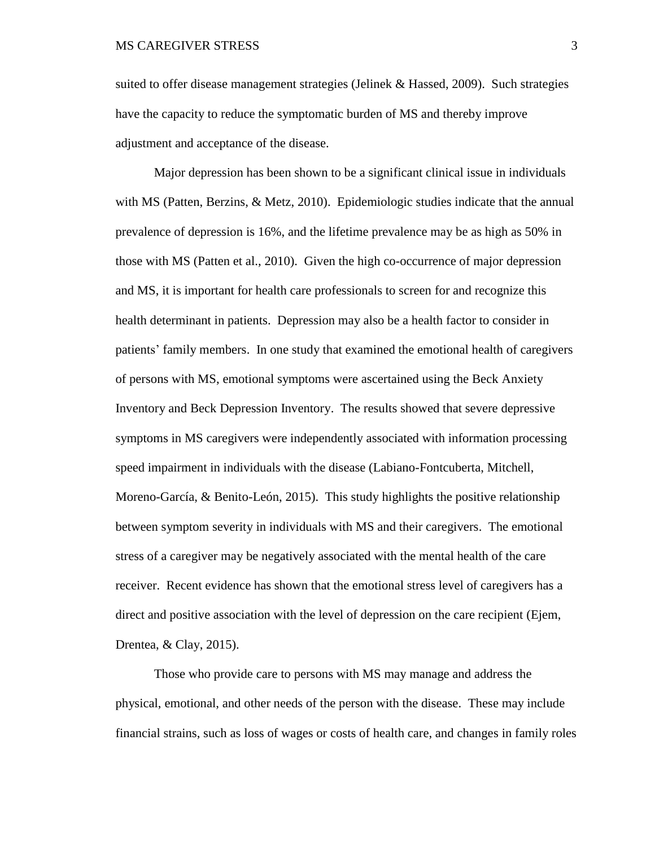suited to offer disease management strategies (Jelinek & Hassed, 2009). Such strategies have the capacity to reduce the symptomatic burden of MS and thereby improve adjustment and acceptance of the disease.

Major depression has been shown to be a significant clinical issue in individuals with MS (Patten, Berzins, & Metz, 2010). Epidemiologic studies indicate that the annual prevalence of depression is 16%, and the lifetime prevalence may be as high as 50% in those with MS (Patten et al., 2010). Given the high co-occurrence of major depression and MS, it is important for health care professionals to screen for and recognize this health determinant in patients. Depression may also be a health factor to consider in patients' family members. In one study that examined the emotional health of caregivers of persons with MS, emotional symptoms were ascertained using the Beck Anxiety Inventory and Beck Depression Inventory. The results showed that severe depressive symptoms in MS caregivers were independently associated with information processing speed impairment in individuals with the disease (Labiano-Fontcuberta, Mitchell, Moreno-García, & Benito-León, 2015). This study highlights the positive relationship between symptom severity in individuals with MS and their caregivers. The emotional stress of a caregiver may be negatively associated with the mental health of the care receiver. Recent evidence has shown that the emotional stress level of caregivers has a direct and positive association with the level of depression on the care recipient (Ejem, Drentea, & Clay, 2015).

Those who provide care to persons with MS may manage and address the physical, emotional, and other needs of the person with the disease. These may include financial strains, such as loss of wages or costs of health care, and changes in family roles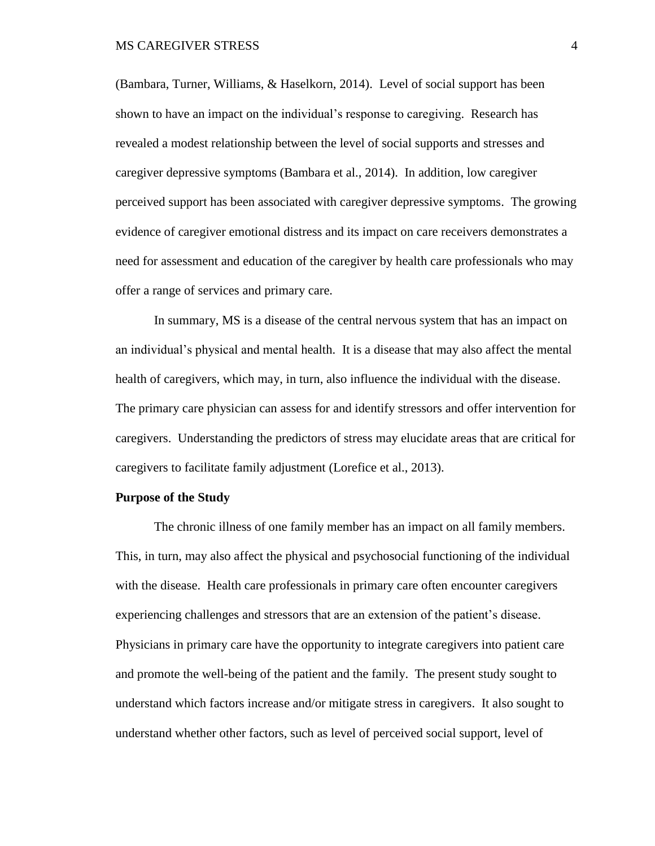(Bambara, Turner, Williams, & Haselkorn, 2014). Level of social support has been shown to have an impact on the individual's response to caregiving. Research has revealed a modest relationship between the level of social supports and stresses and caregiver depressive symptoms (Bambara et al., 2014). In addition, low caregiver perceived support has been associated with caregiver depressive symptoms. The growing evidence of caregiver emotional distress and its impact on care receivers demonstrates a need for assessment and education of the caregiver by health care professionals who may offer a range of services and primary care.

In summary, MS is a disease of the central nervous system that has an impact on an individual's physical and mental health. It is a disease that may also affect the mental health of caregivers, which may, in turn, also influence the individual with the disease. The primary care physician can assess for and identify stressors and offer intervention for caregivers. Understanding the predictors of stress may elucidate areas that are critical for caregivers to facilitate family adjustment (Lorefice et al., 2013).

#### <span id="page-13-0"></span>**Purpose of the Study**

The chronic illness of one family member has an impact on all family members. This, in turn, may also affect the physical and psychosocial functioning of the individual with the disease. Health care professionals in primary care often encounter caregivers experiencing challenges and stressors that are an extension of the patient's disease. Physicians in primary care have the opportunity to integrate caregivers into patient care and promote the well-being of the patient and the family. The present study sought to understand which factors increase and/or mitigate stress in caregivers. It also sought to understand whether other factors, such as level of perceived social support, level of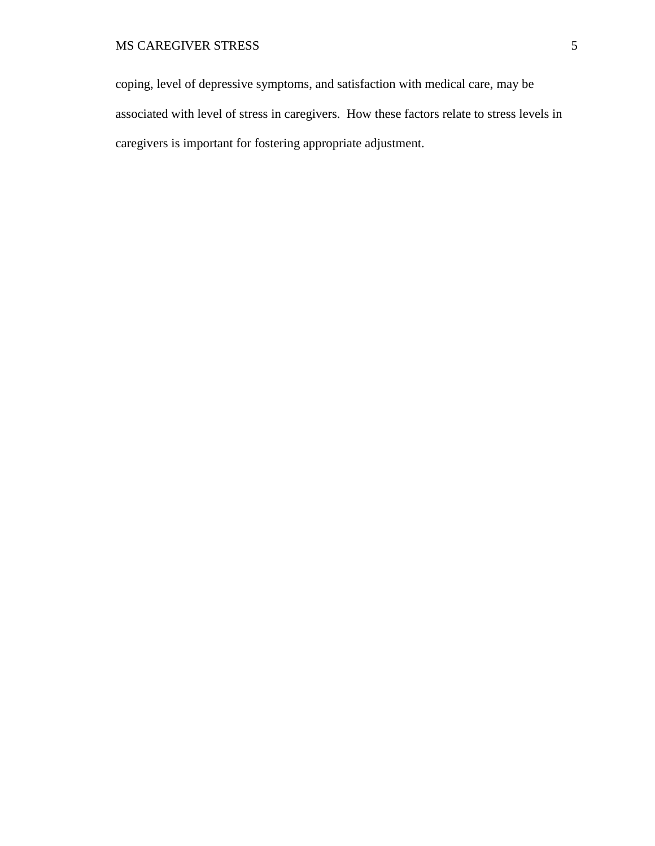coping, level of depressive symptoms, and satisfaction with medical care, may be associated with level of stress in caregivers. How these factors relate to stress levels in caregivers is important for fostering appropriate adjustment.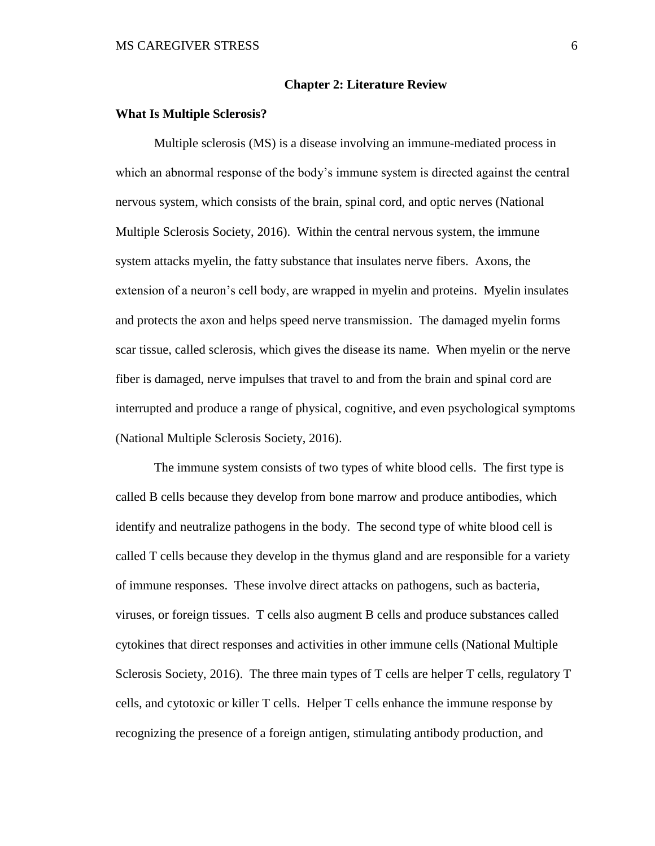#### **Chapter 2: Literature Review**

#### <span id="page-15-1"></span><span id="page-15-0"></span>**What Is Multiple Sclerosis?**

Multiple sclerosis (MS) is a disease involving an immune-mediated process in which an abnormal response of the body's immune system is directed against the central nervous system, which consists of the brain, spinal cord, and optic nerves (National Multiple Sclerosis Society, 2016). Within the central nervous system, the immune system attacks myelin, the fatty substance that insulates nerve fibers. Axons, the extension of a neuron's cell body, are wrapped in myelin and proteins. Myelin insulates and protects the axon and helps speed nerve transmission. The damaged myelin forms scar tissue, called sclerosis, which gives the disease its name. When myelin or the nerve fiber is damaged, nerve impulses that travel to and from the brain and spinal cord are interrupted and produce a range of physical, cognitive, and even psychological symptoms (National Multiple Sclerosis Society, 2016).

The immune system consists of two types of white blood cells. The first type is called B cells because they develop from bone marrow and produce antibodies, which identify and neutralize pathogens in the body. The second type of white blood cell is called T cells because they develop in the thymus gland and are responsible for a variety of immune responses. These involve direct attacks on pathogens, such as bacteria, viruses, or foreign tissues. T cells also augment B cells and produce substances called cytokines that direct responses and activities in other immune cells (National Multiple Sclerosis Society, 2016). The three main types of T cells are helper T cells, regulatory T cells, and cytotoxic or killer T cells. Helper T cells enhance the immune response by recognizing the presence of a foreign antigen, stimulating antibody production, and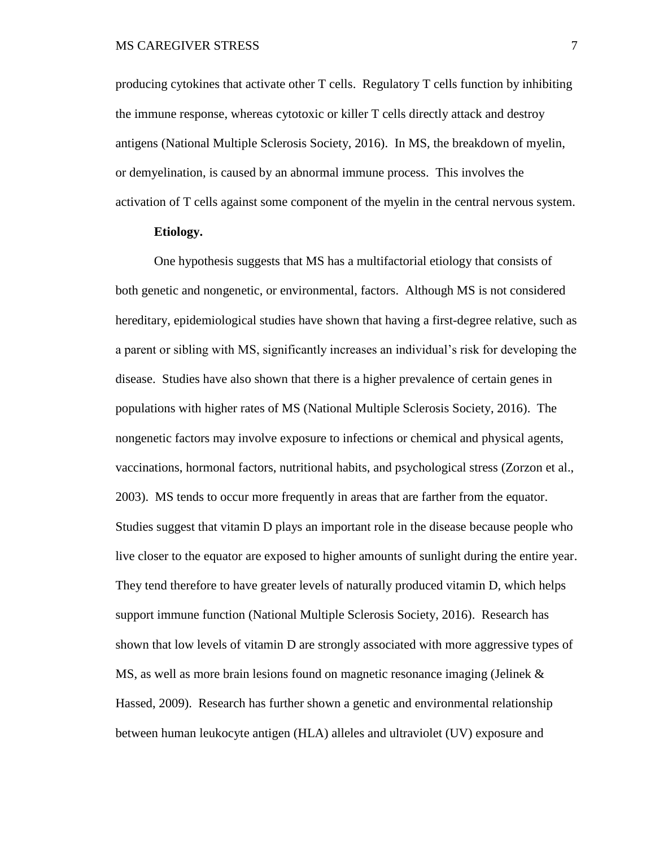producing cytokines that activate other T cells. Regulatory T cells function by inhibiting the immune response, whereas cytotoxic or killer T cells directly attack and destroy antigens (National Multiple Sclerosis Society, 2016). In MS, the breakdown of myelin, or demyelination, is caused by an abnormal immune process. This involves the activation of T cells against some component of the myelin in the central nervous system.

#### **Etiology.**

<span id="page-16-0"></span>One hypothesis suggests that MS has a multifactorial etiology that consists of both genetic and nongenetic, or environmental, factors. Although MS is not considered hereditary, epidemiological studies have shown that having a first-degree relative, such as a parent or sibling with MS, significantly increases an individual's risk for developing the disease. Studies have also shown that there is a higher prevalence of certain genes in populations with higher rates of MS (National Multiple Sclerosis Society, 2016). The nongenetic factors may involve exposure to infections or chemical and physical agents, vaccinations, hormonal factors, nutritional habits, and psychological stress (Zorzon et al., 2003). MS tends to occur more frequently in areas that are farther from the equator. Studies suggest that vitamin D plays an important role in the disease because people who live closer to the equator are exposed to higher amounts of sunlight during the entire year. They tend therefore to have greater levels of naturally produced vitamin D, which helps support immune function (National Multiple Sclerosis Society, 2016). Research has shown that low levels of vitamin D are strongly associated with more aggressive types of MS, as well as more brain lesions found on magnetic resonance imaging (Jelinek & Hassed, 2009). Research has further shown a genetic and environmental relationship between human leukocyte antigen (HLA) alleles and ultraviolet (UV) exposure and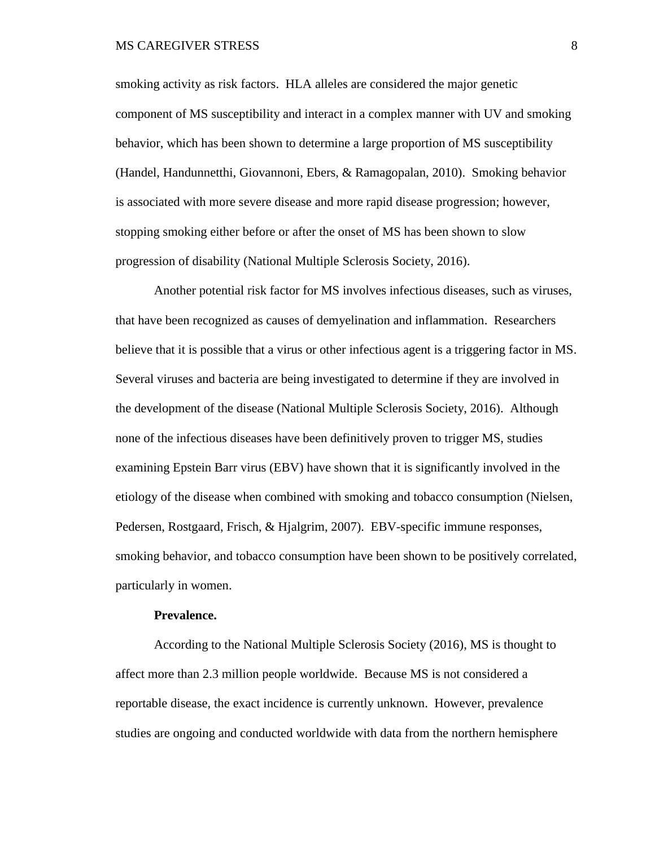smoking activity as risk factors. HLA alleles are considered the major genetic component of MS susceptibility and interact in a complex manner with UV and smoking behavior, which has been shown to determine a large proportion of MS susceptibility (Handel, Handunnetthi, Giovannoni, Ebers, & Ramagopalan, 2010). Smoking behavior is associated with more severe disease and more rapid disease progression; however, stopping smoking either before or after the onset of MS has been shown to slow progression of disability (National Multiple Sclerosis Society, 2016).

Another potential risk factor for MS involves infectious diseases, such as viruses, that have been recognized as causes of demyelination and inflammation. Researchers believe that it is possible that a virus or other infectious agent is a triggering factor in MS. Several viruses and bacteria are being investigated to determine if they are involved in the development of the disease (National Multiple Sclerosis Society, 2016). Although none of the infectious diseases have been definitively proven to trigger MS, studies examining Epstein Barr virus (EBV) have shown that it is significantly involved in the etiology of the disease when combined with smoking and tobacco consumption (Nielsen, Pedersen, Rostgaard, Frisch, & Hjalgrim, 2007). EBV-specific immune responses, smoking behavior, and tobacco consumption have been shown to be positively correlated, particularly in women.

#### **Prevalence.**

<span id="page-17-0"></span>According to the National Multiple Sclerosis Society (2016), MS is thought to affect more than 2.3 million people worldwide. Because MS is not considered a reportable disease, the exact incidence is currently unknown. However, prevalence studies are ongoing and conducted worldwide with data from the northern hemisphere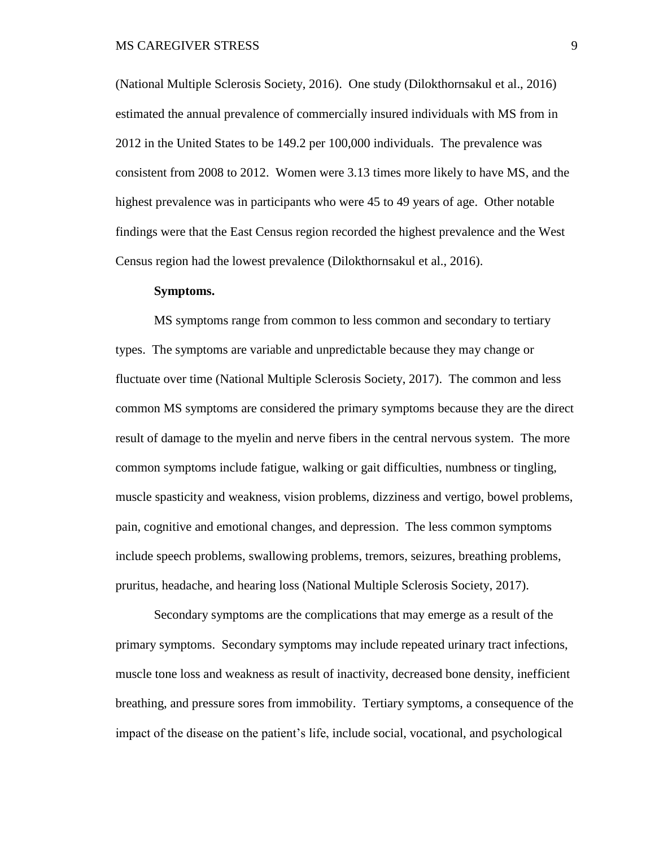(National Multiple Sclerosis Society, 2016). One study (Dilokthornsakul et al., 2016) estimated the annual prevalence of commercially insured individuals with MS from in 2012 in the United States to be 149.2 per 100,000 individuals. The prevalence was consistent from 2008 to 2012. Women were 3.13 times more likely to have MS, and the highest prevalence was in participants who were 45 to 49 years of age. Other notable findings were that the East Census region recorded the highest prevalence and the West Census region had the lowest prevalence (Dilokthornsakul et al., 2016).

#### **Symptoms.**

<span id="page-18-0"></span>MS symptoms range from common to less common and secondary to tertiary types. The symptoms are variable and unpredictable because they may change or fluctuate over time (National Multiple Sclerosis Society, 2017). The common and less common MS symptoms are considered the primary symptoms because they are the direct result of damage to the myelin and nerve fibers in the central nervous system. The more common symptoms include fatigue, walking or gait difficulties, numbness or tingling, muscle spasticity and weakness, vision problems, dizziness and vertigo, bowel problems, pain, cognitive and emotional changes, and depression. The less common symptoms include speech problems, swallowing problems, tremors, seizures, breathing problems, pruritus, headache, and hearing loss (National Multiple Sclerosis Society, 2017).

Secondary symptoms are the complications that may emerge as a result of the primary symptoms. Secondary symptoms may include repeated urinary tract infections, muscle tone loss and weakness as result of inactivity, decreased bone density, inefficient breathing, and pressure sores from immobility. Tertiary symptoms, a consequence of the impact of the disease on the patient's life, include social, vocational, and psychological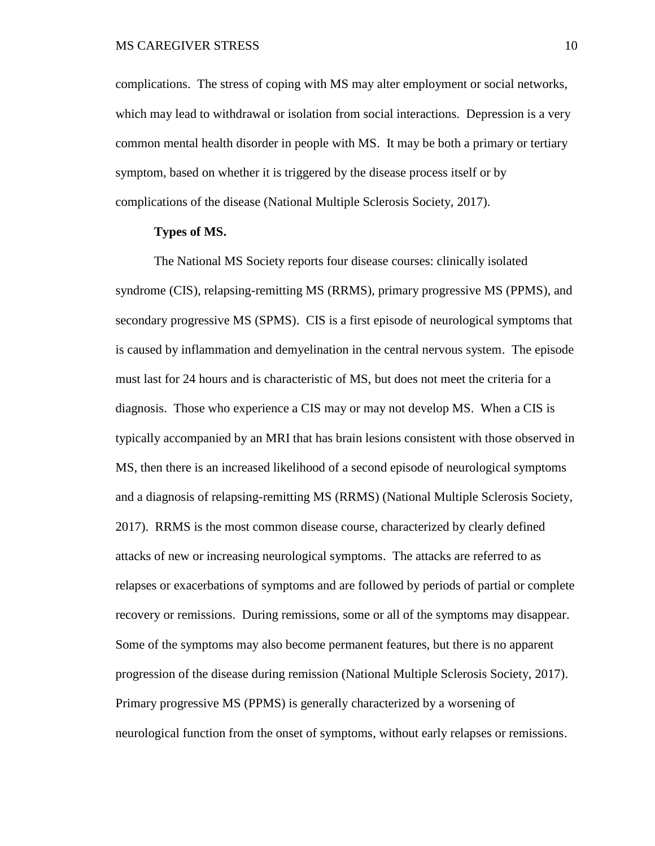complications. The stress of coping with MS may alter employment or social networks, which may lead to withdrawal or isolation from social interactions. Depression is a very common mental health disorder in people with MS. It may be both a primary or tertiary symptom, based on whether it is triggered by the disease process itself or by complications of the disease (National Multiple Sclerosis Society, 2017).

#### **Types of MS.**

<span id="page-19-0"></span>The National MS Society reports four disease courses: clinically isolated syndrome (CIS), relapsing-remitting MS (RRMS), primary progressive MS (PPMS), and secondary progressive MS (SPMS). CIS is a first episode of neurological symptoms that is caused by inflammation and demyelination in the central nervous system. The episode must last for 24 hours and is characteristic of MS, but does not meet the criteria for a diagnosis. Those who experience a CIS may or may not develop MS. When a CIS is typically accompanied by an MRI that has brain lesions consistent with those observed in MS, then there is an increased likelihood of a second episode of neurological symptoms and a diagnosis of relapsing-remitting MS (RRMS) (National Multiple Sclerosis Society, 2017). RRMS is the most common disease course, characterized by clearly defined attacks of new or increasing neurological symptoms. The attacks are referred to as relapses or exacerbations of symptoms and are followed by periods of partial or complete recovery or remissions. During remissions, some or all of the symptoms may disappear. Some of the symptoms may also become permanent features, but there is no apparent progression of the disease during remission (National Multiple Sclerosis Society, 2017). Primary progressive MS (PPMS) is generally characterized by a worsening of neurological function from the onset of symptoms, without early relapses or remissions.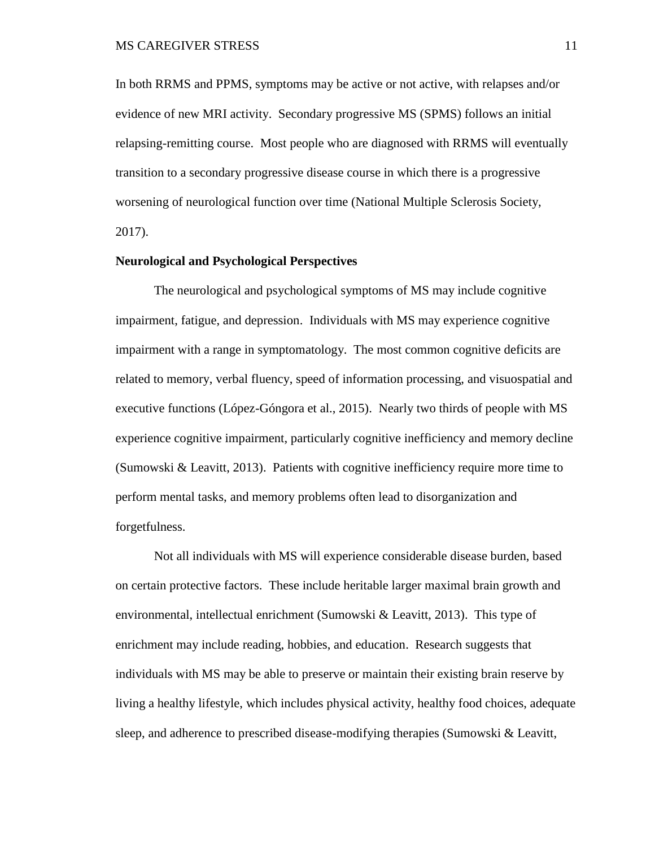In both RRMS and PPMS, symptoms may be active or not active, with relapses and/or evidence of new MRI activity. Secondary progressive MS (SPMS) follows an initial relapsing-remitting course. Most people who are diagnosed with RRMS will eventually transition to a secondary progressive disease course in which there is a progressive worsening of neurological function over time (National Multiple Sclerosis Society, 2017).

#### <span id="page-20-0"></span>**Neurological and Psychological Perspectives**

The neurological and psychological symptoms of MS may include cognitive impairment, fatigue, and depression. Individuals with MS may experience cognitive impairment with a range in symptomatology. The most common cognitive deficits are related to memory, verbal fluency, speed of information processing, and visuospatial and executive functions (López-Góngora et al., 2015). Nearly two thirds of people with MS experience cognitive impairment, particularly cognitive inefficiency and memory decline (Sumowski & Leavitt, 2013). Patients with cognitive inefficiency require more time to perform mental tasks, and memory problems often lead to disorganization and forgetfulness.

Not all individuals with MS will experience considerable disease burden, based on certain protective factors. These include heritable larger maximal brain growth and environmental, intellectual enrichment (Sumowski & Leavitt, 2013). This type of enrichment may include reading, hobbies, and education. Research suggests that individuals with MS may be able to preserve or maintain their existing brain reserve by living a healthy lifestyle, which includes physical activity, healthy food choices, adequate sleep, and adherence to prescribed disease-modifying therapies (Sumowski & Leavitt,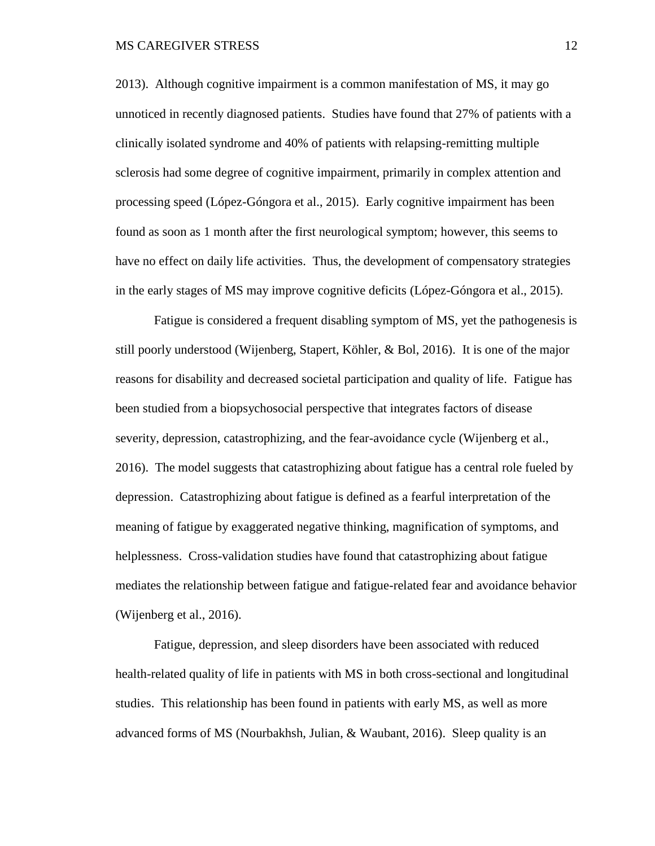2013). Although cognitive impairment is a common manifestation of MS, it may go unnoticed in recently diagnosed patients. Studies have found that 27% of patients with a clinically isolated syndrome and 40% of patients with relapsing-remitting multiple sclerosis had some degree of cognitive impairment, primarily in complex attention and processing speed (López-Góngora et al., 2015). Early cognitive impairment has been found as soon as 1 month after the first neurological symptom; however, this seems to have no effect on daily life activities. Thus, the development of compensatory strategies in the early stages of MS may improve cognitive deficits (López-Góngora et al., 2015).

Fatigue is considered a frequent disabling symptom of MS, yet the pathogenesis is still poorly understood (Wijenberg, Stapert, Köhler, & Bol, 2016). It is one of the major reasons for disability and decreased societal participation and quality of life. Fatigue has been studied from a biopsychosocial perspective that integrates factors of disease severity, depression, catastrophizing, and the fear-avoidance cycle (Wijenberg et al., 2016). The model suggests that catastrophizing about fatigue has a central role fueled by depression. Catastrophizing about fatigue is defined as a fearful interpretation of the meaning of fatigue by exaggerated negative thinking, magnification of symptoms, and helplessness. Cross-validation studies have found that catastrophizing about fatigue mediates the relationship between fatigue and fatigue-related fear and avoidance behavior (Wijenberg et al., 2016).

Fatigue, depression, and sleep disorders have been associated with reduced health-related quality of life in patients with MS in both cross-sectional and longitudinal studies. This relationship has been found in patients with early MS, as well as more advanced forms of MS (Nourbakhsh, Julian, & Waubant, 2016). Sleep quality is an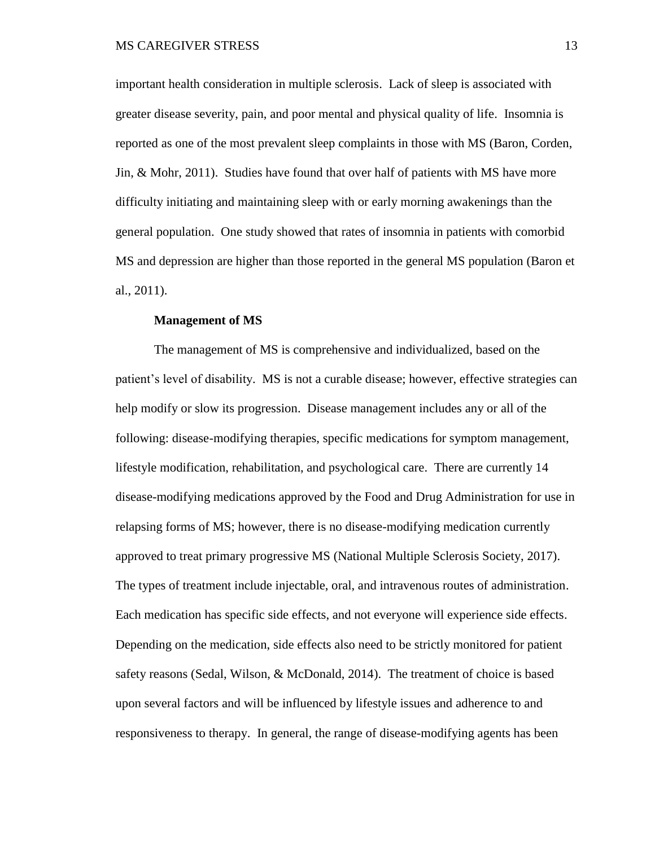important health consideration in multiple sclerosis. Lack of sleep is associated with greater disease severity, pain, and poor mental and physical quality of life. Insomnia is reported as one of the most prevalent sleep complaints in those with MS (Baron, Corden, Jin, & Mohr, 2011). Studies have found that over half of patients with MS have more difficulty initiating and maintaining sleep with or early morning awakenings than the general population. One study showed that rates of insomnia in patients with comorbid MS and depression are higher than those reported in the general MS population (Baron et al., 2011).

#### **Management of MS**

<span id="page-22-0"></span>The management of MS is comprehensive and individualized, based on the patient's level of disability. MS is not a curable disease; however, effective strategies can help modify or slow its progression. Disease management includes any or all of the following: disease-modifying therapies, specific medications for symptom management, lifestyle modification, rehabilitation, and psychological care. There are currently 14 disease-modifying medications approved by the Food and Drug Administration for use in relapsing forms of MS; however, there is no disease-modifying medication currently approved to treat primary progressive MS (National Multiple Sclerosis Society, 2017). The types of treatment include injectable, oral, and intravenous routes of administration. Each medication has specific side effects, and not everyone will experience side effects. Depending on the medication, side effects also need to be strictly monitored for patient safety reasons (Sedal, Wilson, & McDonald, 2014). The treatment of choice is based upon several factors and will be influenced by lifestyle issues and adherence to and responsiveness to therapy. In general, the range of disease-modifying agents has been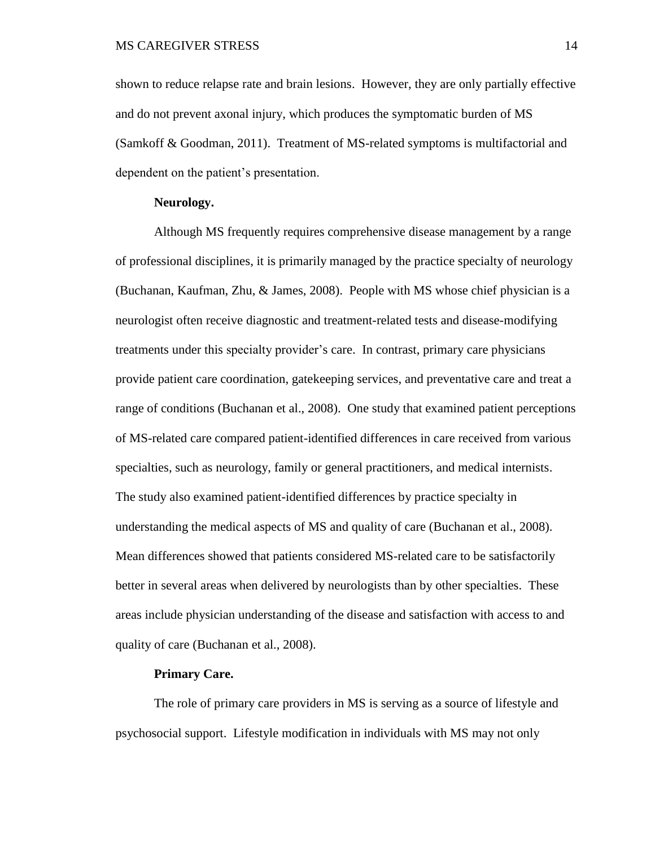shown to reduce relapse rate and brain lesions. However, they are only partially effective and do not prevent axonal injury, which produces the symptomatic burden of MS (Samkoff & Goodman, 2011). Treatment of MS-related symptoms is multifactorial and dependent on the patient's presentation.

#### **Neurology.**

<span id="page-23-0"></span>Although MS frequently requires comprehensive disease management by a range of professional disciplines, it is primarily managed by the practice specialty of neurology (Buchanan, Kaufman, Zhu, & James, 2008). People with MS whose chief physician is a neurologist often receive diagnostic and treatment-related tests and disease-modifying treatments under this specialty provider's care. In contrast, primary care physicians provide patient care coordination, gatekeeping services, and preventative care and treat a range of conditions (Buchanan et al., 2008). One study that examined patient perceptions of MS-related care compared patient-identified differences in care received from various specialties, such as neurology, family or general practitioners, and medical internists. The study also examined patient-identified differences by practice specialty in understanding the medical aspects of MS and quality of care (Buchanan et al., 2008). Mean differences showed that patients considered MS-related care to be satisfactorily better in several areas when delivered by neurologists than by other specialties. These areas include physician understanding of the disease and satisfaction with access to and quality of care (Buchanan et al., 2008).

#### **Primary Care.**

<span id="page-23-1"></span>The role of primary care providers in MS is serving as a source of lifestyle and psychosocial support. Lifestyle modification in individuals with MS may not only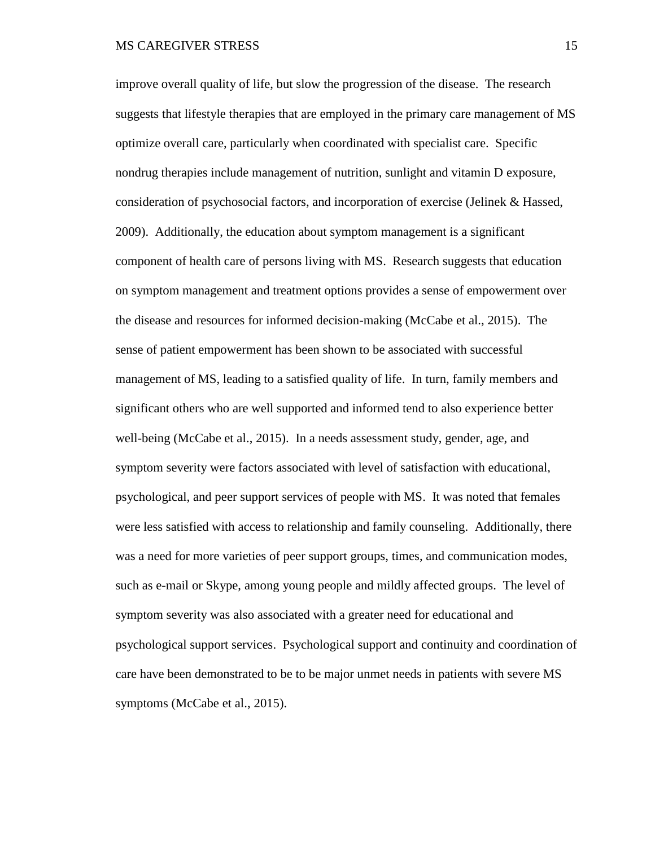improve overall quality of life, but slow the progression of the disease. The research suggests that lifestyle therapies that are employed in the primary care management of MS optimize overall care, particularly when coordinated with specialist care. Specific nondrug therapies include management of nutrition, sunlight and vitamin D exposure, consideration of psychosocial factors, and incorporation of exercise (Jelinek & Hassed, 2009). Additionally, the education about symptom management is a significant component of health care of persons living with MS. Research suggests that education on symptom management and treatment options provides a sense of empowerment over the disease and resources for informed decision-making (McCabe et al., 2015). The sense of patient empowerment has been shown to be associated with successful management of MS, leading to a satisfied quality of life. In turn, family members and significant others who are well supported and informed tend to also experience better well-being (McCabe et al., 2015). In a needs assessment study, gender, age, and symptom severity were factors associated with level of satisfaction with educational, psychological, and peer support services of people with MS. It was noted that females were less satisfied with access to relationship and family counseling. Additionally, there was a need for more varieties of peer support groups, times, and communication modes, such as e-mail or Skype, among young people and mildly affected groups. The level of symptom severity was also associated with a greater need for educational and psychological support services. Psychological support and continuity and coordination of care have been demonstrated to be to be major unmet needs in patients with severe MS symptoms (McCabe et al., 2015).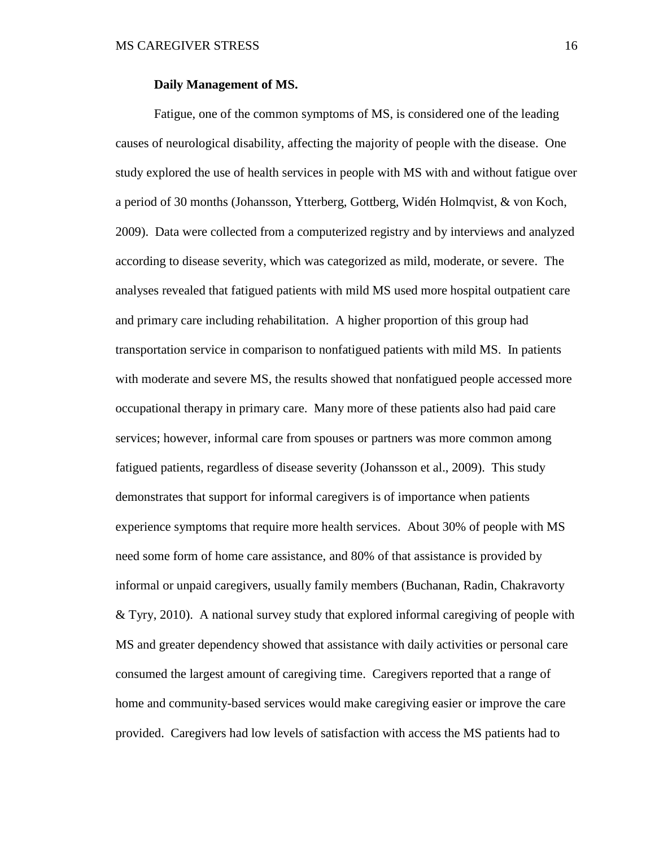#### **Daily Management of MS.**

<span id="page-25-0"></span>Fatigue, one of the common symptoms of MS, is considered one of the leading causes of neurological disability, affecting the majority of people with the disease. One study explored the use of health services in people with MS with and without fatigue over a period of 30 months (Johansson, Ytterberg, Gottberg, Widén Holmqvist, & von Koch, 2009). Data were collected from a computerized registry and by interviews and analyzed according to disease severity, which was categorized as mild, moderate, or severe. The analyses revealed that fatigued patients with mild MS used more hospital outpatient care and primary care including rehabilitation. A higher proportion of this group had transportation service in comparison to nonfatigued patients with mild MS. In patients with moderate and severe MS, the results showed that nonfatigued people accessed more occupational therapy in primary care. Many more of these patients also had paid care services; however, informal care from spouses or partners was more common among fatigued patients, regardless of disease severity (Johansson et al., 2009). This study demonstrates that support for informal caregivers is of importance when patients experience symptoms that require more health services. About 30% of people with MS need some form of home care assistance, and 80% of that assistance is provided by informal or unpaid caregivers, usually family members (Buchanan, Radin, Chakravorty & Tyry, 2010). A national survey study that explored informal caregiving of people with MS and greater dependency showed that assistance with daily activities or personal care consumed the largest amount of caregiving time. Caregivers reported that a range of home and community-based services would make caregiving easier or improve the care provided. Caregivers had low levels of satisfaction with access the MS patients had to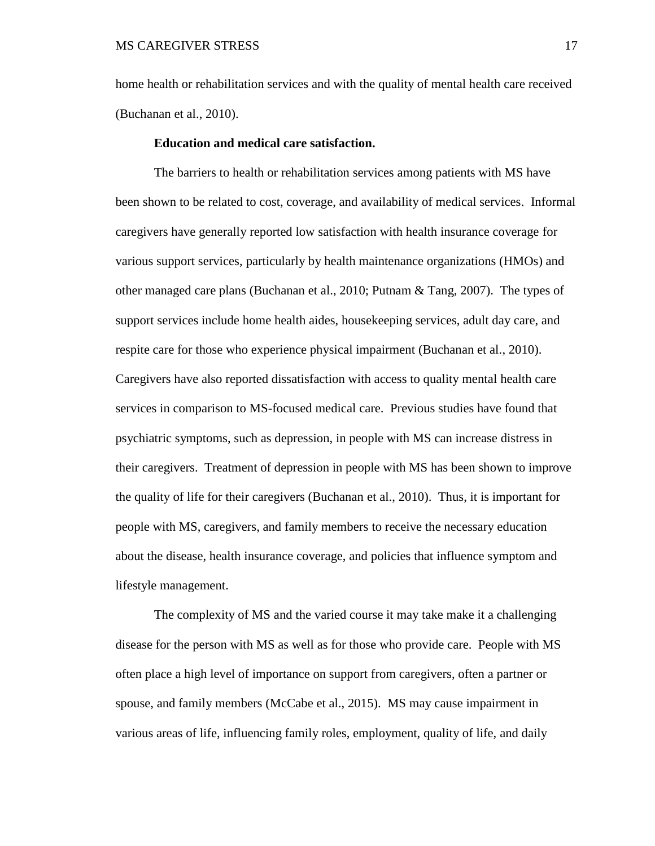home health or rehabilitation services and with the quality of mental health care received (Buchanan et al., 2010).

#### **Education and medical care satisfaction.**

<span id="page-26-0"></span>The barriers to health or rehabilitation services among patients with MS have been shown to be related to cost, coverage, and availability of medical services. Informal caregivers have generally reported low satisfaction with health insurance coverage for various support services, particularly by health maintenance organizations (HMOs) and other managed care plans (Buchanan et al., 2010; Putnam & Tang, 2007). The types of support services include home health aides, housekeeping services, adult day care, and respite care for those who experience physical impairment (Buchanan et al., 2010). Caregivers have also reported dissatisfaction with access to quality mental health care services in comparison to MS-focused medical care. Previous studies have found that psychiatric symptoms, such as depression, in people with MS can increase distress in their caregivers. Treatment of depression in people with MS has been shown to improve the quality of life for their caregivers (Buchanan et al., 2010). Thus, it is important for people with MS, caregivers, and family members to receive the necessary education about the disease, health insurance coverage, and policies that influence symptom and lifestyle management.

The complexity of MS and the varied course it may take make it a challenging disease for the person with MS as well as for those who provide care. People with MS often place a high level of importance on support from caregivers, often a partner or spouse, and family members (McCabe et al., 2015). MS may cause impairment in various areas of life, influencing family roles, employment, quality of life, and daily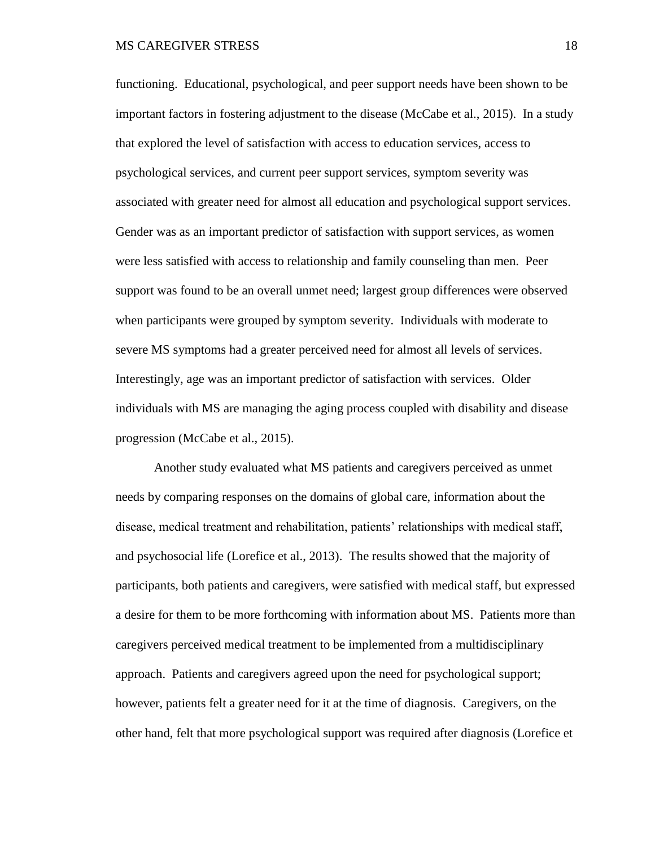functioning. Educational, psychological, and peer support needs have been shown to be important factors in fostering adjustment to the disease (McCabe et al., 2015). In a study that explored the level of satisfaction with access to education services, access to psychological services, and current peer support services, symptom severity was associated with greater need for almost all education and psychological support services. Gender was as an important predictor of satisfaction with support services, as women were less satisfied with access to relationship and family counseling than men. Peer support was found to be an overall unmet need; largest group differences were observed when participants were grouped by symptom severity. Individuals with moderate to severe MS symptoms had a greater perceived need for almost all levels of services. Interestingly, age was an important predictor of satisfaction with services. Older individuals with MS are managing the aging process coupled with disability and disease progression (McCabe et al., 2015).

Another study evaluated what MS patients and caregivers perceived as unmet needs by comparing responses on the domains of global care, information about the disease, medical treatment and rehabilitation, patients' relationships with medical staff, and psychosocial life (Lorefice et al., 2013). The results showed that the majority of participants, both patients and caregivers, were satisfied with medical staff, but expressed a desire for them to be more forthcoming with information about MS. Patients more than caregivers perceived medical treatment to be implemented from a multidisciplinary approach. Patients and caregivers agreed upon the need for psychological support; however, patients felt a greater need for it at the time of diagnosis. Caregivers, on the other hand, felt that more psychological support was required after diagnosis (Lorefice et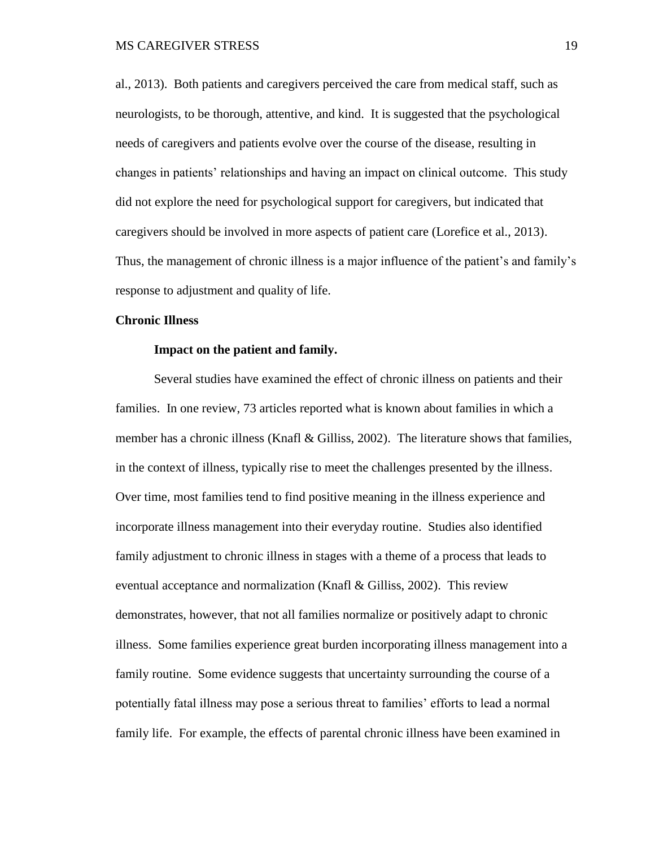al., 2013). Both patients and caregivers perceived the care from medical staff, such as neurologists, to be thorough, attentive, and kind. It is suggested that the psychological needs of caregivers and patients evolve over the course of the disease, resulting in changes in patients' relationships and having an impact on clinical outcome. This study did not explore the need for psychological support for caregivers, but indicated that caregivers should be involved in more aspects of patient care (Lorefice et al., 2013). Thus, the management of chronic illness is a major influence of the patient's and family's response to adjustment and quality of life.

#### <span id="page-28-1"></span><span id="page-28-0"></span>**Chronic Illness**

#### **Impact on the patient and family.**

Several studies have examined the effect of chronic illness on patients and their families. In one review, 73 articles reported what is known about families in which a member has a chronic illness (Knafl & Gilliss, 2002). The literature shows that families, in the context of illness, typically rise to meet the challenges presented by the illness. Over time, most families tend to find positive meaning in the illness experience and incorporate illness management into their everyday routine. Studies also identified family adjustment to chronic illness in stages with a theme of a process that leads to eventual acceptance and normalization (Knafl & Gilliss, 2002). This review demonstrates, however, that not all families normalize or positively adapt to chronic illness. Some families experience great burden incorporating illness management into a family routine. Some evidence suggests that uncertainty surrounding the course of a potentially fatal illness may pose a serious threat to families' efforts to lead a normal family life. For example, the effects of parental chronic illness have been examined in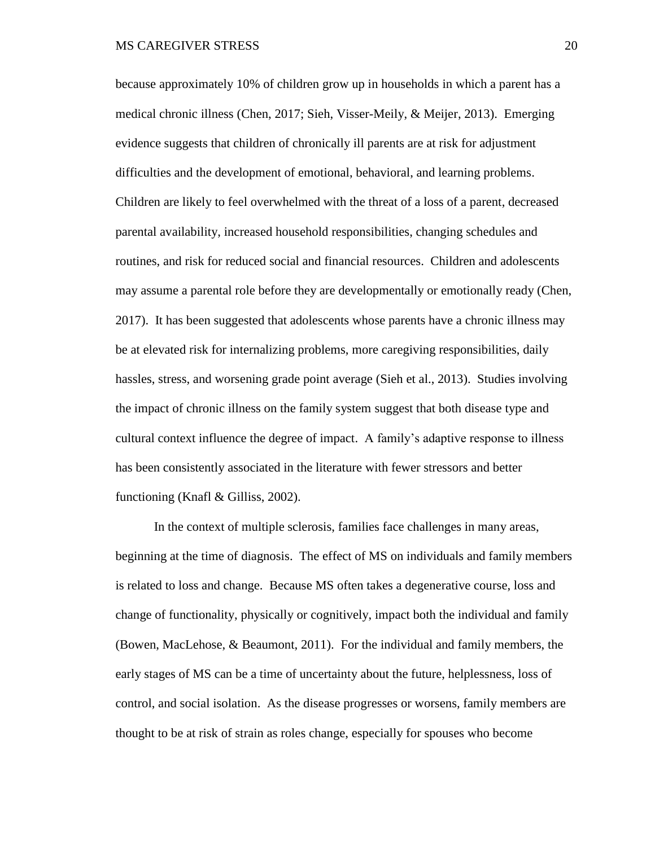because approximately 10% of children grow up in households in which a parent has a medical chronic illness (Chen, 2017; Sieh, Visser-Meily, & Meijer, 2013). Emerging evidence suggests that children of chronically ill parents are at risk for adjustment difficulties and the development of emotional, behavioral, and learning problems. Children are likely to feel overwhelmed with the threat of a loss of a parent, decreased parental availability, increased household responsibilities, changing schedules and routines, and risk for reduced social and financial resources. Children and adolescents may assume a parental role before they are developmentally or emotionally ready (Chen, 2017). It has been suggested that adolescents whose parents have a chronic illness may be at elevated risk for internalizing problems, more caregiving responsibilities, daily hassles, stress, and worsening grade point average (Sieh et al., 2013). Studies involving the impact of chronic illness on the family system suggest that both disease type and cultural context influence the degree of impact. A family's adaptive response to illness has been consistently associated in the literature with fewer stressors and better functioning (Knafl & Gilliss, 2002).

In the context of multiple sclerosis, families face challenges in many areas, beginning at the time of diagnosis. The effect of MS on individuals and family members is related to loss and change. Because MS often takes a degenerative course, loss and change of functionality, physically or cognitively, impact both the individual and family (Bowen, MacLehose, & Beaumont, 2011). For the individual and family members, the early stages of MS can be a time of uncertainty about the future, helplessness, loss of control, and social isolation. As the disease progresses or worsens, family members are thought to be at risk of strain as roles change, especially for spouses who become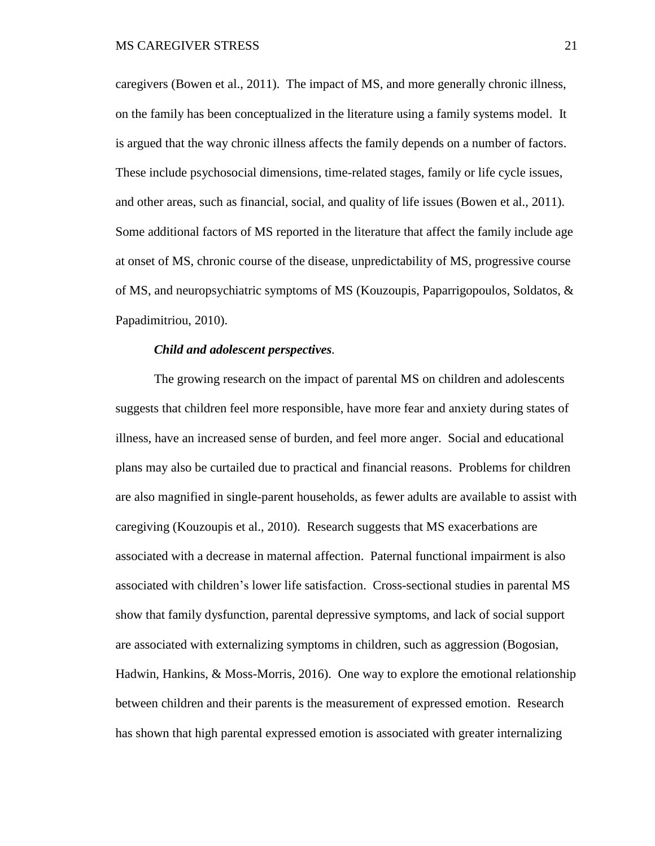caregivers (Bowen et al., 2011). The impact of MS, and more generally chronic illness, on the family has been conceptualized in the literature using a family systems model. It is argued that the way chronic illness affects the family depends on a number of factors. These include psychosocial dimensions, time-related stages, family or life cycle issues, and other areas, such as financial, social, and quality of life issues (Bowen et al., 2011). Some additional factors of MS reported in the literature that affect the family include age at onset of MS, chronic course of the disease, unpredictability of MS, progressive course of MS, and neuropsychiatric symptoms of MS (Kouzoupis, Paparrigopoulos, Soldatos, & Papadimitriou, 2010).

#### *Child and adolescent perspectives.*

<span id="page-30-0"></span>The growing research on the impact of parental MS on children and adolescents suggests that children feel more responsible, have more fear and anxiety during states of illness, have an increased sense of burden, and feel more anger. Social and educational plans may also be curtailed due to practical and financial reasons. Problems for children are also magnified in single-parent households, as fewer adults are available to assist with caregiving (Kouzoupis et al., 2010). Research suggests that MS exacerbations are associated with a decrease in maternal affection. Paternal functional impairment is also associated with children's lower life satisfaction. Cross-sectional studies in parental MS show that family dysfunction, parental depressive symptoms, and lack of social support are associated with externalizing symptoms in children, such as aggression (Bogosian, Hadwin, Hankins, & Moss-Morris, 2016). One way to explore the emotional relationship between children and their parents is the measurement of expressed emotion. Research has shown that high parental expressed emotion is associated with greater internalizing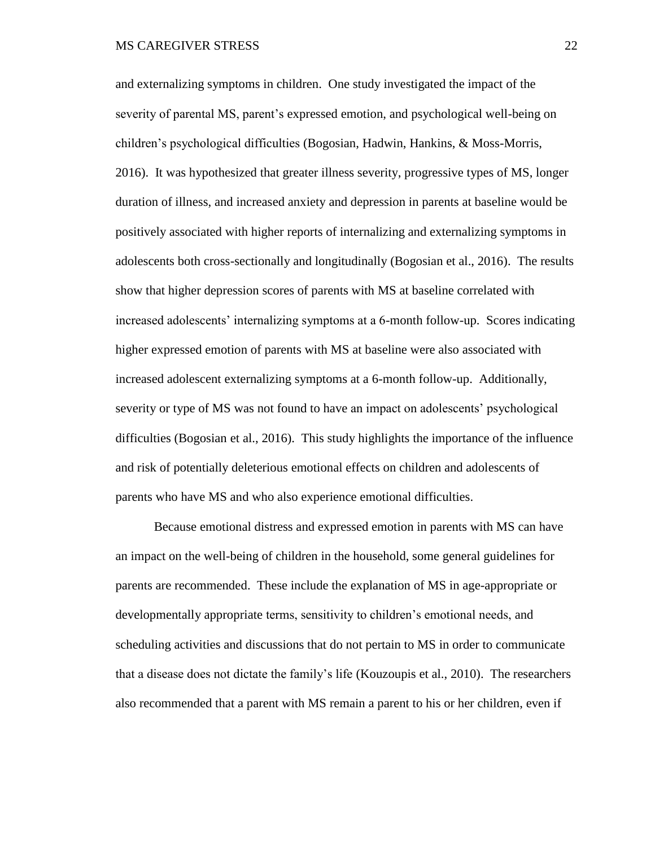and externalizing symptoms in children. One study investigated the impact of the severity of parental MS, parent's expressed emotion, and psychological well-being on children's psychological difficulties (Bogosian, Hadwin, Hankins, & Moss-Morris, 2016). It was hypothesized that greater illness severity, progressive types of MS, longer duration of illness, and increased anxiety and depression in parents at baseline would be positively associated with higher reports of internalizing and externalizing symptoms in adolescents both cross-sectionally and longitudinally (Bogosian et al., 2016). The results show that higher depression scores of parents with MS at baseline correlated with increased adolescents' internalizing symptoms at a 6-month follow-up. Scores indicating higher expressed emotion of parents with MS at baseline were also associated with increased adolescent externalizing symptoms at a 6-month follow-up. Additionally, severity or type of MS was not found to have an impact on adolescents' psychological difficulties (Bogosian et al., 2016). This study highlights the importance of the influence and risk of potentially deleterious emotional effects on children and adolescents of parents who have MS and who also experience emotional difficulties.

Because emotional distress and expressed emotion in parents with MS can have an impact on the well-being of children in the household, some general guidelines for parents are recommended. These include the explanation of MS in age-appropriate or developmentally appropriate terms, sensitivity to children's emotional needs, and scheduling activities and discussions that do not pertain to MS in order to communicate that a disease does not dictate the family's life (Kouzoupis et al., 2010). The researchers also recommended that a parent with MS remain a parent to his or her children, even if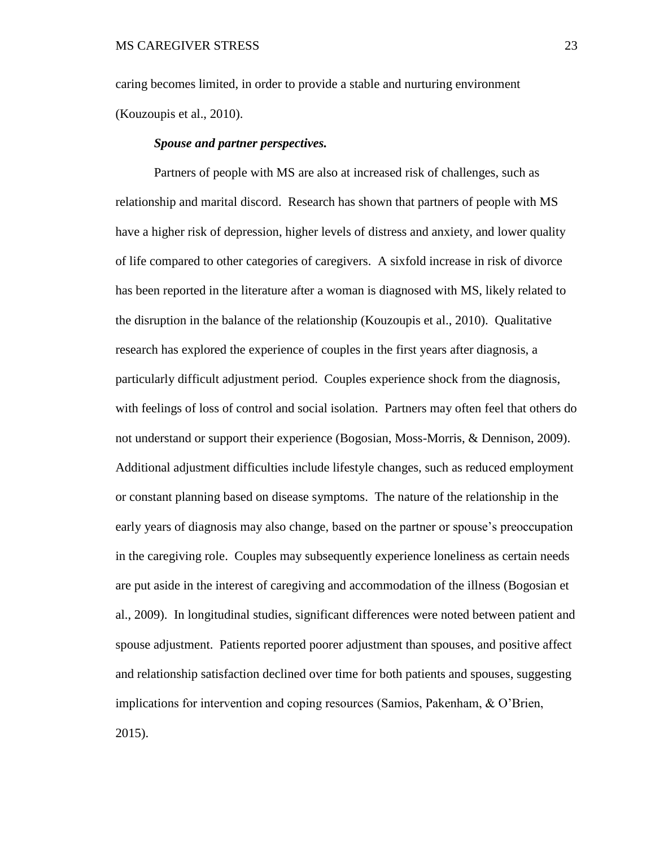caring becomes limited, in order to provide a stable and nurturing environment (Kouzoupis et al., 2010).

#### *Spouse and partner perspectives.*

<span id="page-32-0"></span>Partners of people with MS are also at increased risk of challenges, such as relationship and marital discord. Research has shown that partners of people with MS have a higher risk of depression, higher levels of distress and anxiety, and lower quality of life compared to other categories of caregivers. A sixfold increase in risk of divorce has been reported in the literature after a woman is diagnosed with MS, likely related to the disruption in the balance of the relationship (Kouzoupis et al., 2010). Qualitative research has explored the experience of couples in the first years after diagnosis, a particularly difficult adjustment period. Couples experience shock from the diagnosis, with feelings of loss of control and social isolation. Partners may often feel that others do not understand or support their experience (Bogosian, Moss-Morris, & Dennison, 2009). Additional adjustment difficulties include lifestyle changes, such as reduced employment or constant planning based on disease symptoms. The nature of the relationship in the early years of diagnosis may also change, based on the partner or spouse's preoccupation in the caregiving role. Couples may subsequently experience loneliness as certain needs are put aside in the interest of caregiving and accommodation of the illness (Bogosian et al., 2009). In longitudinal studies, significant differences were noted between patient and spouse adjustment. Patients reported poorer adjustment than spouses, and positive affect and relationship satisfaction declined over time for both patients and spouses, suggesting implications for intervention and coping resources (Samios, Pakenham, & O'Brien, 2015).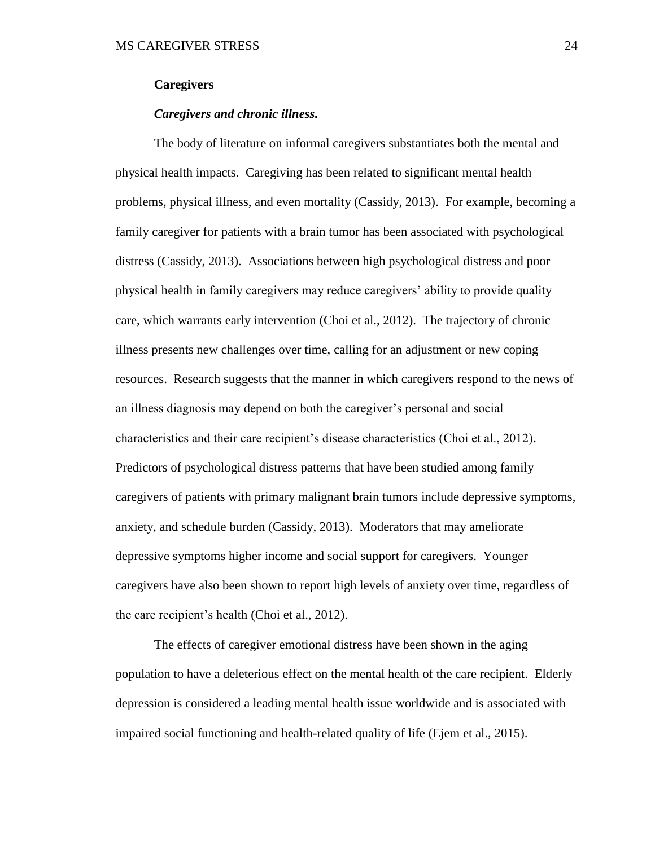#### <span id="page-33-0"></span>**Caregivers**

#### *Caregivers and chronic illness.*

<span id="page-33-1"></span>The body of literature on informal caregivers substantiates both the mental and physical health impacts. Caregiving has been related to significant mental health problems, physical illness, and even mortality (Cassidy, 2013). For example, becoming a family caregiver for patients with a brain tumor has been associated with psychological distress (Cassidy, 2013). Associations between high psychological distress and poor physical health in family caregivers may reduce caregivers' ability to provide quality care, which warrants early intervention (Choi et al., 2012). The trajectory of chronic illness presents new challenges over time, calling for an adjustment or new coping resources. Research suggests that the manner in which caregivers respond to the news of an illness diagnosis may depend on both the caregiver's personal and social characteristics and their care recipient's disease characteristics (Choi et al., 2012). Predictors of psychological distress patterns that have been studied among family caregivers of patients with primary malignant brain tumors include depressive symptoms, anxiety, and schedule burden (Cassidy, 2013). Moderators that may ameliorate depressive symptoms higher income and social support for caregivers. Younger caregivers have also been shown to report high levels of anxiety over time, regardless of the care recipient's health (Choi et al., 2012).

The effects of caregiver emotional distress have been shown in the aging population to have a deleterious effect on the mental health of the care recipient. Elderly depression is considered a leading mental health issue worldwide and is associated with impaired social functioning and health-related quality of life (Ejem et al., 2015).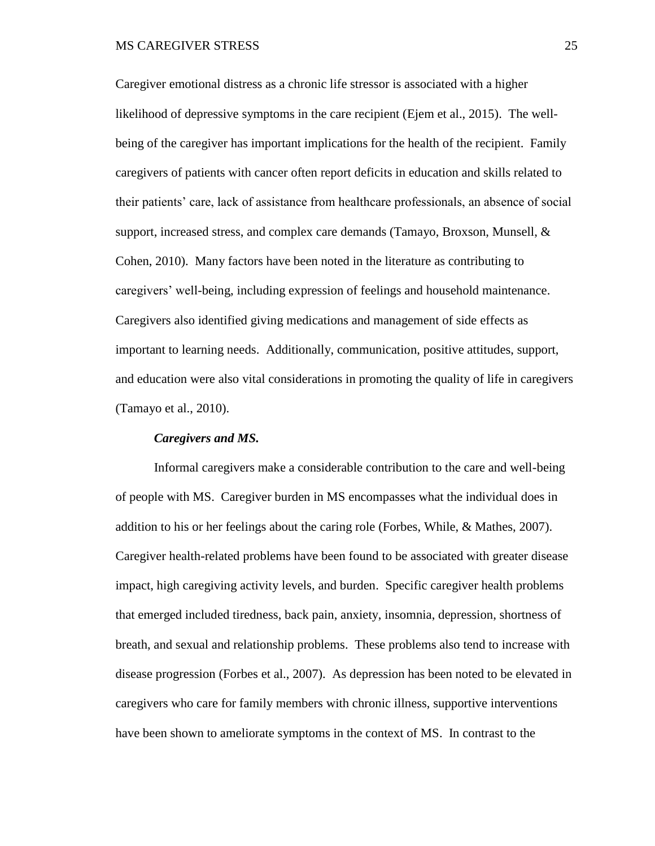Caregiver emotional distress as a chronic life stressor is associated with a higher likelihood of depressive symptoms in the care recipient (Ejem et al., 2015). The wellbeing of the caregiver has important implications for the health of the recipient. Family caregivers of patients with cancer often report deficits in education and skills related to their patients' care, lack of assistance from healthcare professionals, an absence of social support, increased stress, and complex care demands (Tamayo, Broxson, Munsell, & Cohen, 2010). Many factors have been noted in the literature as contributing to caregivers' well-being, including expression of feelings and household maintenance. Caregivers also identified giving medications and management of side effects as important to learning needs. Additionally, communication, positive attitudes, support, and education were also vital considerations in promoting the quality of life in caregivers (Tamayo et al., 2010).

#### *Caregivers and MS.*

<span id="page-34-0"></span>Informal caregivers make a considerable contribution to the care and well-being of people with MS. Caregiver burden in MS encompasses what the individual does in addition to his or her feelings about the caring role (Forbes, While, & Mathes, 2007). Caregiver health-related problems have been found to be associated with greater disease impact, high caregiving activity levels, and burden. Specific caregiver health problems that emerged included tiredness, back pain, anxiety, insomnia, depression, shortness of breath, and sexual and relationship problems. These problems also tend to increase with disease progression (Forbes et al., 2007). As depression has been noted to be elevated in caregivers who care for family members with chronic illness, supportive interventions have been shown to ameliorate symptoms in the context of MS. In contrast to the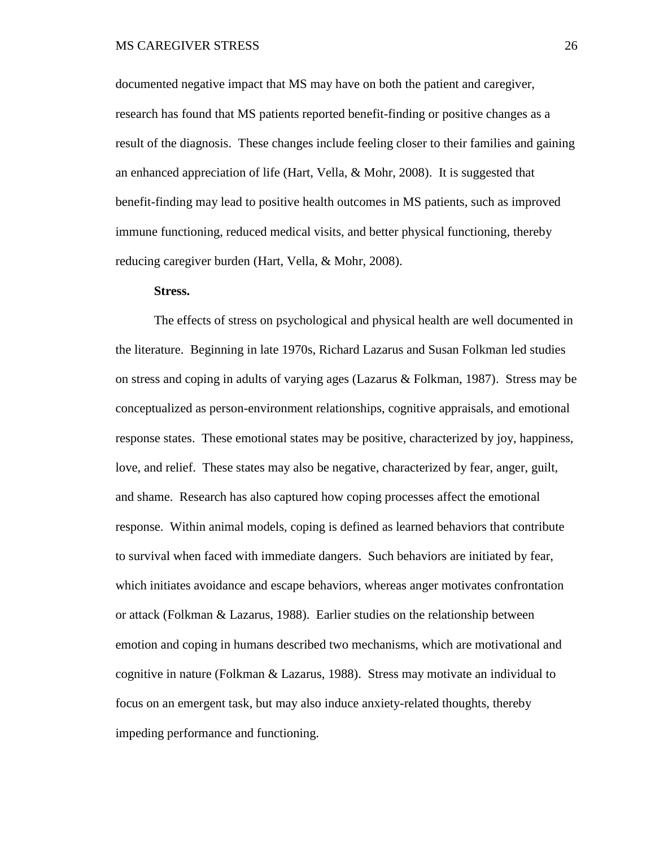documented negative impact that MS may have on both the patient and caregiver, research has found that MS patients reported benefit-finding or positive changes as a result of the diagnosis. These changes include feeling closer to their families and gaining an enhanced appreciation of life (Hart, Vella, & Mohr, 2008). It is suggested that benefit-finding may lead to positive health outcomes in MS patients, such as improved immune functioning, reduced medical visits, and better physical functioning, thereby reducing caregiver burden (Hart, Vella, & Mohr, 2008).

#### **Stress.**

<span id="page-35-0"></span>The effects of stress on psychological and physical health are well documented in the literature. Beginning in late 1970s, Richard Lazarus and Susan Folkman led studies on stress and coping in adults of varying ages (Lazarus & Folkman, 1987). Stress may be conceptualized as person-environment relationships, cognitive appraisals, and emotional response states. These emotional states may be positive, characterized by joy, happiness, love, and relief. These states may also be negative, characterized by fear, anger, guilt, and shame. Research has also captured how coping processes affect the emotional response. Within animal models, coping is defined as learned behaviors that contribute to survival when faced with immediate dangers. Such behaviors are initiated by fear, which initiates avoidance and escape behaviors, whereas anger motivates confrontation or attack (Folkman & Lazarus, 1988). Earlier studies on the relationship between emotion and coping in humans described two mechanisms, which are motivational and cognitive in nature (Folkman & Lazarus, 1988). Stress may motivate an individual to focus on an emergent task, but may also induce anxiety-related thoughts, thereby impeding performance and functioning.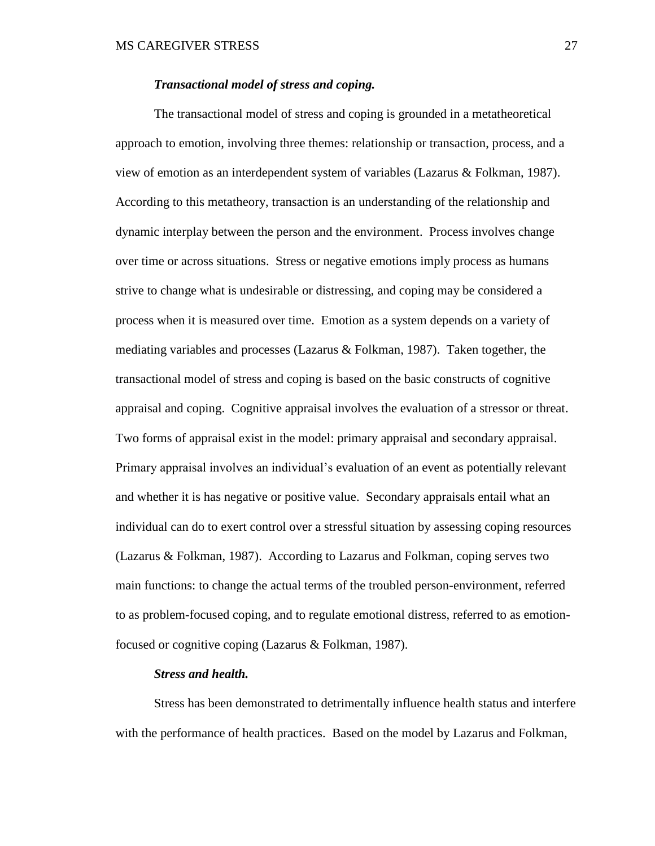#### *Transactional model of stress and coping.*

The transactional model of stress and coping is grounded in a metatheoretical approach to emotion, involving three themes: relationship or transaction, process, and a view of emotion as an interdependent system of variables (Lazarus & Folkman, 1987). According to this metatheory, transaction is an understanding of the relationship and dynamic interplay between the person and the environment. Process involves change over time or across situations. Stress or negative emotions imply process as humans strive to change what is undesirable or distressing, and coping may be considered a process when it is measured over time. Emotion as a system depends on a variety of mediating variables and processes (Lazarus & Folkman, 1987). Taken together, the transactional model of stress and coping is based on the basic constructs of cognitive appraisal and coping. Cognitive appraisal involves the evaluation of a stressor or threat. Two forms of appraisal exist in the model: primary appraisal and secondary appraisal. Primary appraisal involves an individual's evaluation of an event as potentially relevant and whether it is has negative or positive value. Secondary appraisals entail what an individual can do to exert control over a stressful situation by assessing coping resources (Lazarus & Folkman, 1987). According to Lazarus and Folkman, coping serves two main functions: to change the actual terms of the troubled person-environment, referred to as problem-focused coping, and to regulate emotional distress, referred to as emotionfocused or cognitive coping (Lazarus & Folkman, 1987).

#### *Stress and health.*

Stress has been demonstrated to detrimentally influence health status and interfere with the performance of health practices. Based on the model by Lazarus and Folkman,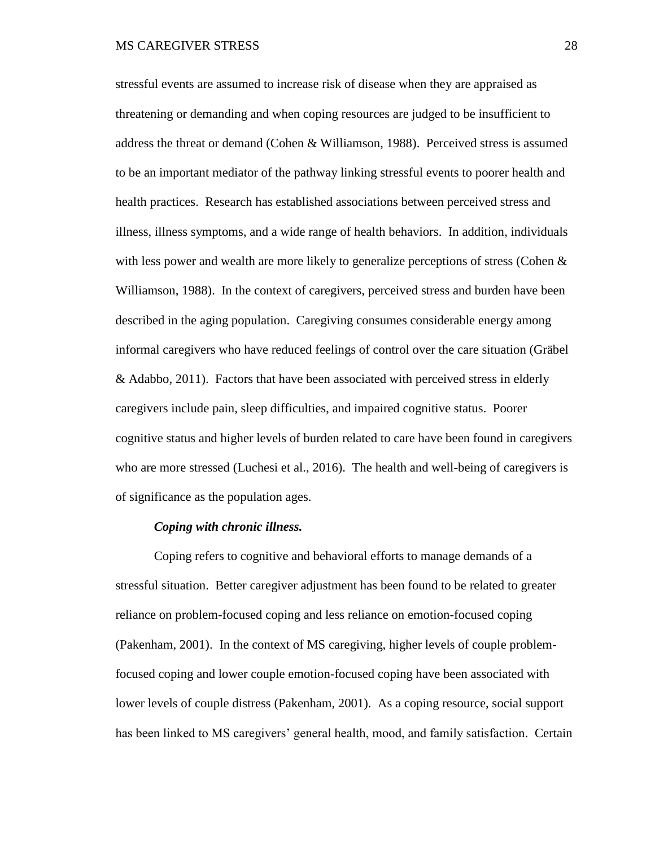stressful events are assumed to increase risk of disease when they are appraised as threatening or demanding and when coping resources are judged to be insufficient to address the threat or demand (Cohen & Williamson, 1988). Perceived stress is assumed to be an important mediator of the pathway linking stressful events to poorer health and health practices. Research has established associations between perceived stress and illness, illness symptoms, and a wide range of health behaviors. In addition, individuals with less power and wealth are more likely to generalize perceptions of stress (Cohen & Williamson, 1988). In the context of caregivers, perceived stress and burden have been described in the aging population. Caregiving consumes considerable energy among informal caregivers who have reduced feelings of control over the care situation (Gräbel & Adabbo, 2011). Factors that have been associated with perceived stress in elderly caregivers include pain, sleep difficulties, and impaired cognitive status. Poorer cognitive status and higher levels of burden related to care have been found in caregivers who are more stressed (Luchesi et al., 2016). The health and well-being of caregivers is of significance as the population ages.

#### *Coping with chronic illness.*

Coping refers to cognitive and behavioral efforts to manage demands of a stressful situation. Better caregiver adjustment has been found to be related to greater reliance on problem-focused coping and less reliance on emotion-focused coping (Pakenham, 2001). In the context of MS caregiving, higher levels of couple problemfocused coping and lower couple emotion-focused coping have been associated with lower levels of couple distress (Pakenham, 2001). As a coping resource, social support has been linked to MS caregivers' general health, mood, and family satisfaction. Certain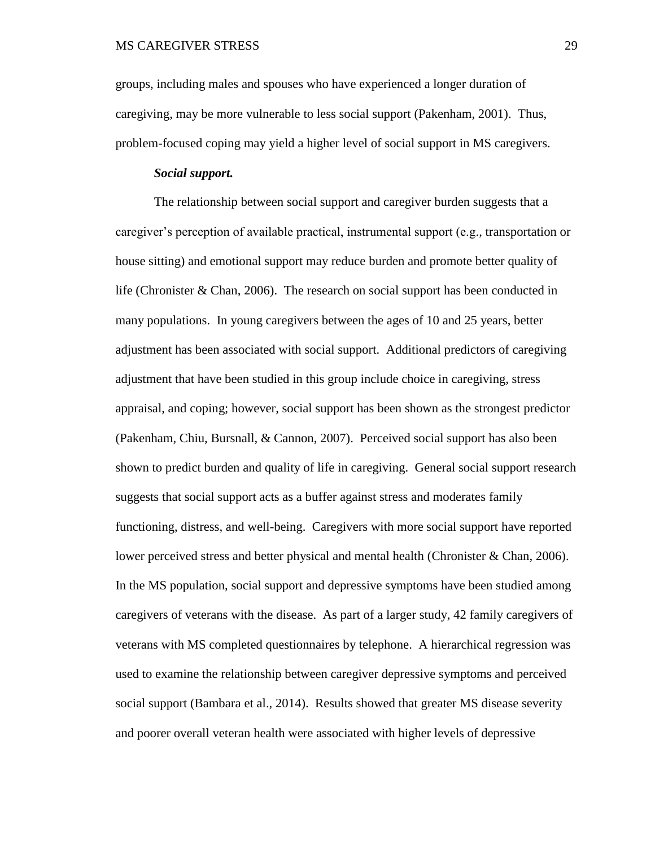groups, including males and spouses who have experienced a longer duration of caregiving, may be more vulnerable to less social support (Pakenham, 2001). Thus, problem-focused coping may yield a higher level of social support in MS caregivers.

## *Social support.*

The relationship between social support and caregiver burden suggests that a caregiver's perception of available practical, instrumental support (e.g., transportation or house sitting) and emotional support may reduce burden and promote better quality of life (Chronister & Chan, 2006). The research on social support has been conducted in many populations. In young caregivers between the ages of 10 and 25 years, better adjustment has been associated with social support. Additional predictors of caregiving adjustment that have been studied in this group include choice in caregiving, stress appraisal, and coping; however, social support has been shown as the strongest predictor (Pakenham, Chiu, Bursnall, & Cannon, 2007). Perceived social support has also been shown to predict burden and quality of life in caregiving. General social support research suggests that social support acts as a buffer against stress and moderates family functioning, distress, and well-being. Caregivers with more social support have reported lower perceived stress and better physical and mental health (Chronister & Chan, 2006). In the MS population, social support and depressive symptoms have been studied among caregivers of veterans with the disease. As part of a larger study, 42 family caregivers of veterans with MS completed questionnaires by telephone. A hierarchical regression was used to examine the relationship between caregiver depressive symptoms and perceived social support (Bambara et al., 2014). Results showed that greater MS disease severity and poorer overall veteran health were associated with higher levels of depressive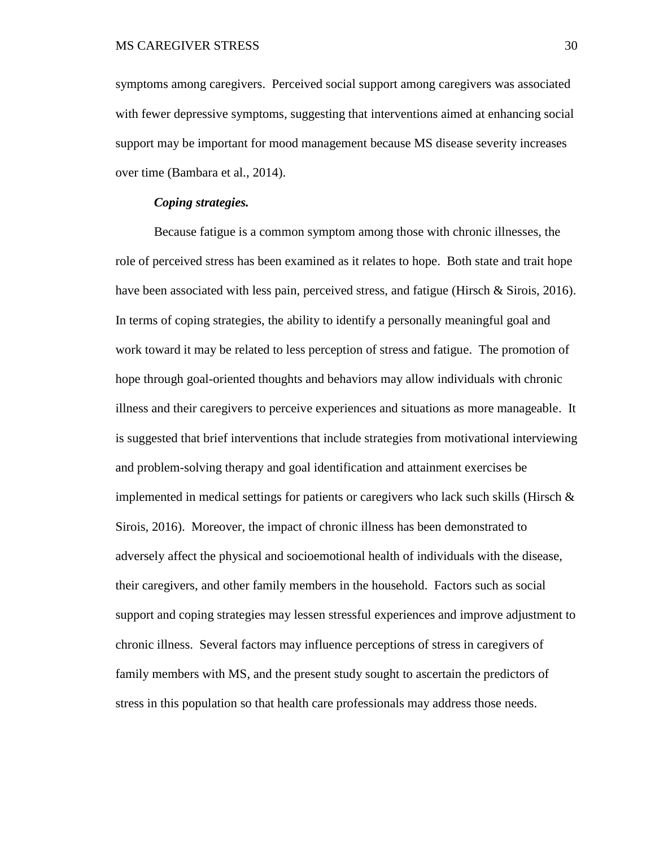symptoms among caregivers. Perceived social support among caregivers was associated with fewer depressive symptoms, suggesting that interventions aimed at enhancing social support may be important for mood management because MS disease severity increases over time (Bambara et al., 2014).

## *Coping strategies.*

Because fatigue is a common symptom among those with chronic illnesses, the role of perceived stress has been examined as it relates to hope. Both state and trait hope have been associated with less pain, perceived stress, and fatigue (Hirsch  $\&$  Sirois, 2016). In terms of coping strategies, the ability to identify a personally meaningful goal and work toward it may be related to less perception of stress and fatigue. The promotion of hope through goal-oriented thoughts and behaviors may allow individuals with chronic illness and their caregivers to perceive experiences and situations as more manageable. It is suggested that brief interventions that include strategies from motivational interviewing and problem-solving therapy and goal identification and attainment exercises be implemented in medical settings for patients or caregivers who lack such skills (Hirsch  $\&$ Sirois, 2016). Moreover, the impact of chronic illness has been demonstrated to adversely affect the physical and socioemotional health of individuals with the disease, their caregivers, and other family members in the household. Factors such as social support and coping strategies may lessen stressful experiences and improve adjustment to chronic illness. Several factors may influence perceptions of stress in caregivers of family members with MS, and the present study sought to ascertain the predictors of stress in this population so that health care professionals may address those needs.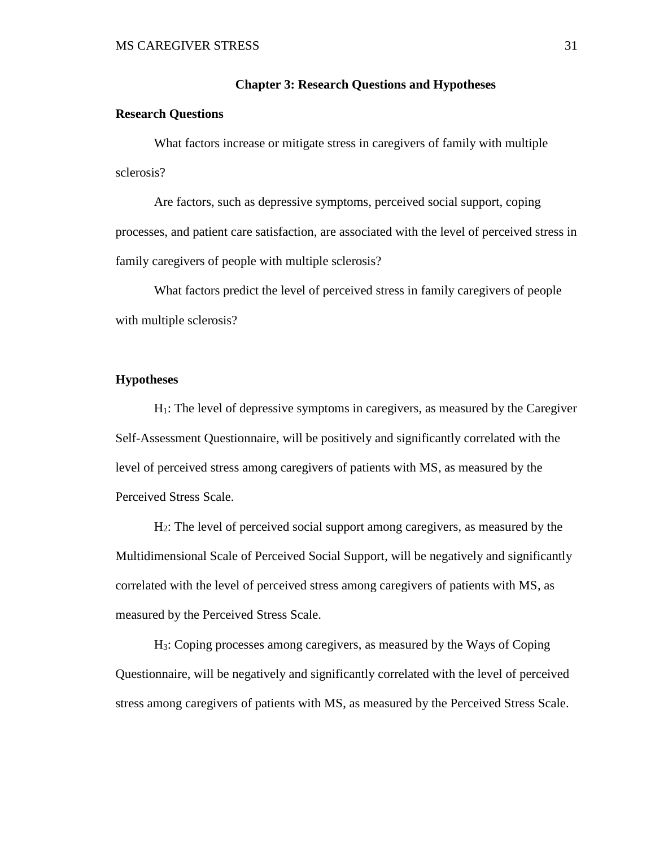#### **Chapter 3: Research Questions and Hypotheses**

#### **Research Questions**

What factors increase or mitigate stress in caregivers of family with multiple sclerosis?

Are factors, such as depressive symptoms, perceived social support, coping processes, and patient care satisfaction, are associated with the level of perceived stress in family caregivers of people with multiple sclerosis?

What factors predict the level of perceived stress in family caregivers of people with multiple sclerosis?

## **Hypotheses**

H1: The level of depressive symptoms in caregivers, as measured by the Caregiver Self-Assessment Questionnaire, will be positively and significantly correlated with the level of perceived stress among caregivers of patients with MS, as measured by the Perceived Stress Scale.

H2: The level of perceived social support among caregivers, as measured by the Multidimensional Scale of Perceived Social Support, will be negatively and significantly correlated with the level of perceived stress among caregivers of patients with MS, as measured by the Perceived Stress Scale.

H3: Coping processes among caregivers, as measured by the Ways of Coping Questionnaire, will be negatively and significantly correlated with the level of perceived stress among caregivers of patients with MS, as measured by the Perceived Stress Scale.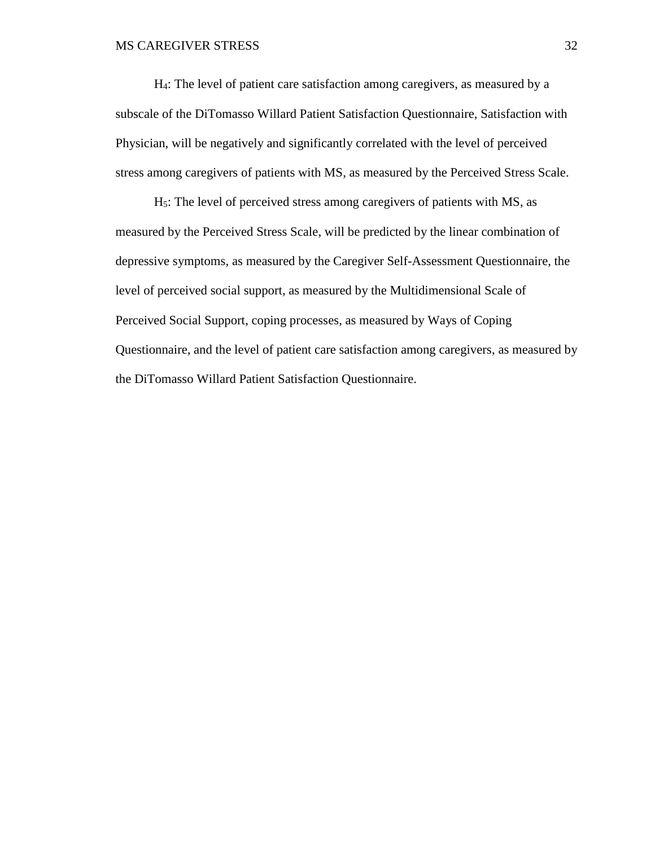H4: The level of patient care satisfaction among caregivers, as measured by a subscale of the DiTomasso Willard Patient Satisfaction Questionnaire, Satisfaction with Physician, will be negatively and significantly correlated with the level of perceived stress among caregivers of patients with MS, as measured by the Perceived Stress Scale.

H5: The level of perceived stress among caregivers of patients with MS, as measured by the Perceived Stress Scale, will be predicted by the linear combination of depressive symptoms, as measured by the Caregiver Self-Assessment Questionnaire, the level of perceived social support, as measured by the Multidimensional Scale of Perceived Social Support, coping processes, as measured by Ways of Coping Questionnaire, and the level of patient care satisfaction among caregivers, as measured by the DiTomasso Willard Patient Satisfaction Questionnaire.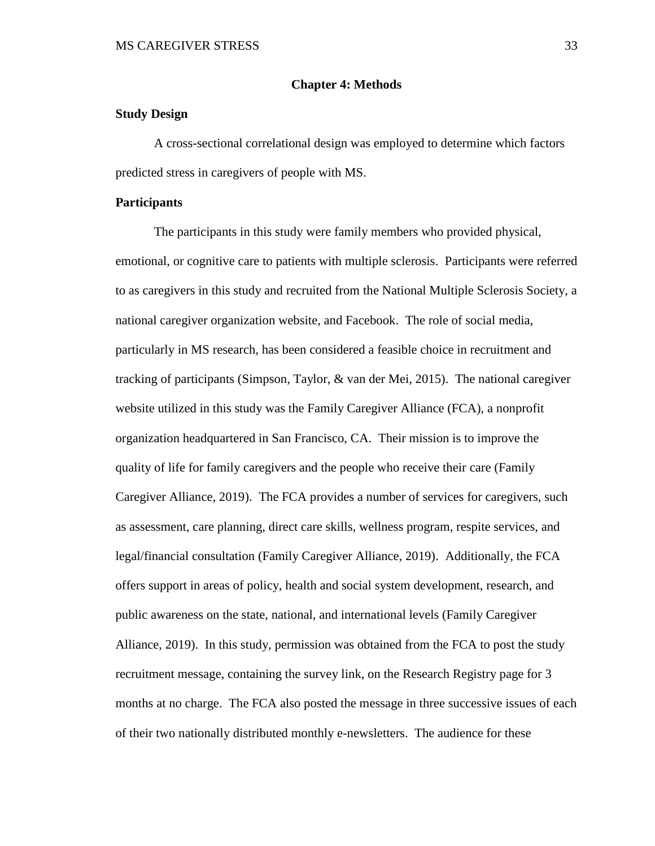#### **Chapter 4: Methods**

## **Study Design**

A cross-sectional correlational design was employed to determine which factors predicted stress in caregivers of people with MS.

## **Participants**

The participants in this study were family members who provided physical, emotional, or cognitive care to patients with multiple sclerosis. Participants were referred to as caregivers in this study and recruited from the National Multiple Sclerosis Society, a national caregiver organization website, and Facebook. The role of social media, particularly in MS research, has been considered a feasible choice in recruitment and tracking of participants (Simpson, Taylor, & van der Mei, 2015). The national caregiver website utilized in this study was the Family Caregiver Alliance (FCA), a nonprofit organization headquartered in San Francisco, CA. Their mission is to improve the quality of life for family caregivers and the people who receive their care (Family Caregiver Alliance, 2019). The FCA provides a number of services for caregivers, such as assessment, care planning, direct care skills, wellness program, respite services, and legal/financial consultation (Family Caregiver Alliance, 2019). Additionally, the FCA offers support in areas of policy, health and social system development, research, and public awareness on the state, national, and international levels (Family Caregiver Alliance, 2019). In this study, permission was obtained from the FCA to post the study recruitment message, containing the survey link, on the Research Registry page for 3 months at no charge. The FCA also posted the message in three successive issues of each of their two nationally distributed monthly e-newsletters. The audience for these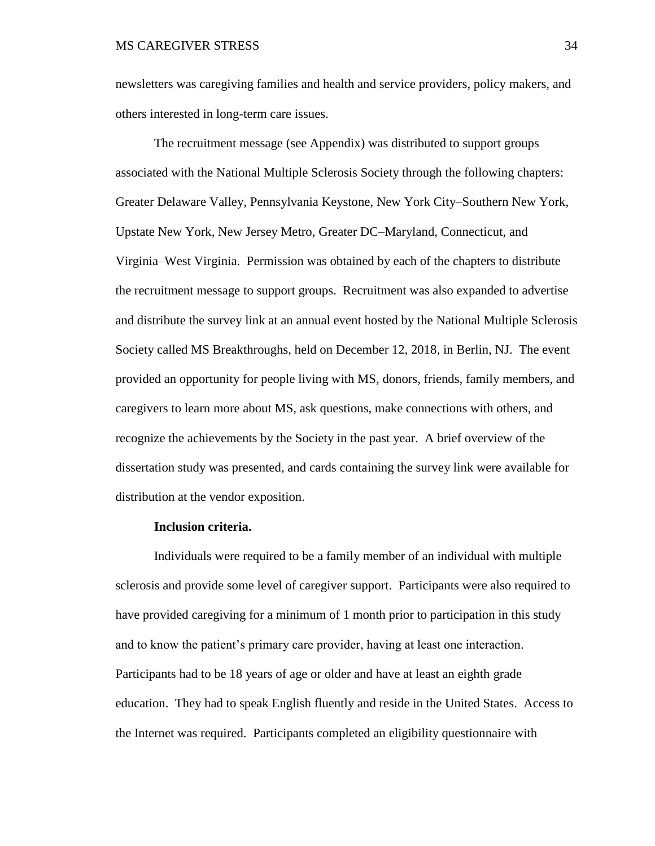newsletters was caregiving families and health and service providers, policy makers, and others interested in long-term care issues.

The recruitment message (see Appendix) was distributed to support groups associated with the National Multiple Sclerosis Society through the following chapters: Greater Delaware Valley, Pennsylvania Keystone, New York City–Southern New York, Upstate New York, New Jersey Metro, Greater DC–Maryland, Connecticut, and Virginia–West Virginia. Permission was obtained by each of the chapters to distribute the recruitment message to support groups. Recruitment was also expanded to advertise and distribute the survey link at an annual event hosted by the National Multiple Sclerosis Society called MS Breakthroughs, held on December 12, 2018, in Berlin, NJ. The event provided an opportunity for people living with MS, donors, friends, family members, and caregivers to learn more about MS, ask questions, make connections with others, and recognize the achievements by the Society in the past year. A brief overview of the dissertation study was presented, and cards containing the survey link were available for distribution at the vendor exposition.

#### **Inclusion criteria.**

Individuals were required to be a family member of an individual with multiple sclerosis and provide some level of caregiver support. Participants were also required to have provided caregiving for a minimum of 1 month prior to participation in this study and to know the patient's primary care provider, having at least one interaction. Participants had to be 18 years of age or older and have at least an eighth grade education. They had to speak English fluently and reside in the United States. Access to the Internet was required. Participants completed an eligibility questionnaire with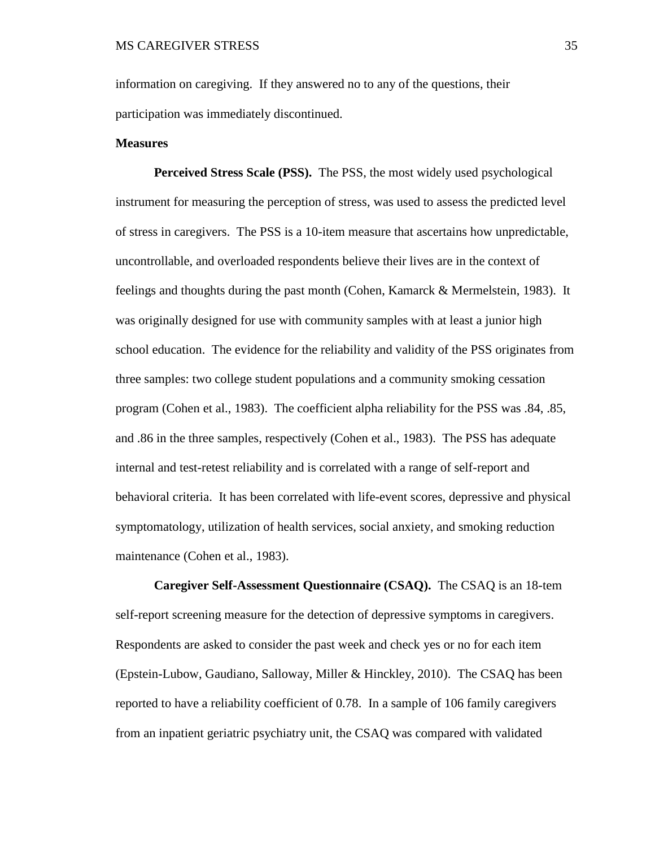information on caregiving. If they answered no to any of the questions, their participation was immediately discontinued.

#### **Measures**

**Perceived Stress Scale (PSS).**The PSS, the most widely used psychological instrument for measuring the perception of stress, was used to assess the predicted level of stress in caregivers. The PSS is a 10-item measure that ascertains how unpredictable, uncontrollable, and overloaded respondents believe their lives are in the context of feelings and thoughts during the past month (Cohen, Kamarck & Mermelstein, 1983). It was originally designed for use with community samples with at least a junior high school education. The evidence for the reliability and validity of the PSS originates from three samples: two college student populations and a community smoking cessation program (Cohen et al., 1983). The coefficient alpha reliability for the PSS was .84, .85, and .86 in the three samples, respectively (Cohen et al., 1983). The PSS has adequate internal and test-retest reliability and is correlated with a range of self-report and behavioral criteria. It has been correlated with life-event scores, depressive and physical symptomatology, utilization of health services, social anxiety, and smoking reduction maintenance (Cohen et al., 1983).

**Caregiver Self-Assessment Questionnaire (CSAQ).** The CSAQ is an 18-tem self-report screening measure for the detection of depressive symptoms in caregivers. Respondents are asked to consider the past week and check yes or no for each item (Epstein-Lubow, Gaudiano, Salloway, Miller & Hinckley, 2010). The CSAQ has been reported to have a reliability coefficient of 0.78. In a sample of 106 family caregivers from an inpatient geriatric psychiatry unit, the CSAQ was compared with validated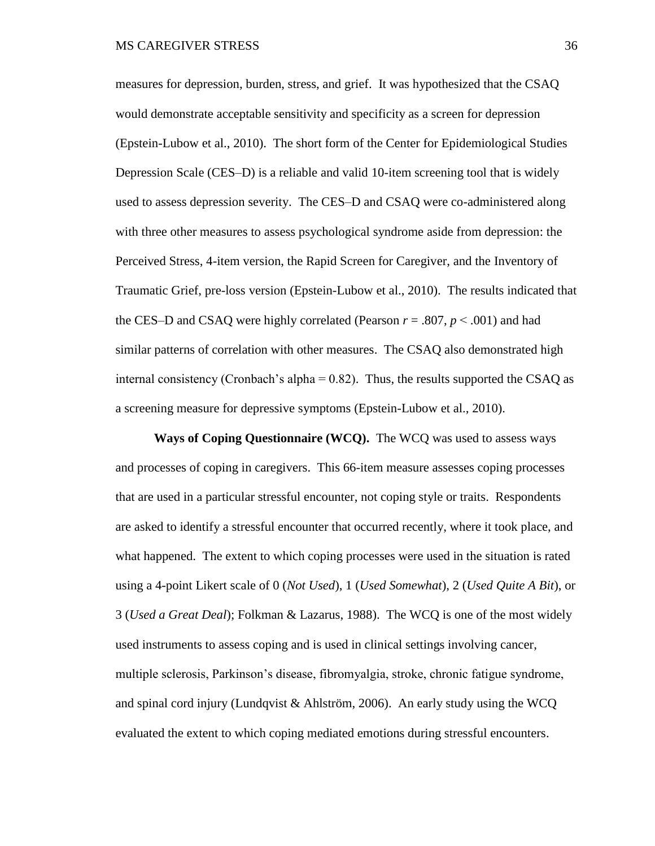measures for depression, burden, stress, and grief. It was hypothesized that the CSAQ would demonstrate acceptable sensitivity and specificity as a screen for depression (Epstein-Lubow et al., 2010). The short form of the Center for Epidemiological Studies Depression Scale (CES–D) is a reliable and valid 10-item screening tool that is widely used to assess depression severity. The CES–D and CSAQ were co-administered along with three other measures to assess psychological syndrome aside from depression: the Perceived Stress, 4-item version, the Rapid Screen for Caregiver, and the Inventory of Traumatic Grief, pre-loss version (Epstein-Lubow et al., 2010). The results indicated that the CES–D and CSAQ were highly correlated (Pearson  $r = .807$ ,  $p < .001$ ) and had similar patterns of correlation with other measures. The CSAQ also demonstrated high internal consistency (Cronbach's alpha  $= 0.82$ ). Thus, the results supported the CSAQ as a screening measure for depressive symptoms (Epstein-Lubow et al., 2010).

**Ways of Coping Questionnaire (WCQ).**The WCQ was used to assess ways and processes of coping in caregivers. This 66-item measure assesses coping processes that are used in a particular stressful encounter, not coping style or traits. Respondents are asked to identify a stressful encounter that occurred recently, where it took place, and what happened. The extent to which coping processes were used in the situation is rated using a 4-point Likert scale of 0 (*Not Used*), 1 (*Used Somewhat*), 2 (*Used Quite A Bit*), or 3 (*Used a Great Deal*); Folkman & Lazarus, 1988). The WCQ is one of the most widely used instruments to assess coping and is used in clinical settings involving cancer, multiple sclerosis, Parkinson's disease, fibromyalgia, stroke, chronic fatigue syndrome, and spinal cord injury (Lundqvist & Ahlström, 2006). An early study using the WCQ evaluated the extent to which coping mediated emotions during stressful encounters.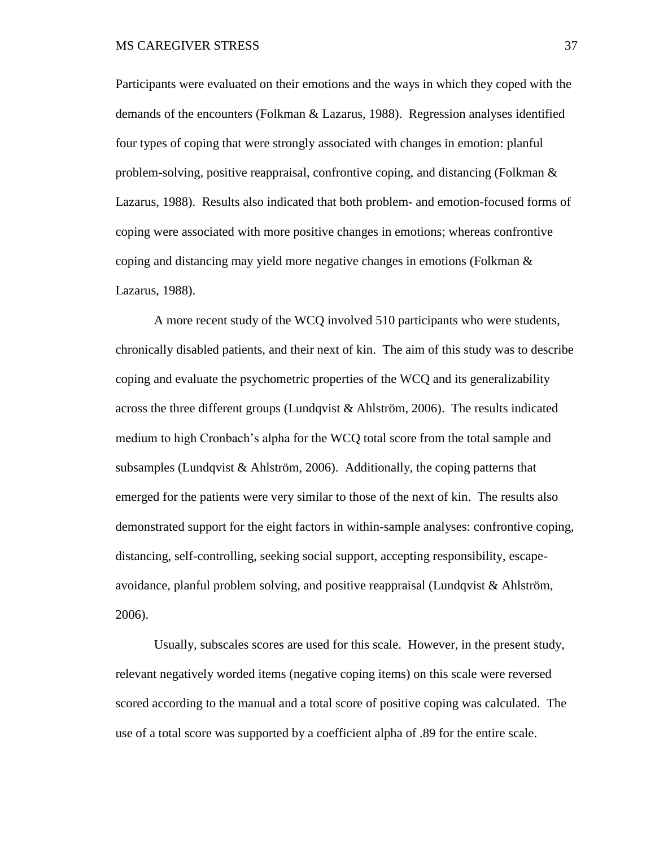Participants were evaluated on their emotions and the ways in which they coped with the demands of the encounters (Folkman & Lazarus, 1988). Regression analyses identified four types of coping that were strongly associated with changes in emotion: planful problem-solving, positive reappraisal, confrontive coping, and distancing (Folkman & Lazarus, 1988). Results also indicated that both problem- and emotion-focused forms of coping were associated with more positive changes in emotions; whereas confrontive coping and distancing may yield more negative changes in emotions (Folkman  $\&$ Lazarus, 1988).

A more recent study of the WCQ involved 510 participants who were students, chronically disabled patients, and their next of kin. The aim of this study was to describe coping and evaluate the psychometric properties of the WCQ and its generalizability across the three different groups (Lundqvist & Ahlström, 2006). The results indicated medium to high Cronbach's alpha for the WCQ total score from the total sample and subsamples (Lundqvist & Ahlström, 2006). Additionally, the coping patterns that emerged for the patients were very similar to those of the next of kin. The results also demonstrated support for the eight factors in within-sample analyses: confrontive coping, distancing, self-controlling, seeking social support, accepting responsibility, escapeavoidance, planful problem solving, and positive reappraisal (Lundqvist & Ahlström, 2006).

Usually, subscales scores are used for this scale. However, in the present study, relevant negatively worded items (negative coping items) on this scale were reversed scored according to the manual and a total score of positive coping was calculated. The use of a total score was supported by a coefficient alpha of .89 for the entire scale.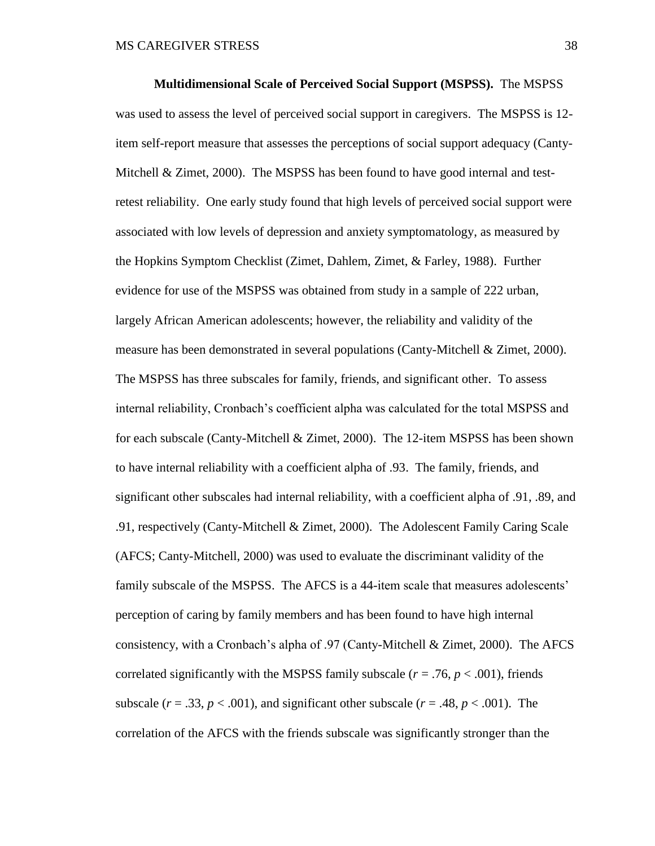**Multidimensional Scale of Perceived Social Support (MSPSS).**The MSPSS was used to assess the level of perceived social support in caregivers. The MSPSS is 12 item self-report measure that assesses the perceptions of social support adequacy (Canty-Mitchell  $\&$  Zimet, 2000). The MSPSS has been found to have good internal and testretest reliability. One early study found that high levels of perceived social support were associated with low levels of depression and anxiety symptomatology, as measured by the Hopkins Symptom Checklist (Zimet, Dahlem, Zimet, & Farley, 1988). Further evidence for use of the MSPSS was obtained from study in a sample of 222 urban, largely African American adolescents; however, the reliability and validity of the measure has been demonstrated in several populations (Canty-Mitchell  $& Zimet, 2000$ ). The MSPSS has three subscales for family, friends, and significant other. To assess internal reliability, Cronbach's coefficient alpha was calculated for the total MSPSS and for each subscale (Canty-Mitchell & Zimet, 2000). The 12-item MSPSS has been shown to have internal reliability with a coefficient alpha of .93. The family, friends, and significant other subscales had internal reliability, with a coefficient alpha of .91, .89, and .91, respectively (Canty-Mitchell & Zimet, 2000). The Adolescent Family Caring Scale (AFCS; Canty-Mitchell, 2000) was used to evaluate the discriminant validity of the family subscale of the MSPSS. The AFCS is a 44-item scale that measures adolescents' perception of caring by family members and has been found to have high internal consistency, with a Cronbach's alpha of .97 (Canty-Mitchell & Zimet, 2000). The AFCS correlated significantly with the MSPSS family subscale ( $r = .76$ ,  $p < .001$ ), friends subscale ( $r = .33$ ,  $p < .001$ ), and significant other subscale ( $r = .48$ ,  $p < .001$ ). The correlation of the AFCS with the friends subscale was significantly stronger than the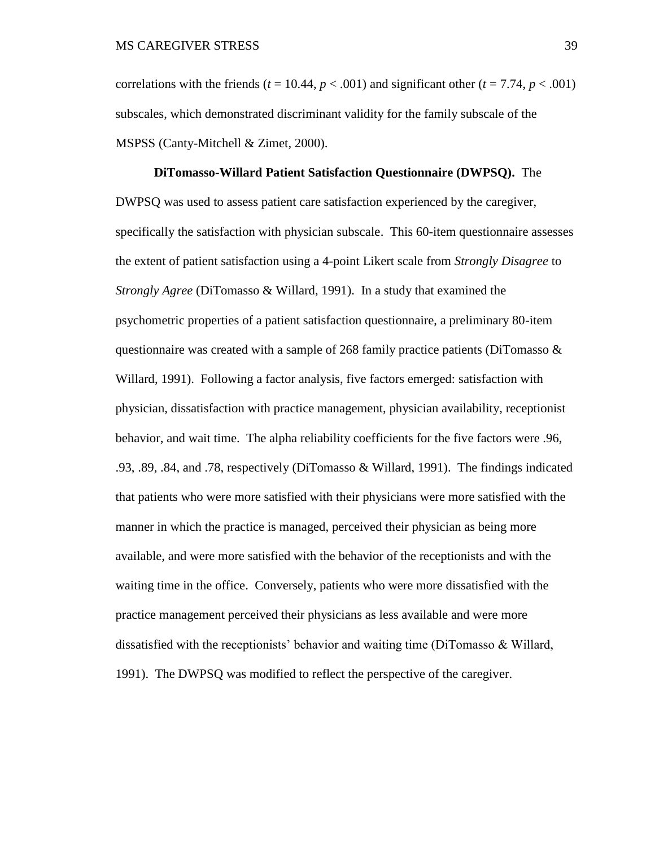correlations with the friends ( $t = 10.44$ ,  $p < .001$ ) and significant other ( $t = 7.74$ ,  $p < .001$ ) subscales, which demonstrated discriminant validity for the family subscale of the MSPSS (Canty-Mitchell & Zimet, 2000).

**DiTomasso-Willard Patient Satisfaction Questionnaire (DWPSQ).**The DWPSQ was used to assess patient care satisfaction experienced by the caregiver, specifically the satisfaction with physician subscale. This 60-item questionnaire assesses the extent of patient satisfaction using a 4-point Likert scale from *Strongly Disagree* to *Strongly Agree* (DiTomasso & Willard, 1991). In a study that examined the psychometric properties of a patient satisfaction questionnaire, a preliminary 80-item questionnaire was created with a sample of 268 family practice patients (DiTomasso  $\&$ Willard, 1991). Following a factor analysis, five factors emerged: satisfaction with physician, dissatisfaction with practice management, physician availability, receptionist behavior, and wait time. The alpha reliability coefficients for the five factors were .96, .93, .89, .84, and .78, respectively (DiTomasso & Willard, 1991). The findings indicated that patients who were more satisfied with their physicians were more satisfied with the manner in which the practice is managed, perceived their physician as being more available, and were more satisfied with the behavior of the receptionists and with the waiting time in the office. Conversely, patients who were more dissatisfied with the practice management perceived their physicians as less available and were more dissatisfied with the receptionists' behavior and waiting time (DiTomasso & Willard, 1991). The DWPSQ was modified to reflect the perspective of the caregiver.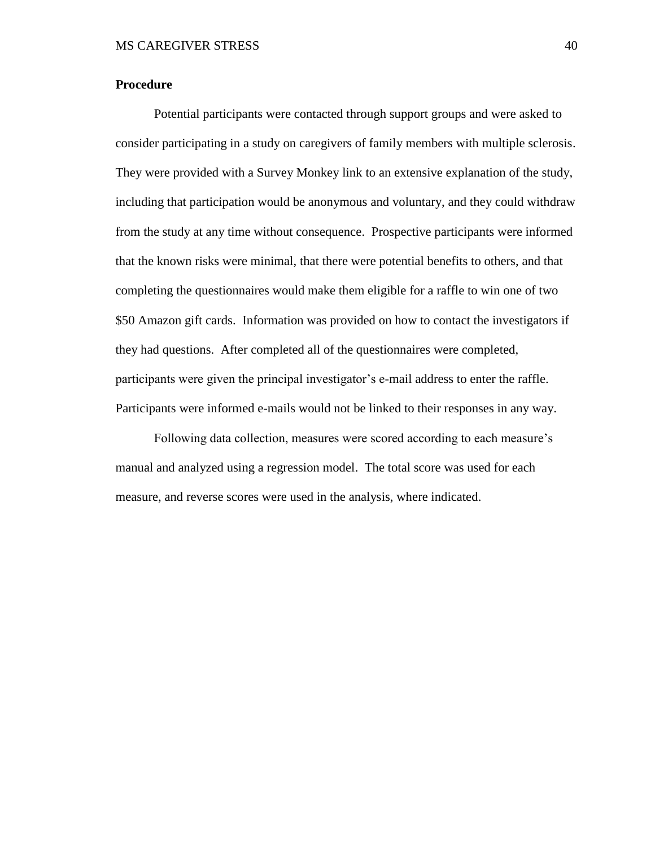## **Procedure**

Potential participants were contacted through support groups and were asked to consider participating in a study on caregivers of family members with multiple sclerosis. They were provided with a Survey Monkey link to an extensive explanation of the study, including that participation would be anonymous and voluntary, and they could withdraw from the study at any time without consequence. Prospective participants were informed that the known risks were minimal, that there were potential benefits to others, and that completing the questionnaires would make them eligible for a raffle to win one of two \$50 Amazon gift cards. Information was provided on how to contact the investigators if they had questions. After completed all of the questionnaires were completed, participants were given the principal investigator's e-mail address to enter the raffle. Participants were informed e-mails would not be linked to their responses in any way.

Following data collection, measures were scored according to each measure's manual and analyzed using a regression model. The total score was used for each measure, and reverse scores were used in the analysis, where indicated.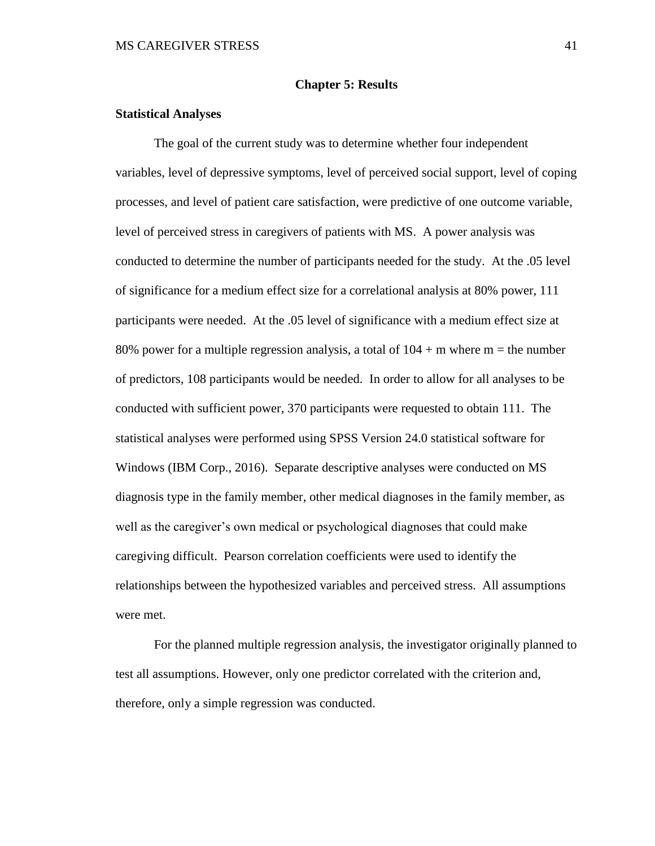#### **Chapter 5: Results**

## **Statistical Analyses**

The goal of the current study was to determine whether four independent variables, level of depressive symptoms, level of perceived social support, level of coping processes, and level of patient care satisfaction, were predictive of one outcome variable, level of perceived stress in caregivers of patients with MS. A power analysis was conducted to determine the number of participants needed for the study. At the .05 level of significance for a medium effect size for a correlational analysis at 80% power, 111 participants were needed. At the .05 level of significance with a medium effect size at 80% power for a multiple regression analysis, a total of  $104 + m$  where  $m =$  the number of predictors, 108 participants would be needed. In order to allow for all analyses to be conducted with sufficient power, 370 participants were requested to obtain 111. The statistical analyses were performed using SPSS Version 24.0 statistical software for Windows (IBM Corp., 2016). Separate descriptive analyses were conducted on MS diagnosis type in the family member, other medical diagnoses in the family member, as well as the caregiver's own medical or psychological diagnoses that could make caregiving difficult. Pearson correlation coefficients were used to identify the relationships between the hypothesized variables and perceived stress. All assumptions were met.

For the planned multiple regression analysis, the investigator originally planned to test all assumptions. However, only one predictor correlated with the criterion and, therefore, only a simple regression was conducted.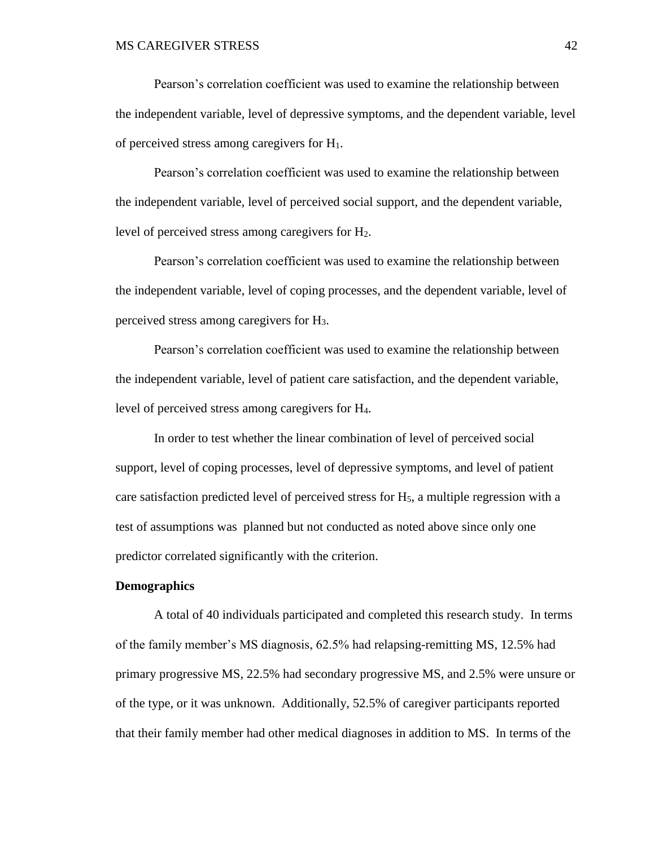Pearson's correlation coefficient was used to examine the relationship between the independent variable, level of depressive symptoms, and the dependent variable, level of perceived stress among caregivers for H1.

Pearson's correlation coefficient was used to examine the relationship between the independent variable, level of perceived social support, and the dependent variable, level of perceived stress among caregivers for H2.

Pearson's correlation coefficient was used to examine the relationship between the independent variable, level of coping processes, and the dependent variable, level of perceived stress among caregivers for H3.

Pearson's correlation coefficient was used to examine the relationship between the independent variable, level of patient care satisfaction, and the dependent variable, level of perceived stress among caregivers for H4.

In order to test whether the linear combination of level of perceived social support, level of coping processes, level of depressive symptoms, and level of patient care satisfaction predicted level of perceived stress for  $H<sub>5</sub>$ , a multiple regression with a test of assumptions was planned but not conducted as noted above since only one predictor correlated significantly with the criterion.

#### **Demographics**

A total of 40 individuals participated and completed this research study. In terms of the family member's MS diagnosis, 62.5% had relapsing-remitting MS, 12.5% had primary progressive MS, 22.5% had secondary progressive MS, and 2.5% were unsure or of the type, or it was unknown. Additionally, 52.5% of caregiver participants reported that their family member had other medical diagnoses in addition to MS. In terms of the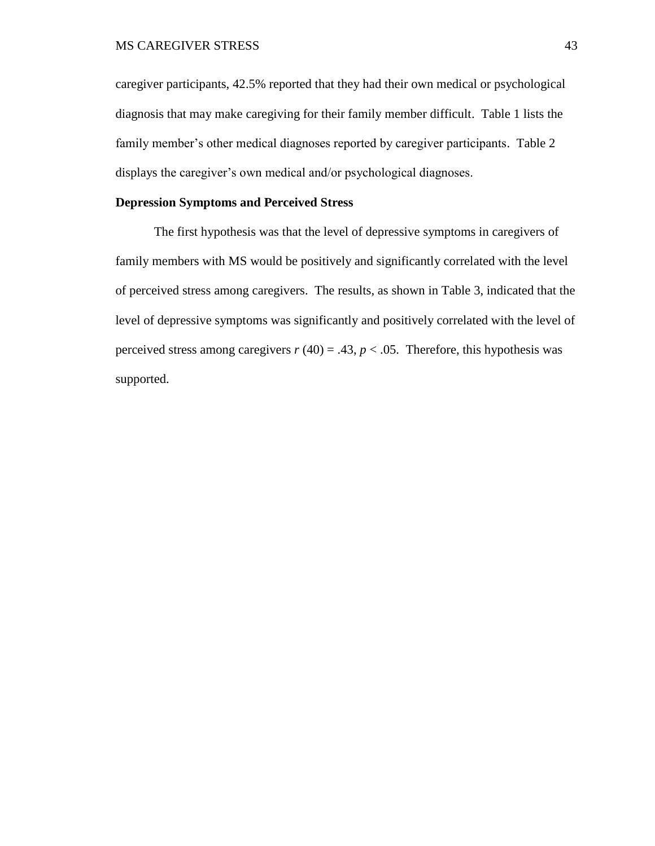caregiver participants, 42.5% reported that they had their own medical or psychological diagnosis that may make caregiving for their family member difficult. Table 1 lists the family member's other medical diagnoses reported by caregiver participants. Table 2 displays the caregiver's own medical and/or psychological diagnoses.

## **Depression Symptoms and Perceived Stress**

The first hypothesis was that the level of depressive symptoms in caregivers of family members with MS would be positively and significantly correlated with the level of perceived stress among caregivers. The results, as shown in Table 3, indicated that the level of depressive symptoms was significantly and positively correlated with the level of perceived stress among caregivers  $r(40) = .43$ ,  $p < .05$ . Therefore, this hypothesis was supported.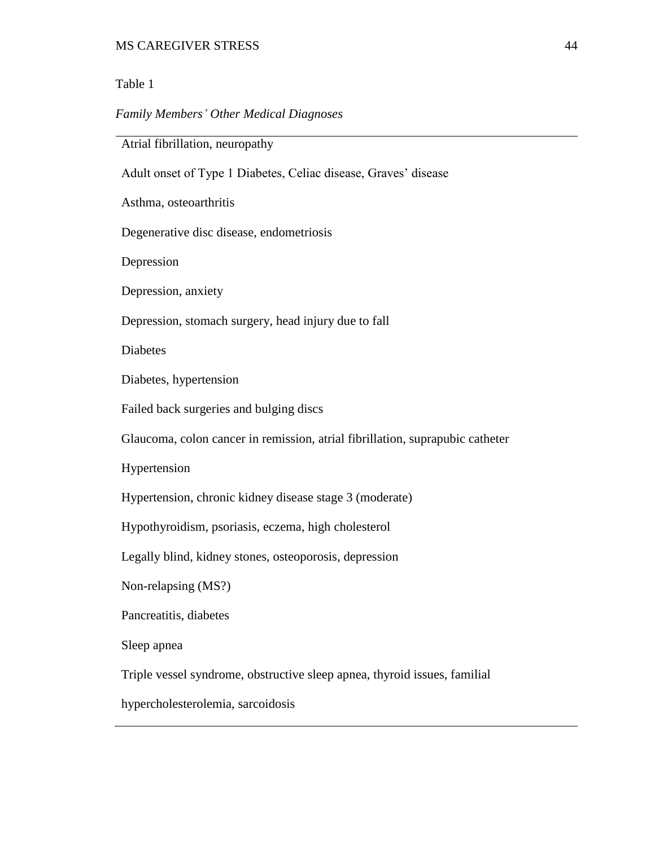## Table 1

## *Family Members' Other Medical Diagnoses*

Atrial fibrillation, neuropathy

Adult onset of Type 1 Diabetes, Celiac disease, Graves' disease

Asthma, osteoarthritis

Degenerative disc disease, endometriosis

Depression

Depression, anxiety

Depression, stomach surgery, head injury due to fall

Diabetes

Diabetes, hypertension

Failed back surgeries and bulging discs

Glaucoma, colon cancer in remission, atrial fibrillation, suprapubic catheter

Hypertension

Hypertension, chronic kidney disease stage 3 (moderate)

Hypothyroidism, psoriasis, eczema, high cholesterol

Legally blind, kidney stones, osteoporosis, depression

Non-relapsing (MS?)

Pancreatitis, diabetes

Sleep apnea

Triple vessel syndrome, obstructive sleep apnea, thyroid issues, familial

hypercholesterolemia, sarcoidosis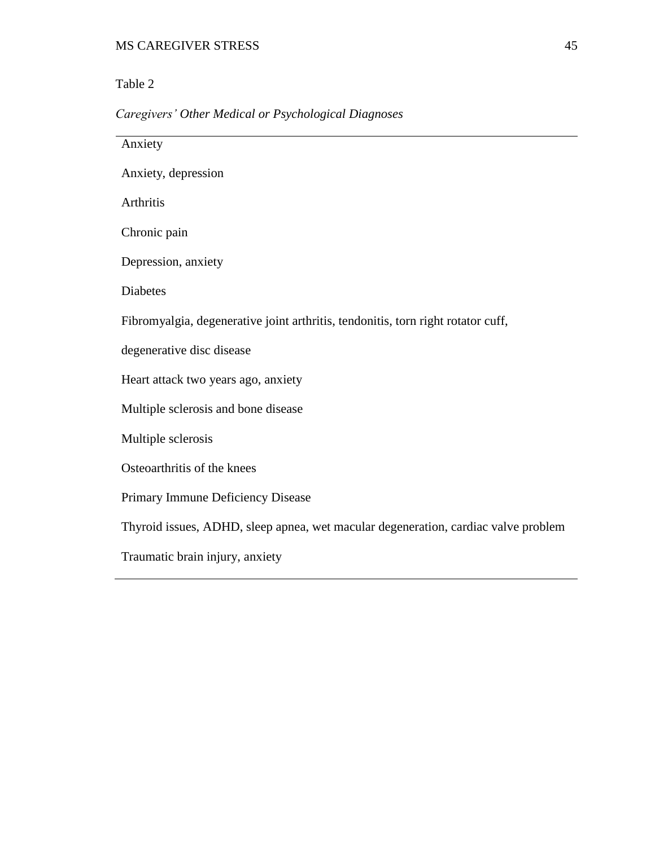# Table 2

# *Caregivers' Other Medical or Psychological Diagnoses*

| Anxiety                                                                            |
|------------------------------------------------------------------------------------|
| Anxiety, depression                                                                |
| Arthritis                                                                          |
| Chronic pain                                                                       |
| Depression, anxiety                                                                |
| <b>Diabetes</b>                                                                    |
| Fibromyalgia, degenerative joint arthritis, tendonitis, torn right rotator cuff,   |
| degenerative disc disease                                                          |
| Heart attack two years ago, anxiety                                                |
| Multiple sclerosis and bone disease                                                |
| Multiple sclerosis                                                                 |
| Osteoarthritis of the knees                                                        |
| Primary Immune Deficiency Disease                                                  |
| Thyroid issues, ADHD, sleep apnea, wet macular degeneration, cardiac valve problem |
| Traumatic brain injury, anxiety                                                    |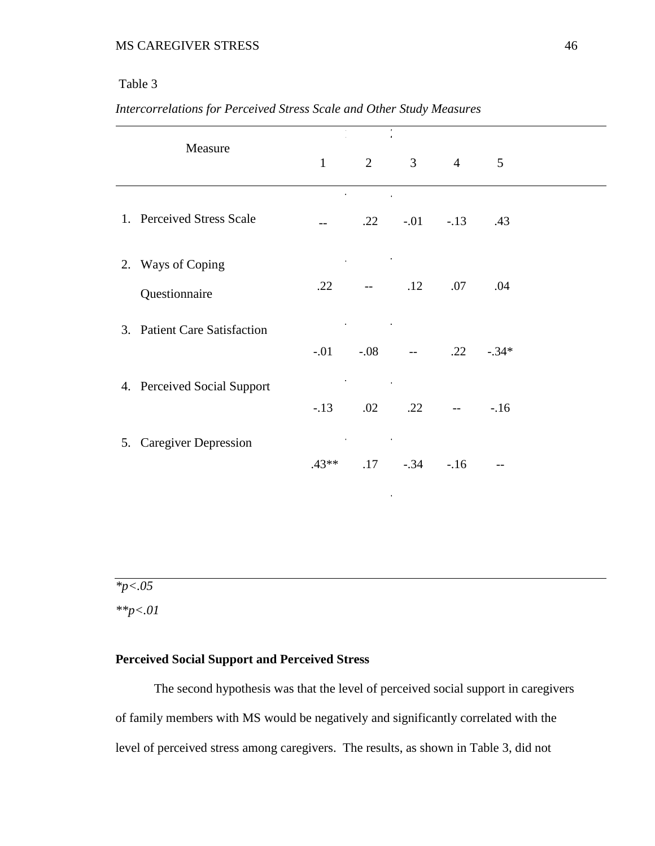# Table 3

| Intercorrelations for Perceived Stress Scale and Other Study Measures |  |  |
|-----------------------------------------------------------------------|--|--|
|                                                                       |  |  |

|                   | Measure                      | $\mathbf{1}$ | $\overline{2}$                           |                                | $3 \t 4$                  | 5       |  |
|-------------------|------------------------------|--------------|------------------------------------------|--------------------------------|---------------------------|---------|--|
|                   | 1. Perceived Stress Scale    |              | and the state of the state of            | $.22 \t - .01 \t - .13 \t .43$ |                           |         |  |
| 2. Ways of Coping | Questionnaire                | .22          | and the company of the                   | $ .12$                         | .07                       | .04     |  |
|                   | 3. Patient Care Satisfaction |              | <b>Contract Contract</b>                 | $-.01$ $-.08$ $-.22$           |                           | $-.34*$ |  |
|                   | 4. Perceived Social Support  | $-13$        | the control of the control of the<br>.02 | .22                            | $\mathbb{L}^{\mathbb{L}}$ | $-.16$  |  |
|                   | 5. Caregiver Depression      | $.43**$      | the contract of the contract of<br>.17   | $-.34-.16$                     |                           | $-$     |  |

*\*p<.05*

*\*\*p<.01*

## **Perceived Social Support and Perceived Stress**

The second hypothesis was that the level of perceived social support in caregivers of family members with MS would be negatively and significantly correlated with the level of perceived stress among caregivers. The results, as shown in Table 3, did not

. The same independent of the same independent of  $\mathcal{L}_\text{c}$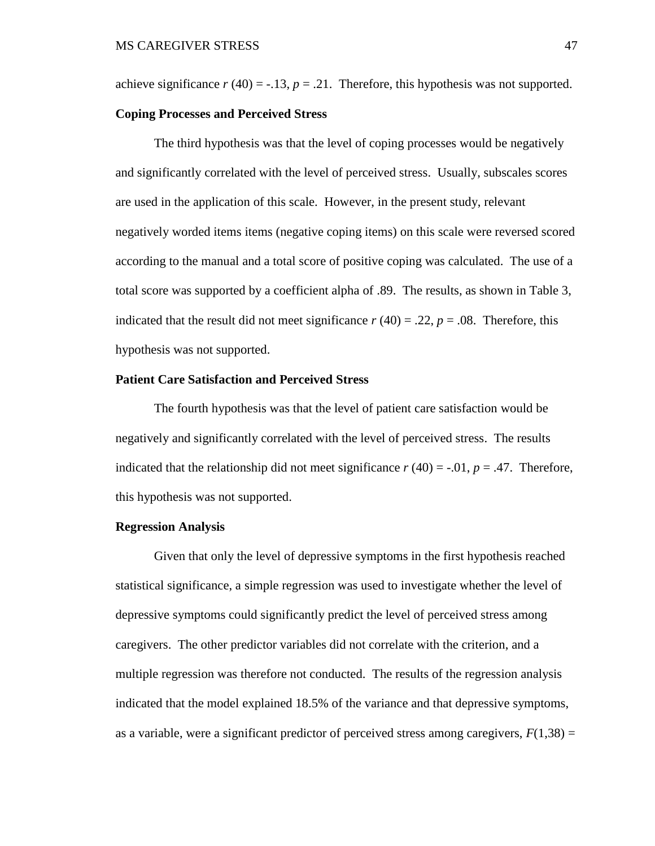achieve significance  $r(40) = -13$ ,  $p = 0.21$ . Therefore, this hypothesis was not supported.

#### **Coping Processes and Perceived Stress**

The third hypothesis was that the level of coping processes would be negatively and significantly correlated with the level of perceived stress. Usually, subscales scores are used in the application of this scale. However, in the present study, relevant negatively worded items items (negative coping items) on this scale were reversed scored according to the manual and a total score of positive coping was calculated. The use of a total score was supported by a coefficient alpha of .89. The results, as shown in Table 3, indicated that the result did not meet significance  $r(40) = .22$ ,  $p = .08$ . Therefore, this hypothesis was not supported.

#### **Patient Care Satisfaction and Perceived Stress**

The fourth hypothesis was that the level of patient care satisfaction would be negatively and significantly correlated with the level of perceived stress. The results indicated that the relationship did not meet significance  $r(40) = -0.01$ ,  $p = 0.47$ . Therefore, this hypothesis was not supported.

#### **Regression Analysis**

Given that only the level of depressive symptoms in the first hypothesis reached statistical significance, a simple regression was used to investigate whether the level of depressive symptoms could significantly predict the level of perceived stress among caregivers. The other predictor variables did not correlate with the criterion, and a multiple regression was therefore not conducted. The results of the regression analysis indicated that the model explained 18.5% of the variance and that depressive symptoms, as a variable, were a significant predictor of perceived stress among caregivers,  $F(1,38) =$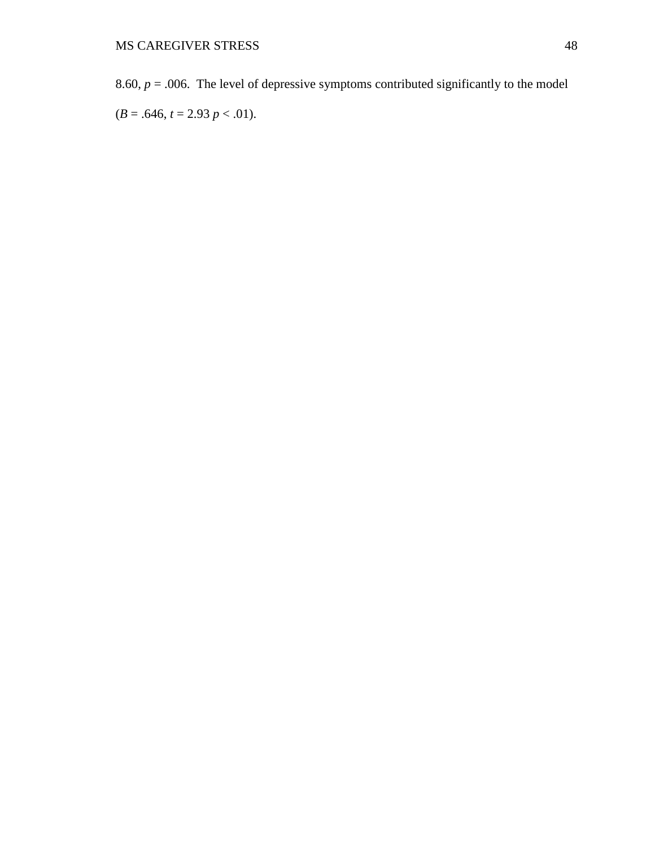8.60,  $p = 0.006$ . The level of depressive symptoms contributed significantly to the model

 $(B = .646, t = 2.93 p < .01).$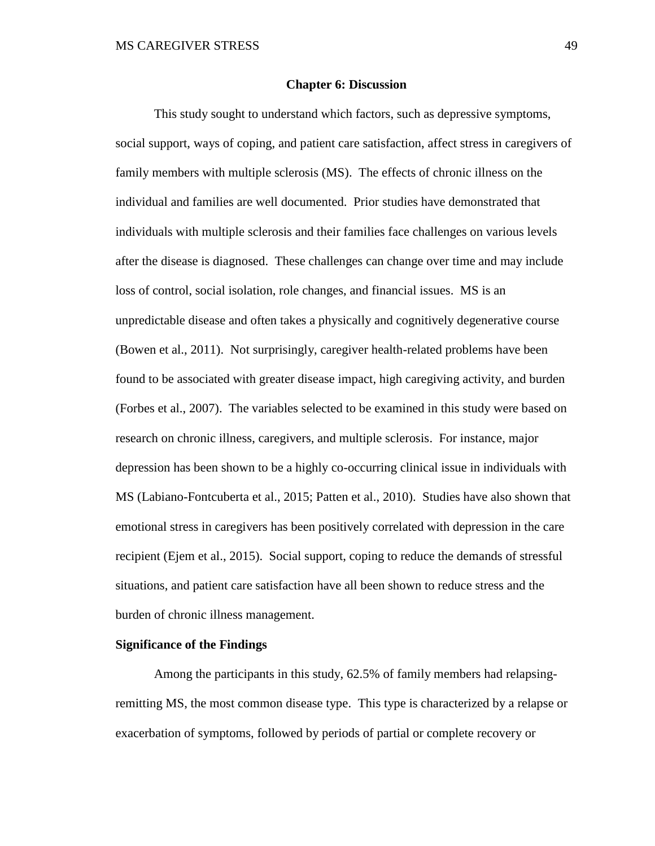#### **Chapter 6: Discussion**

This study sought to understand which factors, such as depressive symptoms, social support, ways of coping, and patient care satisfaction, affect stress in caregivers of family members with multiple sclerosis (MS). The effects of chronic illness on the individual and families are well documented. Prior studies have demonstrated that individuals with multiple sclerosis and their families face challenges on various levels after the disease is diagnosed. These challenges can change over time and may include loss of control, social isolation, role changes, and financial issues. MS is an unpredictable disease and often takes a physically and cognitively degenerative course (Bowen et al., 2011). Not surprisingly, caregiver health-related problems have been found to be associated with greater disease impact, high caregiving activity, and burden (Forbes et al., 2007). The variables selected to be examined in this study were based on research on chronic illness, caregivers, and multiple sclerosis. For instance, major depression has been shown to be a highly co-occurring clinical issue in individuals with MS (Labiano-Fontcuberta et al., 2015; Patten et al., 2010). Studies have also shown that emotional stress in caregivers has been positively correlated with depression in the care recipient (Ejem et al., 2015). Social support, coping to reduce the demands of stressful situations, and patient care satisfaction have all been shown to reduce stress and the burden of chronic illness management.

#### **Significance of the Findings**

Among the participants in this study, 62.5% of family members had relapsingremitting MS, the most common disease type. This type is characterized by a relapse or exacerbation of symptoms, followed by periods of partial or complete recovery or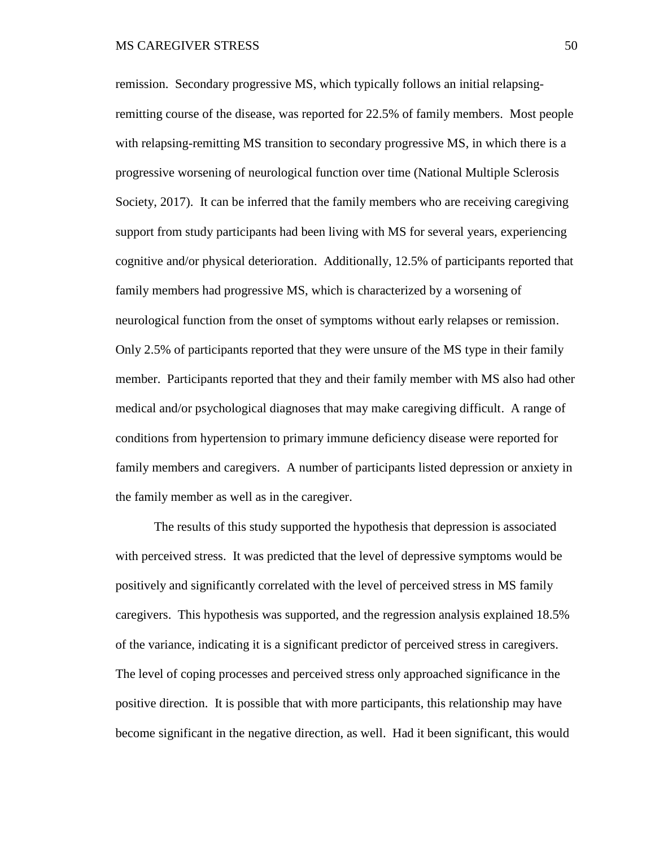remission. Secondary progressive MS, which typically follows an initial relapsingremitting course of the disease, was reported for 22.5% of family members. Most people with relapsing-remitting MS transition to secondary progressive MS, in which there is a progressive worsening of neurological function over time (National Multiple Sclerosis Society, 2017). It can be inferred that the family members who are receiving caregiving support from study participants had been living with MS for several years, experiencing cognitive and/or physical deterioration. Additionally, 12.5% of participants reported that family members had progressive MS, which is characterized by a worsening of neurological function from the onset of symptoms without early relapses or remission. Only 2.5% of participants reported that they were unsure of the MS type in their family member. Participants reported that they and their family member with MS also had other medical and/or psychological diagnoses that may make caregiving difficult. A range of conditions from hypertension to primary immune deficiency disease were reported for family members and caregivers. A number of participants listed depression or anxiety in the family member as well as in the caregiver.

The results of this study supported the hypothesis that depression is associated with perceived stress. It was predicted that the level of depressive symptoms would be positively and significantly correlated with the level of perceived stress in MS family caregivers. This hypothesis was supported, and the regression analysis explained 18.5% of the variance, indicating it is a significant predictor of perceived stress in caregivers. The level of coping processes and perceived stress only approached significance in the positive direction. It is possible that with more participants, this relationship may have become significant in the negative direction, as well. Had it been significant, this would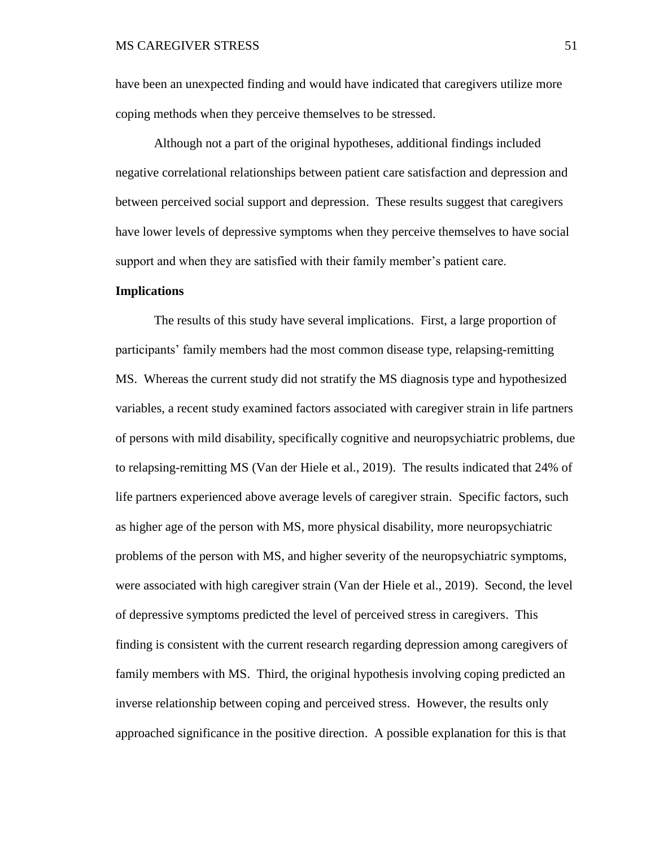have been an unexpected finding and would have indicated that caregivers utilize more coping methods when they perceive themselves to be stressed.

Although not a part of the original hypotheses, additional findings included negative correlational relationships between patient care satisfaction and depression and between perceived social support and depression. These results suggest that caregivers have lower levels of depressive symptoms when they perceive themselves to have social support and when they are satisfied with their family member's patient care.

#### **Implications**

The results of this study have several implications. First, a large proportion of participants' family members had the most common disease type, relapsing-remitting MS. Whereas the current study did not stratify the MS diagnosis type and hypothesized variables, a recent study examined factors associated with caregiver strain in life partners of persons with mild disability, specifically cognitive and neuropsychiatric problems, due to relapsing-remitting MS (Van der Hiele et al., 2019). The results indicated that 24% of life partners experienced above average levels of caregiver strain. Specific factors, such as higher age of the person with MS, more physical disability, more neuropsychiatric problems of the person with MS, and higher severity of the neuropsychiatric symptoms, were associated with high caregiver strain (Van der Hiele et al., 2019). Second, the level of depressive symptoms predicted the level of perceived stress in caregivers. This finding is consistent with the current research regarding depression among caregivers of family members with MS. Third, the original hypothesis involving coping predicted an inverse relationship between coping and perceived stress. However, the results only approached significance in the positive direction. A possible explanation for this is that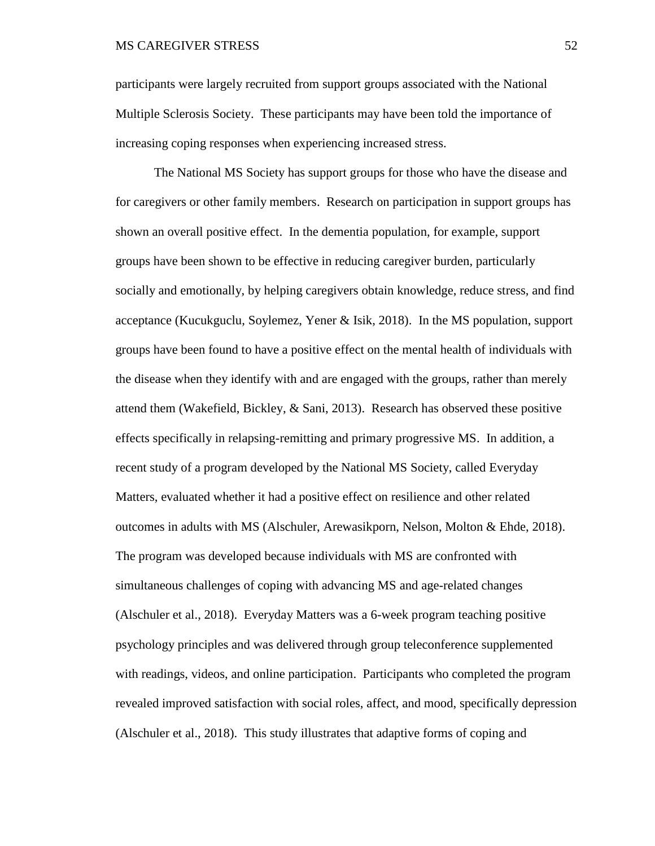participants were largely recruited from support groups associated with the National Multiple Sclerosis Society. These participants may have been told the importance of increasing coping responses when experiencing increased stress.

The National MS Society has support groups for those who have the disease and for caregivers or other family members. Research on participation in support groups has shown an overall positive effect. In the dementia population, for example, support groups have been shown to be effective in reducing caregiver burden, particularly socially and emotionally, by helping caregivers obtain knowledge, reduce stress, and find acceptance (Kucukguclu, Soylemez, Yener & Isik, 2018). In the MS population, support groups have been found to have a positive effect on the mental health of individuals with the disease when they identify with and are engaged with the groups, rather than merely attend them (Wakefield, Bickley, & Sani, 2013). Research has observed these positive effects specifically in relapsing-remitting and primary progressive MS. In addition, a recent study of a program developed by the National MS Society, called Everyday Matters, evaluated whether it had a positive effect on resilience and other related outcomes in adults with MS (Alschuler, Arewasikporn, Nelson, Molton & Ehde, 2018). The program was developed because individuals with MS are confronted with simultaneous challenges of coping with advancing MS and age-related changes (Alschuler et al., 2018). Everyday Matters was a 6-week program teaching positive psychology principles and was delivered through group teleconference supplemented with readings, videos, and online participation. Participants who completed the program revealed improved satisfaction with social roles, affect, and mood, specifically depression (Alschuler et al., 2018). This study illustrates that adaptive forms of coping and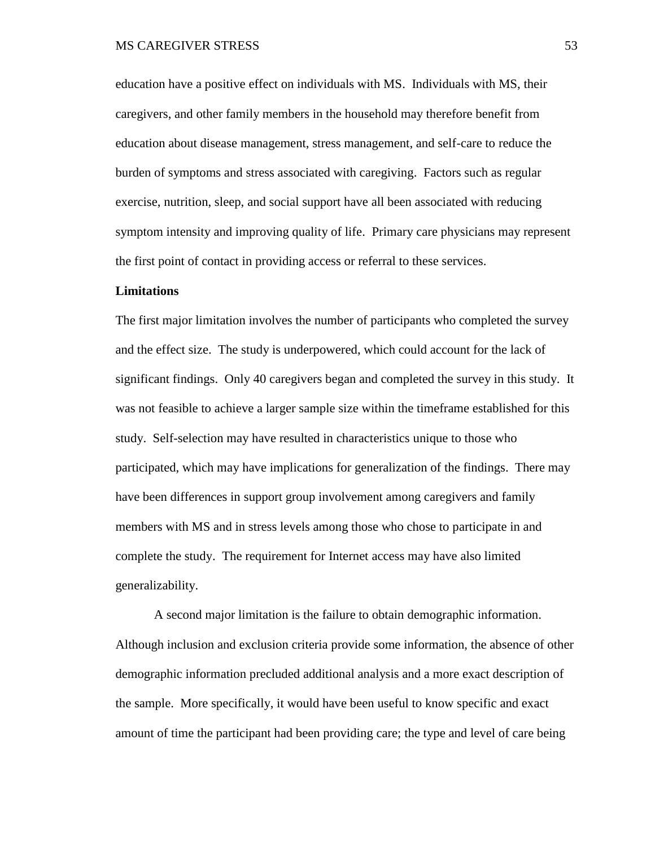education have a positive effect on individuals with MS. Individuals with MS, their caregivers, and other family members in the household may therefore benefit from education about disease management, stress management, and self-care to reduce the burden of symptoms and stress associated with caregiving. Factors such as regular exercise, nutrition, sleep, and social support have all been associated with reducing symptom intensity and improving quality of life. Primary care physicians may represent the first point of contact in providing access or referral to these services.

#### **Limitations**

The first major limitation involves the number of participants who completed the survey and the effect size. The study is underpowered, which could account for the lack of significant findings. Only 40 caregivers began and completed the survey in this study. It was not feasible to achieve a larger sample size within the timeframe established for this study. Self-selection may have resulted in characteristics unique to those who participated, which may have implications for generalization of the findings. There may have been differences in support group involvement among caregivers and family members with MS and in stress levels among those who chose to participate in and complete the study. The requirement for Internet access may have also limited generalizability.

A second major limitation is the failure to obtain demographic information. Although inclusion and exclusion criteria provide some information, the absence of other demographic information precluded additional analysis and a more exact description of the sample. More specifically, it would have been useful to know specific and exact amount of time the participant had been providing care; the type and level of care being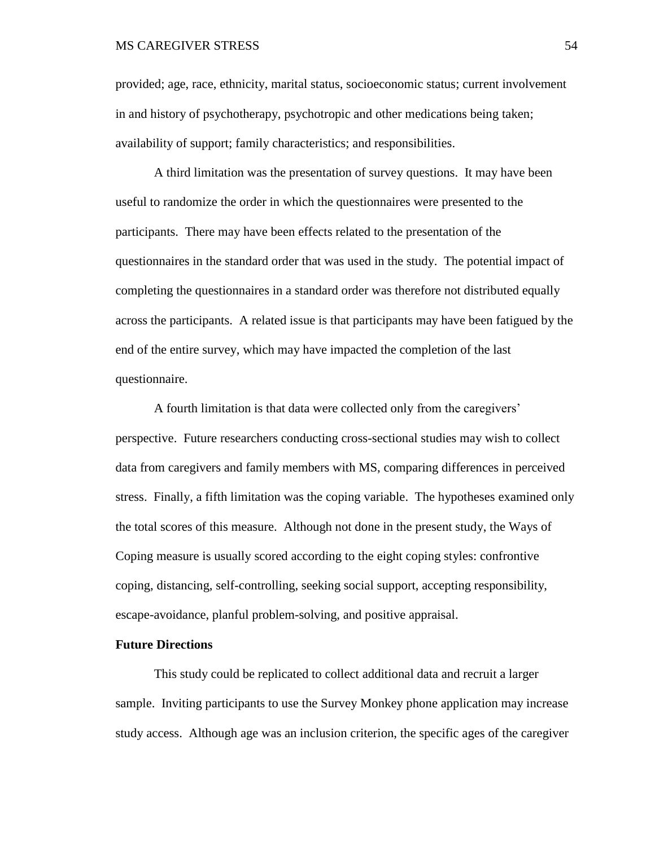provided; age, race, ethnicity, marital status, socioeconomic status; current involvement in and history of psychotherapy, psychotropic and other medications being taken; availability of support; family characteristics; and responsibilities.

A third limitation was the presentation of survey questions. It may have been useful to randomize the order in which the questionnaires were presented to the participants. There may have been effects related to the presentation of the questionnaires in the standard order that was used in the study. The potential impact of completing the questionnaires in a standard order was therefore not distributed equally across the participants. A related issue is that participants may have been fatigued by the end of the entire survey, which may have impacted the completion of the last questionnaire.

A fourth limitation is that data were collected only from the caregivers' perspective. Future researchers conducting cross-sectional studies may wish to collect data from caregivers and family members with MS, comparing differences in perceived stress. Finally, a fifth limitation was the coping variable. The hypotheses examined only the total scores of this measure. Although not done in the present study, the Ways of Coping measure is usually scored according to the eight coping styles: confrontive coping, distancing, self-controlling, seeking social support, accepting responsibility, escape-avoidance, planful problem-solving, and positive appraisal.

## **Future Directions**

This study could be replicated to collect additional data and recruit a larger sample. Inviting participants to use the Survey Monkey phone application may increase study access. Although age was an inclusion criterion, the specific ages of the caregiver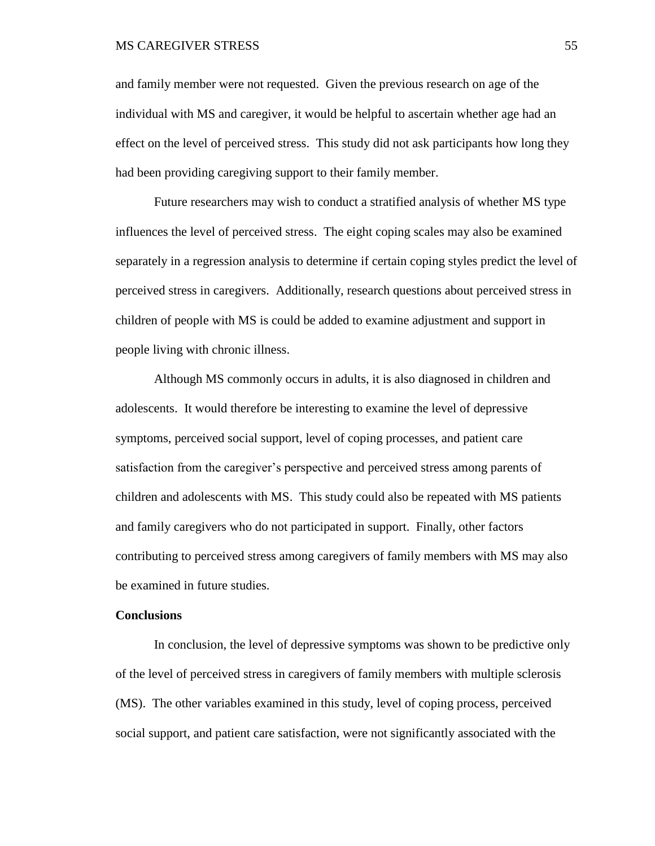and family member were not requested. Given the previous research on age of the individual with MS and caregiver, it would be helpful to ascertain whether age had an effect on the level of perceived stress. This study did not ask participants how long they had been providing caregiving support to their family member.

Future researchers may wish to conduct a stratified analysis of whether MS type influences the level of perceived stress. The eight coping scales may also be examined separately in a regression analysis to determine if certain coping styles predict the level of perceived stress in caregivers. Additionally, research questions about perceived stress in children of people with MS is could be added to examine adjustment and support in people living with chronic illness.

Although MS commonly occurs in adults, it is also diagnosed in children and adolescents. It would therefore be interesting to examine the level of depressive symptoms, perceived social support, level of coping processes, and patient care satisfaction from the caregiver's perspective and perceived stress among parents of children and adolescents with MS. This study could also be repeated with MS patients and family caregivers who do not participated in support. Finally, other factors contributing to perceived stress among caregivers of family members with MS may also be examined in future studies.

## **Conclusions**

In conclusion, the level of depressive symptoms was shown to be predictive only of the level of perceived stress in caregivers of family members with multiple sclerosis (MS). The other variables examined in this study, level of coping process, perceived social support, and patient care satisfaction, were not significantly associated with the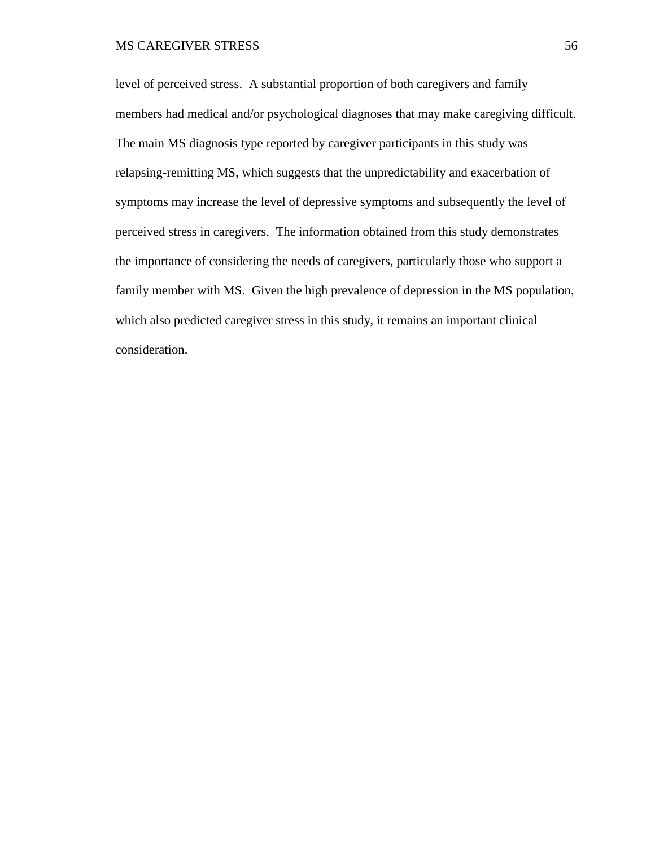level of perceived stress. A substantial proportion of both caregivers and family members had medical and/or psychological diagnoses that may make caregiving difficult. The main MS diagnosis type reported by caregiver participants in this study was relapsing-remitting MS, which suggests that the unpredictability and exacerbation of symptoms may increase the level of depressive symptoms and subsequently the level of perceived stress in caregivers. The information obtained from this study demonstrates the importance of considering the needs of caregivers, particularly those who support a family member with MS. Given the high prevalence of depression in the MS population, which also predicted caregiver stress in this study, it remains an important clinical consideration.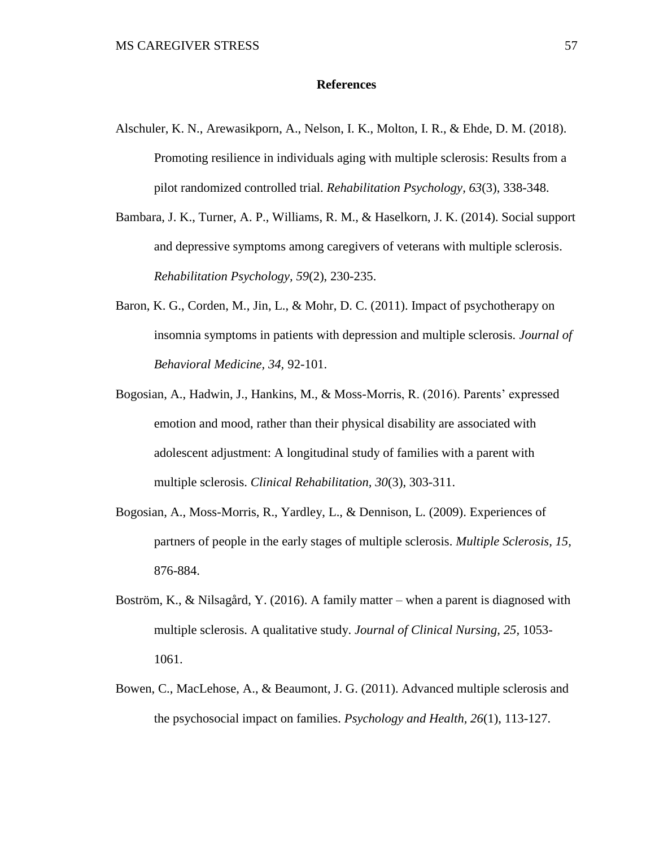#### **References**

- Alschuler, K. N., Arewasikporn, A., Nelson, I. K., Molton, I. R., & Ehde, D. M. (2018). Promoting resilience in individuals aging with multiple sclerosis: Results from a pilot randomized controlled trial. *Rehabilitation Psychology, 63*(3), 338-348.
- Bambara, J. K., Turner, A. P., Williams, R. M., & Haselkorn, J. K. (2014). Social support and depressive symptoms among caregivers of veterans with multiple sclerosis. *Rehabilitation Psychology, 59*(2), 230-235.
- Baron, K. G., Corden, M., Jin, L., & Mohr, D. C. (2011). Impact of psychotherapy on insomnia symptoms in patients with depression and multiple sclerosis. *Journal of Behavioral Medicine, 34,* 92-101.
- Bogosian, A., Hadwin, J., Hankins, M., & Moss-Morris, R. (2016). Parents' expressed emotion and mood, rather than their physical disability are associated with adolescent adjustment: A longitudinal study of families with a parent with multiple sclerosis. *Clinical Rehabilitation, 30*(3), 303-311.
- Bogosian, A., Moss-Morris, R., Yardley, L., & Dennison, L. (2009). Experiences of partners of people in the early stages of multiple sclerosis. *Multiple Sclerosis, 15,*  876-884.
- Boström, K., & Nilsagård, Y. (2016). A family matter when a parent is diagnosed with multiple sclerosis. A qualitative study. *Journal of Clinical Nursing, 25,* 1053- 1061.
- Bowen, C., MacLehose, A., & Beaumont, J. G. (2011). Advanced multiple sclerosis and the psychosocial impact on families. *Psychology and Health, 26*(1), 113-127.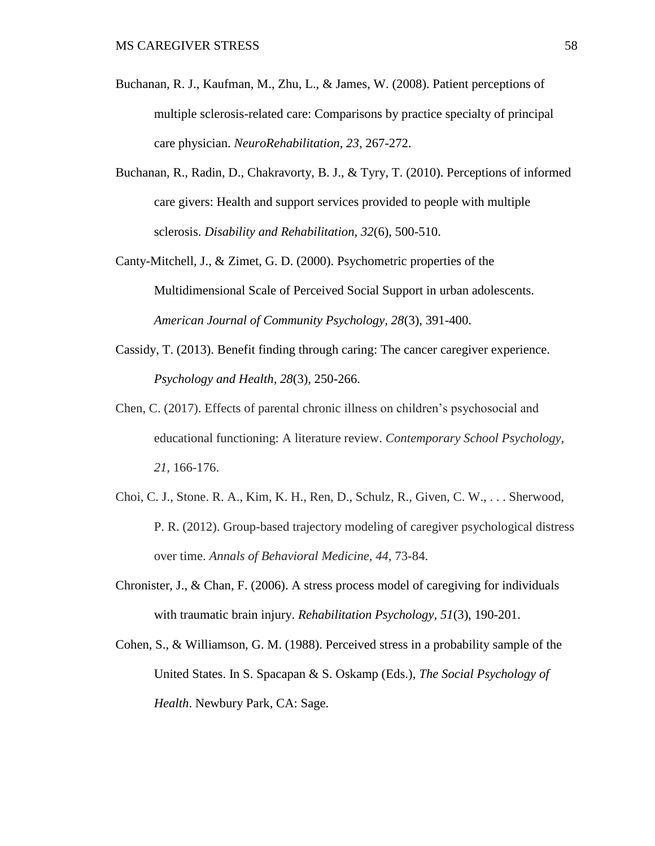- Buchanan, R. J., Kaufman, M., Zhu, L., & James, W. (2008). Patient perceptions of multiple sclerosis-related care: Comparisons by practice specialty of principal care physician. *NeuroRehabilitation, 23,* 267-272.
- Buchanan, R., Radin, D., Chakravorty, B. J., & Tyry, T. (2010). Perceptions of informed care givers: Health and support services provided to people with multiple sclerosis. *Disability and Rehabilitation, 32*(6), 500-510.
- Canty-Mitchell, J., & Zimet, G. D. (2000). Psychometric properties of the Multidimensional Scale of Perceived Social Support in urban adolescents. *American Journal of Community Psychology, 28*(3), 391-400.
- Cassidy, T. (2013). Benefit finding through caring: The cancer caregiver experience. *Psychology and Health, 28*(3), 250-266.
- Chen, C. (2017). Effects of parental chronic illness on children's psychosocial and educational functioning: A literature review. *Contemporary School Psychology, 21,* 166-176.
- Choi, C. J., Stone. R. A., Kim, K. H., Ren, D., Schulz, R., Given, C. W., . . . Sherwood, P. R. (2012). Group-based trajectory modeling of caregiver psychological distress over time. *Annals of Behavioral Medicine, 44,* 73-84.
- Chronister, J., & Chan, F. (2006). A stress process model of caregiving for individuals with traumatic brain injury. *Rehabilitation Psychology, 51*(3), 190-201.
- Cohen, S., & Williamson, G. M. (1988). Perceived stress in a probability sample of the United States. In S. Spacapan & S. Oskamp (Eds.), *The Social Psychology of Health*. Newbury Park, CA: Sage.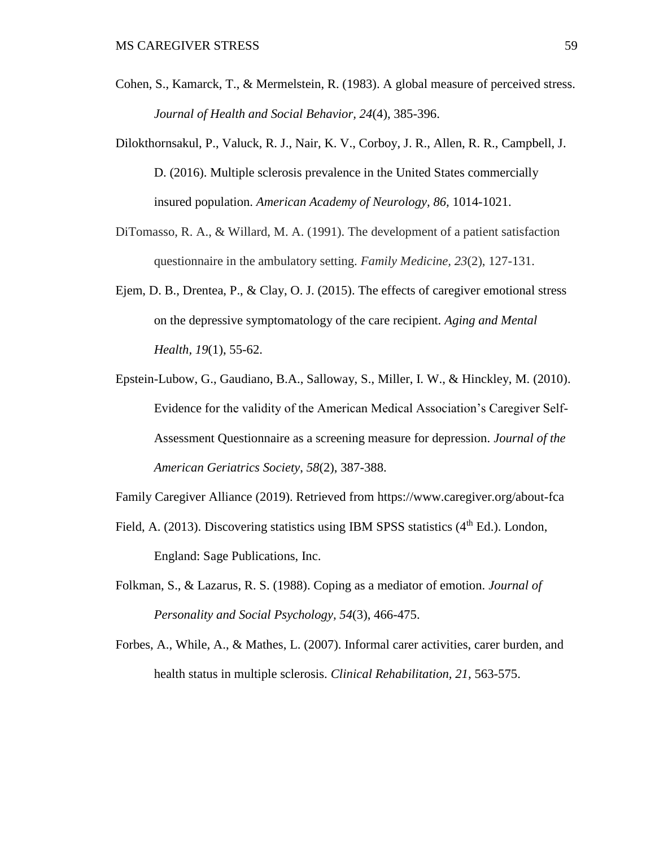- Cohen, S., Kamarck, T., & Mermelstein, R. (1983). A global measure of perceived stress. *Journal of Health and Social Behavior, 24*(4), 385-396.
- Dilokthornsakul, P., Valuck, R. J., Nair, K. V., Corboy, J. R., Allen, R. R., Campbell, J. D. (2016). Multiple sclerosis prevalence in the United States commercially insured population. *American Academy of Neurology, 86,* 1014-1021.
- DiTomasso, R. A., & Willard, M. A. (1991). The development of a patient satisfaction questionnaire in the ambulatory setting. *Family Medicine, 23*(2), 127-131.
- Ejem, D. B., Drentea, P., & Clay, O. J. (2015). The effects of caregiver emotional stress on the depressive symptomatology of the care recipient. *Aging and Mental Health, 19*(1), 55-62.
- Epstein-Lubow, G., Gaudiano, B.A., Salloway, S., Miller, I. W., & Hinckley, M. (2010). Evidence for the validity of the American Medical Association's Caregiver Self-Assessment Questionnaire as a screening measure for depression. *Journal of the American Geriatrics Society*, *58*(2), 387-388.

Family Caregiver Alliance (2019). Retrieved from https://www.caregiver.org/about-fca

- Field, A. (2013). Discovering statistics using IBM SPSS statistics  $(4<sup>th</sup> Ed.)$ . London, England: Sage Publications, Inc.
- Folkman, S., & Lazarus, R. S. (1988). Coping as a mediator of emotion. *Journal of Personality and Social Psychology, 54*(3), 466-475.
- Forbes, A., While, A., & Mathes, L. (2007). Informal carer activities, carer burden, and health status in multiple sclerosis. *Clinical Rehabilitation, 21,* 563-575.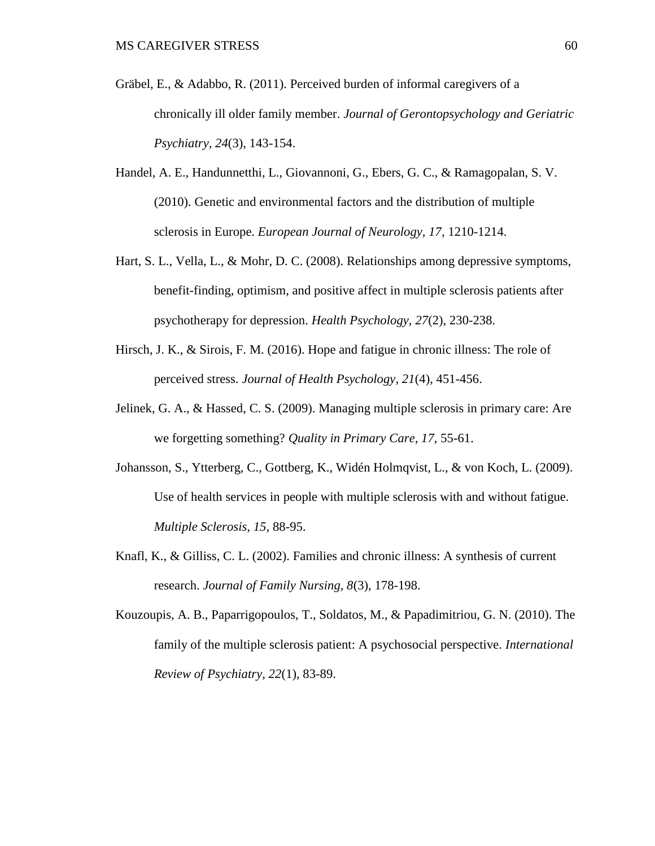- Gräbel, E., & Adabbo, R. (2011). Perceived burden of informal caregivers of a chronically ill older family member. *Journal of Gerontopsychology and Geriatric Psychiatry, 24*(3), 143-154.
- Handel, A. E., Handunnetthi, L., Giovannoni, G., Ebers, G. C., & Ramagopalan, S. V. (2010). Genetic and environmental factors and the distribution of multiple sclerosis in Europe. *European Journal of Neurology, 17,* 1210-1214.
- Hart, S. L., Vella, L., & Mohr, D. C. (2008). Relationships among depressive symptoms, benefit-finding, optimism, and positive affect in multiple sclerosis patients after psychotherapy for depression. *Health Psychology, 27*(2), 230-238.
- Hirsch, J. K., & Sirois, F. M. (2016). Hope and fatigue in chronic illness: The role of perceived stress. *Journal of Health Psychology, 21*(4), 451-456.
- Jelinek, G. A., & Hassed, C. S. (2009). Managing multiple sclerosis in primary care: Are we forgetting something? *Quality in Primary Care, 17,* 55-61.
- Johansson, S., Ytterberg, C., Gottberg, K., Widén Holmqvist, L., & von Koch, L. (2009). Use of health services in people with multiple sclerosis with and without fatigue. *Multiple Sclerosis, 15,* 88-95.
- Knafl, K., & Gilliss, C. L. (2002). Families and chronic illness: A synthesis of current research. *Journal of Family Nursing, 8*(3), 178-198.
- Kouzoupis, A. B., Paparrigopoulos, T., Soldatos, M., & Papadimitriou, G. N. (2010). The family of the multiple sclerosis patient: A psychosocial perspective. *International Review of Psychiatry, 22*(1), 83-89.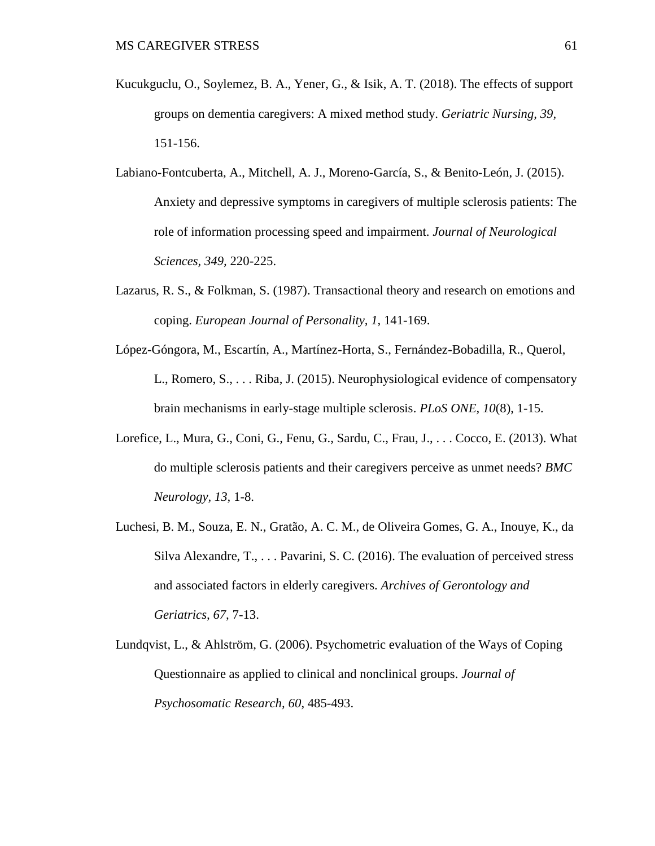- Kucukguclu, O., Soylemez, B. A., Yener, G., & Isik, A. T. (2018). The effects of support groups on dementia caregivers: A mixed method study. *Geriatric Nursing, 39,*  151-156.
- Labiano-Fontcuberta, A., Mitchell, A. J., Moreno-García, S., & Benito-León, J. (2015). Anxiety and depressive symptoms in caregivers of multiple sclerosis patients: The role of information processing speed and impairment. *Journal of Neurological Sciences, 349,* 220-225.
- Lazarus, R. S., & Folkman, S. (1987). Transactional theory and research on emotions and coping. *European Journal of Personality, 1,* 141-169.
- López-Góngora, M., Escartín, A., Martínez-Horta, S., Fernández-Bobadilla, R., Querol, L., Romero, S., . . . Riba, J. (2015). Neurophysiological evidence of compensatory brain mechanisms in early-stage multiple sclerosis. *PLoS ONE, 10*(8), 1-15.
- Lorefice, L., Mura, G., Coni, G., Fenu, G., Sardu, C., Frau, J., . . . Cocco, E. (2013). What do multiple sclerosis patients and their caregivers perceive as unmet needs? *BMC Neurology, 13,* 1-8.
- Luchesi, B. M., Souza, E. N., Gratão, A. C. M., de Oliveira Gomes, G. A., Inouye, K., da Silva Alexandre, T., . . . Pavarini, S. C. (2016). The evaluation of perceived stress and associated factors in elderly caregivers. *Archives of Gerontology and Geriatrics, 67,* 7-13.
- Lundqvist, L., & Ahlström, G. (2006). Psychometric evaluation of the Ways of Coping Questionnaire as applied to clinical and nonclinical groups. *Journal of Psychosomatic Research, 60*, 485-493.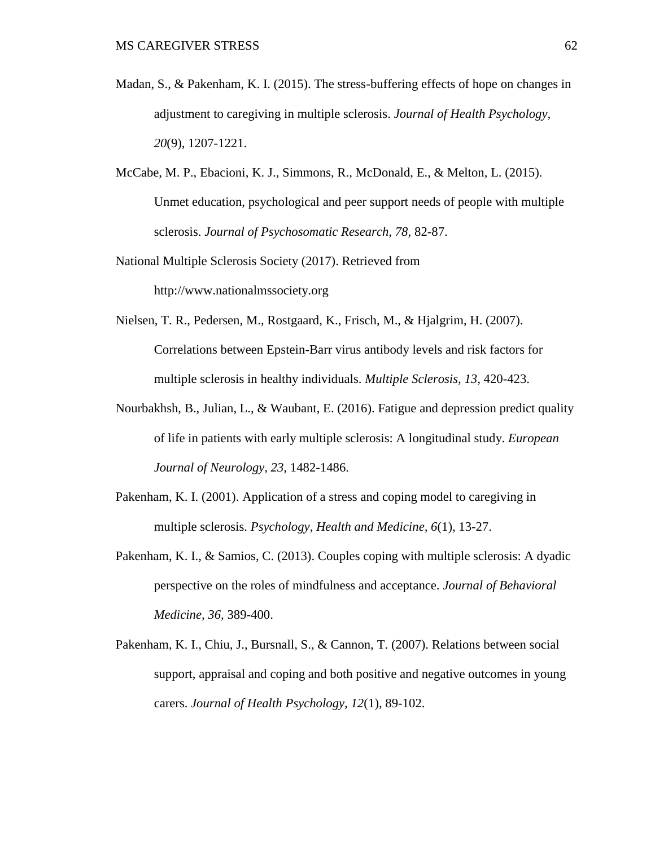- Madan, S., & Pakenham, K. I. (2015). The stress-buffering effects of hope on changes in adjustment to caregiving in multiple sclerosis. *Journal of Health Psychology, 20*(9), 1207-1221.
- McCabe, M. P., Ebacioni, K. J., Simmons, R., McDonald, E., & Melton, L. (2015). Unmet education, psychological and peer support needs of people with multiple sclerosis. *Journal of Psychosomatic Research, 78,* 82-87.
- National Multiple Sclerosis Society (2017). Retrieved from http://www.nationalmssociety.org
- Nielsen, T. R., Pedersen, M., Rostgaard, K., Frisch, M., & Hjalgrim, H. (2007). Correlations between Epstein-Barr virus antibody levels and risk factors for multiple sclerosis in healthy individuals. *Multiple Sclerosis, 13,* 420-423.
- Nourbakhsh, B., Julian, L., & Waubant, E. (2016). Fatigue and depression predict quality of life in patients with early multiple sclerosis: A longitudinal study. *European Journal of Neurology, 23,* 1482-1486.
- Pakenham, K. I. (2001). Application of a stress and coping model to caregiving in multiple sclerosis. *Psychology, Health and Medicine, 6*(1), 13-27.
- Pakenham, K. I., & Samios, C. (2013). Couples coping with multiple sclerosis: A dyadic perspective on the roles of mindfulness and acceptance. *Journal of Behavioral Medicine, 36,* 389-400.
- Pakenham, K. I., Chiu, J., Bursnall, S., & Cannon, T. (2007). Relations between social support, appraisal and coping and both positive and negative outcomes in young carers. *Journal of Health Psychology, 12*(1), 89-102.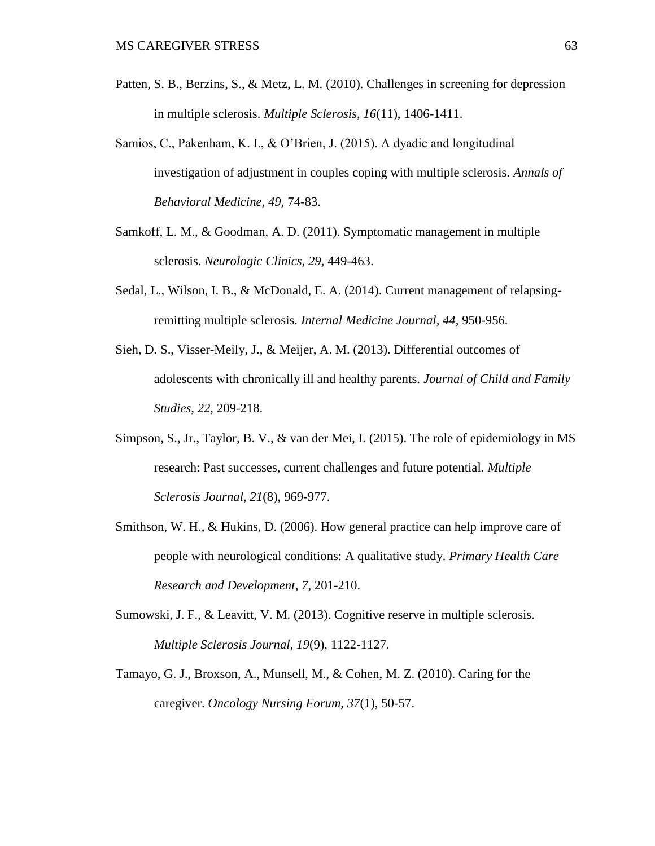- Patten, S. B., Berzins, S., & Metz, L. M. (2010). Challenges in screening for depression in multiple sclerosis. *Multiple Sclerosis, 16*(11), 1406-1411.
- Samios, C., Pakenham, K. I., & O'Brien, J. (2015). A dyadic and longitudinal investigation of adjustment in couples coping with multiple sclerosis. *Annals of Behavioral Medicine, 49,* 74-83.
- Samkoff, L. M., & Goodman, A. D. (2011). Symptomatic management in multiple sclerosis. *Neurologic Clinics, 29,* 449-463.
- Sedal, L., Wilson, I. B., & McDonald, E. A. (2014). Current management of relapsingremitting multiple sclerosis. *Internal Medicine Journal, 44,* 950-956.
- Sieh, D. S., Visser-Meily, J., & Meijer, A. M. (2013). Differential outcomes of adolescents with chronically ill and healthy parents. *Journal of Child and Family Studies, 22,* 209-218.
- Simpson, S., Jr., Taylor, B. V., & van der Mei, I. (2015). The role of epidemiology in MS research: Past successes, current challenges and future potential. *Multiple Sclerosis Journal, 21*(8), 969-977.
- Smithson, W. H., & Hukins, D. (2006). How general practice can help improve care of people with neurological conditions: A qualitative study. *Primary Health Care Research and Development, 7,* 201-210.
- Sumowski, J. F., & Leavitt, V. M. (2013). Cognitive reserve in multiple sclerosis. *Multiple Sclerosis Journal, 19*(9), 1122-1127.
- Tamayo, G. J., Broxson, A., Munsell, M., & Cohen, M. Z. (2010). Caring for the caregiver. *Oncology Nursing Forum, 37*(1), 50-57.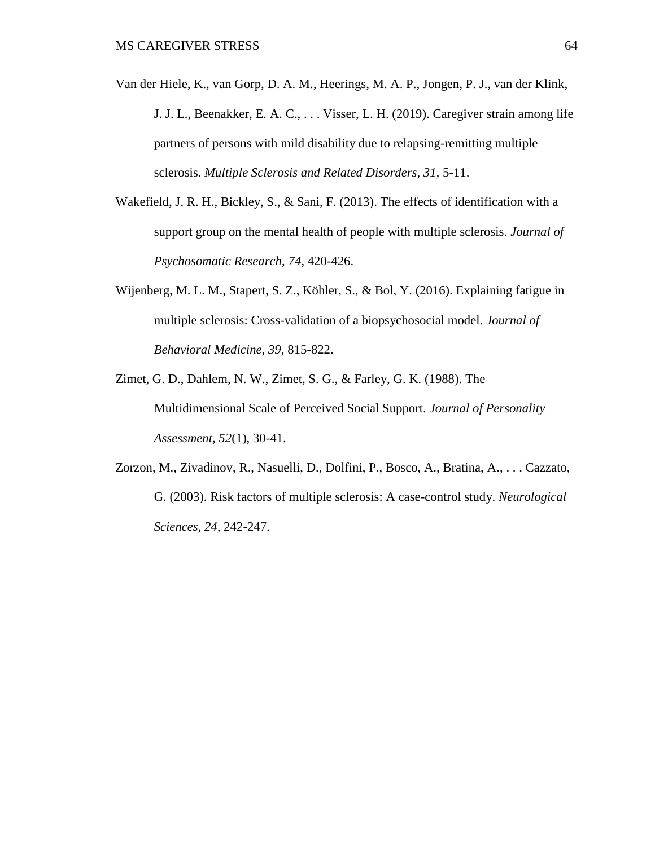- Van der Hiele, K., van Gorp, D. A. [M.,](javascript:void(0);) Heerings, [M.](javascript:void(0);) A. P., Jongen, P. J., van der Klink, J. J. L., Beenakker, E. A. C., . . . Visser, L. H. (2019). Caregiver strain among life partners of persons with mild disability due to relapsing-remitting multiple sclerosis. *Multiple Sclerosis and Related Disorders, 31,* 5-11.
- Wakefield, J. R. H., Bickley, S., & Sani, F. (2013). The effects of identification with a support group on the mental health of people with multiple sclerosis. *Journal of Psychosomatic Research, 74,* 420-426.
- Wijenberg, M. L. M., Stapert, S. Z., Köhler, S., & Bol, Y. (2016). Explaining fatigue in multiple sclerosis: Cross-validation of a biopsychosocial model. *Journal of Behavioral Medicine, 39,* 815-822.
- Zimet, G. D., Dahlem, N. W., Zimet, S. G., & Farley, G. K. (1988). The Multidimensional Scale of Perceived Social Support. *Journal of Personality Assessment, 52*(1), 30-41.
- Zorzon, M., Zivadinov, R., Nasuelli, D., Dolfini, P., Bosco, A., Bratina, A., . . . Cazzato, G. (2003). Risk factors of multiple sclerosis: A case-control study. *Neurological Sciences, 24,* 242-247.